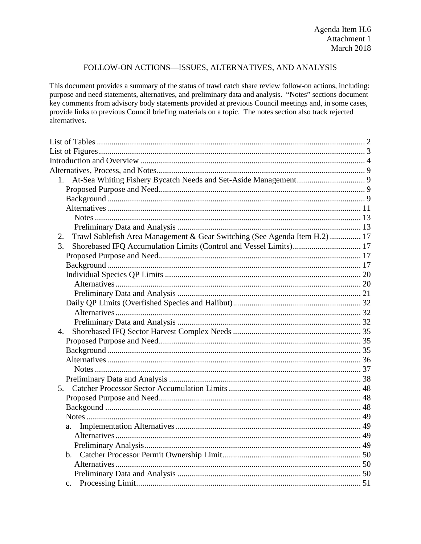## FOLLOW-ON ACTIONS-ISSUES, ALTERNATIVES, AND ANALYSIS

This document provides a summary of the status of trawl catch share review follow-on actions, including: purpose and need statements, alternatives, and preliminary data and analysis. "Notes" sections document key comments from advisory body statements provided at previous Council meetings and, in some cases, provide links to previous Council briefing materials on a topic. The notes section also track rejected alternatives.

| Trawl Sablefish Area Management & Gear Switching (See Agenda Item H.2)  17<br>2. |  |
|----------------------------------------------------------------------------------|--|
| Shorebased IFQ Accumulation Limits (Control and Vessel Limits) 17<br>3.          |  |
|                                                                                  |  |
|                                                                                  |  |
|                                                                                  |  |
|                                                                                  |  |
|                                                                                  |  |
|                                                                                  |  |
|                                                                                  |  |
|                                                                                  |  |
|                                                                                  |  |
|                                                                                  |  |
|                                                                                  |  |
|                                                                                  |  |
|                                                                                  |  |
|                                                                                  |  |
|                                                                                  |  |
|                                                                                  |  |
|                                                                                  |  |
|                                                                                  |  |
| a.                                                                               |  |
|                                                                                  |  |
|                                                                                  |  |
|                                                                                  |  |
|                                                                                  |  |
|                                                                                  |  |
|                                                                                  |  |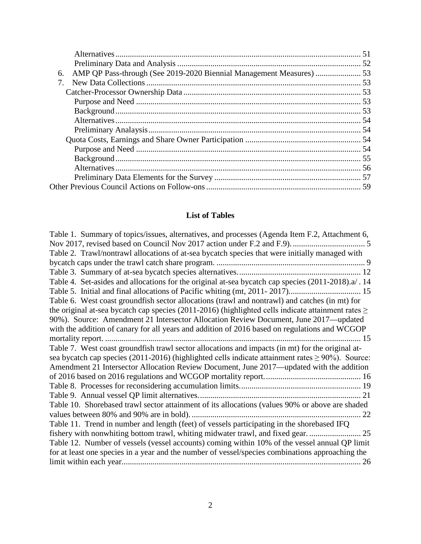| 6. |  |
|----|--|
| 7. |  |
|    |  |
|    |  |
|    |  |
|    |  |
|    |  |
|    |  |
|    |  |
|    |  |
|    |  |
|    |  |
|    |  |
|    |  |

# **List of Tables**

<span id="page-1-0"></span>

| Table 1. Summary of topics/issues, alternatives, and processes (Agenda Item F.2, Attachment 6,          |
|---------------------------------------------------------------------------------------------------------|
|                                                                                                         |
| Table 2. Trawl/nontrawl allocations of at-sea bycatch species that were initially managed with          |
|                                                                                                         |
|                                                                                                         |
| Table 4. Set-asides and allocations for the original at-sea bycatch cap species (2011-2018).a/. 14      |
|                                                                                                         |
| Table 6. West coast groundfish sector allocations (trawl and nontrawl) and catches (in mt) for          |
| the original at-sea bycatch cap species (2011-2016) (highlighted cells indicate attainment rates $\geq$ |
| 90%). Source: Amendment 21 Intersector Allocation Review Document, June 2017—updated                    |
| with the addition of canary for all years and addition of 2016 based on regulations and WCGOP           |
| $\dots$ 15                                                                                              |
| Table 7. West coast groundfish trawl sector allocations and impacts (in mt) for the original at-        |
| sea bycatch cap species (2011-2016) (highlighted cells indicate attainment rates $\geq 90\%$ ). Source: |
| Amendment 21 Intersector Allocation Review Document, June 2017—updated with the addition                |
|                                                                                                         |
|                                                                                                         |
|                                                                                                         |
| Table 10. Shorebased trawl sector attainment of its allocations (values 90% or above are shaded         |
|                                                                                                         |
| Table 11. Trend in number and length (feet) of vessels participating in the shorebased IFQ              |
| fishery with nonwhiting bottom trawl, whiting midwater trawl, and fixed gear.  25                       |
| Table 12. Number of vessels (vessel accounts) coming within 10% of the vessel annual QP limit           |
| for at least one species in a year and the number of vessel/species combinations approaching the        |
|                                                                                                         |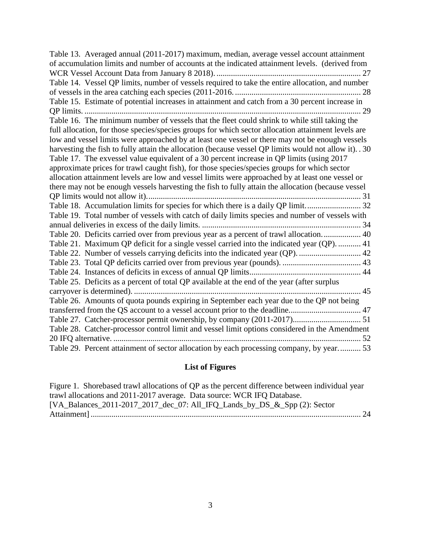| Table 13. Averaged annual (2011-2017) maximum, median, average vessel account attainment               |
|--------------------------------------------------------------------------------------------------------|
| of accumulation limits and number of accounts at the indicated attainment levels. (derived from        |
|                                                                                                        |
| Table 14. Vessel QP limits, number of vessels required to take the entire allocation, and number       |
|                                                                                                        |
| Table 15. Estimate of potential increases in attainment and catch from a 30 percent increase in        |
| 29                                                                                                     |
| Table 16. The minimum number of vessels that the fleet could shrink to while still taking the          |
| full allocation, for those species/species groups for which sector allocation attainment levels are    |
| low and vessel limits were approached by at least one vessel or there may not be enough vessels        |
| harvesting the fish to fully attain the allocation (because vessel QP limits would not allow it). . 30 |
| Table 17. The exvessel value equivalent of a 30 percent increase in QP limits (using 2017              |
| approximate prices for trawl caught fish), for those species/species groups for which sector           |
| allocation attainment levels are low and vessel limits were approached by at least one vessel or       |
| there may not be enough vessels harvesting the fish to fully attain the allocation (because vessel     |
|                                                                                                        |
| Table 18. Accumulation limits for species for which there is a daily QP limit 32                       |
| Table 19. Total number of vessels with catch of daily limits species and number of vessels with        |
|                                                                                                        |
| Table 20. Deficits carried over from previous year as a percent of trawl allocation 40                 |
| Table 21. Maximum QP deficit for a single vessel carried into the indicated year (QP).  41             |
| Table 22. Number of vessels carrying deficits into the indicated year (QP).  42                        |
|                                                                                                        |
|                                                                                                        |
| Table 25. Deficits as a percent of total QP available at the end of the year (after surplus            |
|                                                                                                        |
| Table 26. Amounts of quota pounds expiring in September each year due to the QP not being              |
|                                                                                                        |
|                                                                                                        |
| Table 28. Catcher-processor control limit and vessel limit options considered in the Amendment         |
|                                                                                                        |
| Table 29. Percent attainment of sector allocation by each processing company, by year 53               |

#### **List of Figures**

<span id="page-2-0"></span>[Figure 1. Shorebased trawl allocations of QP as the percent difference between individual year](#page-23-0)  [trawl allocations and 2011-2017 average. Data source: WCR IFQ Database.](#page-23-0)  [\[VA\\_Balances\\_2011-2017\\_2017\\_dec\\_07: All\\_IFQ\\_Lands\\_by\\_DS\\_&\\_Spp \(2\): Sector](#page-23-0)  Attainment] [...................................................................................................................................](#page-23-0) 24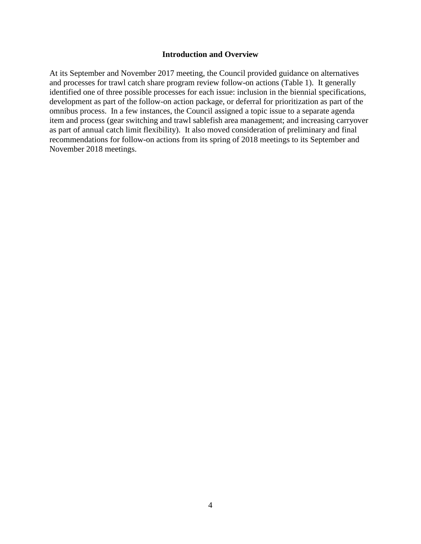#### **Introduction and Overview**

<span id="page-3-0"></span>At its September and November 2017 meeting, the Council provided guidance on alternatives and processes for trawl catch share program review follow-on actions [\(Table 1\)](#page-4-0). It generally identified one of three possible processes for each issue: inclusion in the biennial specifications, development as part of the follow-on action package, or deferral for prioritization as part of the omnibus process. In a few instances, the Council assigned a topic issue to a separate agenda item and process (gear switching and trawl sablefish area management; and increasing carryover as part of annual catch limit flexibility). It also moved consideration of preliminary and final recommendations for follow-on actions from its spring of 2018 meetings to its September and November 2018 meetings.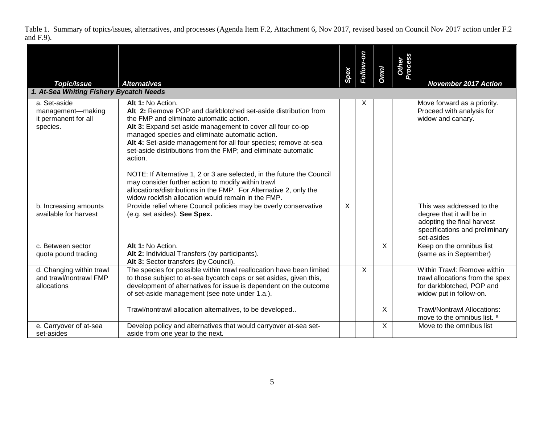Table 1. Summary of topics/issues, alternatives, and processes (Agenda Item F.2, Attachment 6, Nov 2017, revised based on Council Nov 2017 action under F.2 and F.9).

<span id="page-4-0"></span>

| <b>Topic/Issue</b>                                                    | <b>Alternatives</b>                                                                                                                                                                                                                                                                                                                                                                                                                                                                                                                                                                                                                                       | Spex | Follow-on    | <b>Omni</b> | Other<br>Process | <b>November 2017 Action</b>                                                                                                                                  |
|-----------------------------------------------------------------------|-----------------------------------------------------------------------------------------------------------------------------------------------------------------------------------------------------------------------------------------------------------------------------------------------------------------------------------------------------------------------------------------------------------------------------------------------------------------------------------------------------------------------------------------------------------------------------------------------------------------------------------------------------------|------|--------------|-------------|------------------|--------------------------------------------------------------------------------------------------------------------------------------------------------------|
| 1. At-Sea Whiting Fishery Bycatch Needs                               |                                                                                                                                                                                                                                                                                                                                                                                                                                                                                                                                                                                                                                                           |      |              |             |                  |                                                                                                                                                              |
| a. Set-aside<br>management-making<br>it permanent for all<br>species. | Alt 1: No Action.<br>Alt 2: Remove POP and darkblotched set-aside distribution from<br>the FMP and eliminate automatic action.<br>Alt 3: Expand set aside management to cover all four co-op<br>managed species and eliminate automatic action.<br>Alt 4: Set-aside management for all four species; remove at-sea<br>set-aside distributions from the FMP; and eliminate automatic<br>action.<br>NOTE: If Alternative 1, 2 or 3 are selected, in the future the Council<br>may consider further action to modify within trawl<br>allocations/distributions in the FMP. For Alternative 2, only the<br>widow rockfish allocation would remain in the FMP. |      | X            |             |                  | Move forward as a priority.<br>Proceed with analysis for<br>widow and canary.                                                                                |
| b. Increasing amounts<br>available for harvest                        | Provide relief where Council policies may be overly conservative<br>(e.g. set asides). See Spex.                                                                                                                                                                                                                                                                                                                                                                                                                                                                                                                                                          | X.   |              |             |                  | This was addressed to the<br>degree that it will be in<br>adopting the final harvest<br>specifications and preliminary<br>set-asides                         |
| c. Between sector<br>quota pound trading                              | Alt 1: No Action.<br>Alt 2: Individual Transfers (by participants).<br>Alt 3: Sector transfers (by Council).                                                                                                                                                                                                                                                                                                                                                                                                                                                                                                                                              |      |              | $\sf X$     |                  | Keep on the omnibus list<br>(same as in September)                                                                                                           |
| d. Changing within trawl<br>and trawl/nontrawl FMP<br>allocations     | The species for possible within trawl reallocation have been limited<br>to those subject to at-sea bycatch caps or set asides, given this,<br>development of alternatives for issue is dependent on the outcome<br>of set-aside management (see note under 1.a.).<br>Trawl/nontrawl allocation alternatives, to be developed                                                                                                                                                                                                                                                                                                                              |      | $\mathsf{X}$ | X           |                  | Within Trawl: Remove within<br>trawl allocations from the spex<br>for darkblotched, POP and<br>widow put in follow-on.<br><b>Trawl/Nontrawl Allocations:</b> |
| e. Carryover of at-sea<br>set-asides                                  | Develop policy and alternatives that would carryover at-sea set-<br>aside from one year to the next.                                                                                                                                                                                                                                                                                                                                                                                                                                                                                                                                                      |      |              | $\times$    |                  | move to the omnibus list. a<br>Move to the omnibus list                                                                                                      |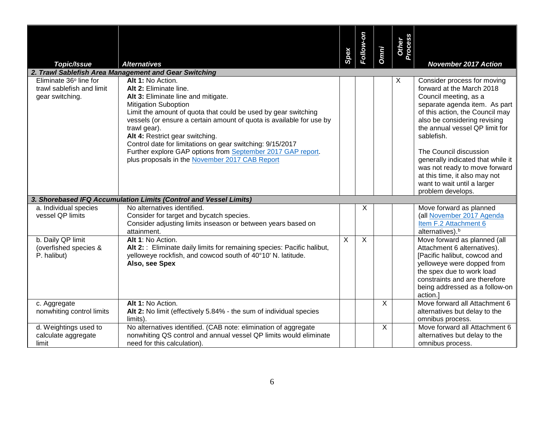| <b>Topic/Issue</b>                                                     | <b>Alternatives</b>                                                                                                                                                                                                                                                                                                                                                                                                                                                                          | Spex | Follow-on | <b>Omni</b>    | Other<br>Process | <b>November 2017 Action</b>                                                                                                                                                                                                                                                                                                                                                                                                |
|------------------------------------------------------------------------|----------------------------------------------------------------------------------------------------------------------------------------------------------------------------------------------------------------------------------------------------------------------------------------------------------------------------------------------------------------------------------------------------------------------------------------------------------------------------------------------|------|-----------|----------------|------------------|----------------------------------------------------------------------------------------------------------------------------------------------------------------------------------------------------------------------------------------------------------------------------------------------------------------------------------------------------------------------------------------------------------------------------|
|                                                                        | 2. Trawl Sablefish Area Management and Gear Switching                                                                                                                                                                                                                                                                                                                                                                                                                                        |      |           |                |                  |                                                                                                                                                                                                                                                                                                                                                                                                                            |
| Eliminate 36° line for<br>trawl sablefish and limit<br>gear switching. | Alt 1: No Action.<br>Alt 2: Eliminate line.<br>Alt 3: Eliminate line and mitigate.<br><b>Mitigation Suboption</b><br>Limit the amount of quota that could be used by gear switching<br>vessels (or ensure a certain amount of quota is available for use by<br>trawl gear).<br>Alt 4: Restrict gear switching.<br>Control date for limitations on gear switching: 9/15/2017<br>Further explore GAP options from September 2017 GAP report.<br>plus proposals in the November 2017 CAB Report |      |           |                | X                | Consider process for moving<br>forward at the March 2018<br>Council meeting, as a<br>separate agenda item. As part<br>of this action, the Council may<br>also be considering revising<br>the annual vessel QP limit for<br>sablefish.<br>The Council discussion<br>generally indicated that while it<br>was not ready to move forward<br>at this time, it also may not<br>want to wait until a larger<br>problem develops. |
|                                                                        | 3. Shorebased IFQ Accumulation Limits (Control and Vessel Limits)                                                                                                                                                                                                                                                                                                                                                                                                                            |      |           |                |                  |                                                                                                                                                                                                                                                                                                                                                                                                                            |
| a. Individual species<br>vessel QP limits                              | No alternatives identified.<br>Consider for target and bycatch species.<br>Consider adjusting limits inseason or between years based on<br>attainment.                                                                                                                                                                                                                                                                                                                                       |      | X         |                |                  | Move forward as planned<br>(all November 2017 Agenda<br>Item F.2 Attachment 6<br>alternatives). <sup>b</sup>                                                                                                                                                                                                                                                                                                               |
| b. Daily QP limit<br>(overfished species &<br>P. halibut)              | Alt 1: No Action.<br>Alt 2: : Eliminate daily limits for remaining species: Pacific halibut,<br>yelloweye rockfish, and cowcod south of 40°10' N. latitude.<br>Also, see Spex                                                                                                                                                                                                                                                                                                                | X    | X         |                |                  | Move forward as planned (all<br>Attachment 6 alternatives).<br>[Pacific halibut, cowcod and<br>yelloweye were dopped from<br>the spex due to work load<br>constraints and are therefore<br>being addressed as a follow-on<br>action.]                                                                                                                                                                                      |
| c. Aggregate<br>nonwhiting control limits                              | Alt 1: No Action.<br>Alt 2: No limit (effectively 5.84% - the sum of individual species<br>limits)                                                                                                                                                                                                                                                                                                                                                                                           |      |           | $\overline{X}$ |                  | Move forward all Attachment 6<br>alternatives but delay to the<br>omnibus process.                                                                                                                                                                                                                                                                                                                                         |
| d. Weightings used to<br>calculate aggregate<br>limit                  | No alternatives identified. (CAB note: elimination of aggregate<br>nonwhiting QS control and annual vessel QP limits would eliminate<br>need for this calculation).                                                                                                                                                                                                                                                                                                                          |      |           | X              |                  | Move forward all Attachment 6<br>alternatives but delay to the<br>omnibus process.                                                                                                                                                                                                                                                                                                                                         |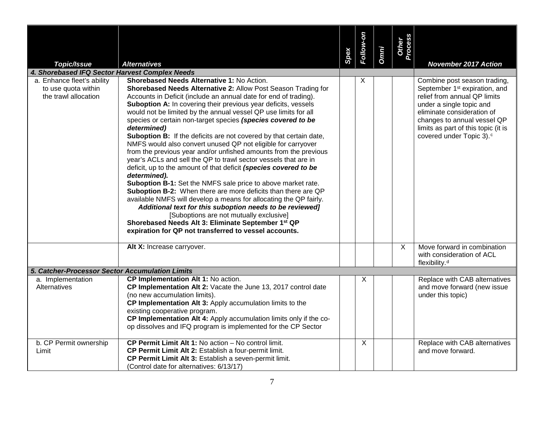|                                                                           |                                                                                                                                                                                                                                                                                                                                                                                                                                                                                                                                                                                                                                                                                                                                                                                                                                                                                                                                                                                                                                                                                                                                                                                                  | Spex | Follow-on | <b>Omni</b> | Other<br>Process |                                                                                                                                                                                                                                                                                   |
|---------------------------------------------------------------------------|--------------------------------------------------------------------------------------------------------------------------------------------------------------------------------------------------------------------------------------------------------------------------------------------------------------------------------------------------------------------------------------------------------------------------------------------------------------------------------------------------------------------------------------------------------------------------------------------------------------------------------------------------------------------------------------------------------------------------------------------------------------------------------------------------------------------------------------------------------------------------------------------------------------------------------------------------------------------------------------------------------------------------------------------------------------------------------------------------------------------------------------------------------------------------------------------------|------|-----------|-------------|------------------|-----------------------------------------------------------------------------------------------------------------------------------------------------------------------------------------------------------------------------------------------------------------------------------|
| Topic/Issue                                                               | <b>Alternatives</b>                                                                                                                                                                                                                                                                                                                                                                                                                                                                                                                                                                                                                                                                                                                                                                                                                                                                                                                                                                                                                                                                                                                                                                              |      |           |             |                  | <b>November 2017 Action</b>                                                                                                                                                                                                                                                       |
| 4. Shorebased IFQ Sector Harvest Complex Needs                            |                                                                                                                                                                                                                                                                                                                                                                                                                                                                                                                                                                                                                                                                                                                                                                                                                                                                                                                                                                                                                                                                                                                                                                                                  |      |           |             |                  |                                                                                                                                                                                                                                                                                   |
| a. Enhance fleet's ability<br>to use quota within<br>the trawl allocation | Shorebased Needs Alternative 1: No Action.<br>Shorebased Needs Alternative 2: Allow Post Season Trading for<br>Accounts in Deficit (include an annual date for end of trading).<br>Suboption A: In covering their previous year deficits, vessels<br>would not be limited by the annual vessel QP use limits for all<br>species or certain non-target species (species covered to be<br>determined)<br>Suboption B: If the deficits are not covered by that certain date,<br>NMFS would also convert unused QP not eligible for carryover<br>from the previous year and/or unfished amounts from the previous<br>year's ACLs and sell the QP to trawl sector vessels that are in<br>deficit, up to the amount of that deficit (species covered to be<br>determined).<br>Suboption B-1: Set the NMFS sale price to above market rate.<br>Suboption B-2: When there are more deficits than there are QP<br>available NMFS will develop a means for allocating the QP fairly.<br>Additional text for this suboption needs to be reviewed]<br>[Suboptions are not mutually exclusive]<br>Shorebased Needs Alt 3: Eliminate September 1st QP<br>expiration for QP not transferred to vessel accounts. |      | X         |             |                  | Combine post season trading,<br>September 1 <sup>st</sup> expiration, and<br>relief from annual QP limits<br>under a single topic and<br>eliminate consideration of<br>changes to annual vessel QP<br>limits as part of this topic (it is<br>covered under Topic 3). <sup>c</sup> |
|                                                                           | Alt X: Increase carryover.                                                                                                                                                                                                                                                                                                                                                                                                                                                                                                                                                                                                                                                                                                                                                                                                                                                                                                                                                                                                                                                                                                                                                                       |      |           |             | X                | Move forward in combination<br>with consideration of ACL<br>flexibility. <sup>d</sup>                                                                                                                                                                                             |
| 5. Catcher-Processor Sector Accumulation Limits                           |                                                                                                                                                                                                                                                                                                                                                                                                                                                                                                                                                                                                                                                                                                                                                                                                                                                                                                                                                                                                                                                                                                                                                                                                  |      |           |             |                  |                                                                                                                                                                                                                                                                                   |
| a. Implementation<br>Alternatives                                         | CP Implementation Alt 1: No action.<br>CP Implementation Alt 2: Vacate the June 13, 2017 control date<br>(no new accumulation limits).<br>CP Implementation Alt 3: Apply accumulation limits to the<br>existing cooperative program.<br>CP Implementation Alt 4: Apply accumulation limits only if the co-<br>op dissolves and IFQ program is implemented for the CP Sector                                                                                                                                                                                                                                                                                                                                                                                                                                                                                                                                                                                                                                                                                                                                                                                                                      |      | Χ         |             |                  | Replace with CAB alternatives<br>and move forward (new issue<br>under this topic)                                                                                                                                                                                                 |
| b. CP Permit ownership<br>Limit                                           | CP Permit Limit Alt 1: No action - No control limit.<br>CP Permit Limit Alt 2: Establish a four-permit limit.<br>CP Permit Limit Alt 3: Establish a seven-permit limit.<br>(Control date for alternatives: 6/13/17)                                                                                                                                                                                                                                                                                                                                                                                                                                                                                                                                                                                                                                                                                                                                                                                                                                                                                                                                                                              |      | X         |             |                  | Replace with CAB alternatives<br>and move forward.                                                                                                                                                                                                                                |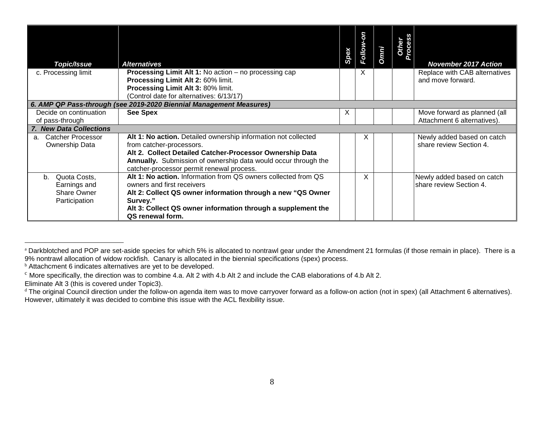<span id="page-7-3"></span><span id="page-7-2"></span><span id="page-7-1"></span><span id="page-7-0"></span>

| <b>Topic/Issue</b>                                                      | <b>Alternatives</b>                                                                                                                                                                                 | Spex | Follow-on | <b>Omni</b> | rocess<br>Other | <b>November 2017 Action</b>                           |
|-------------------------------------------------------------------------|-----------------------------------------------------------------------------------------------------------------------------------------------------------------------------------------------------|------|-----------|-------------|-----------------|-------------------------------------------------------|
| c. Processing limit                                                     | <b>Processing Limit Alt 1: No action - no processing cap</b><br>Processing Limit Alt 2: 60% limit.                                                                                                  |      | X         |             |                 | Replace with CAB alternatives<br>and move forward.    |
|                                                                         | Processing Limit Alt 3: 80% limit.                                                                                                                                                                  |      |           |             |                 |                                                       |
|                                                                         | (Control date for alternatives: 6/13/17)                                                                                                                                                            |      |           |             |                 |                                                       |
|                                                                         | 6. AMP QP Pass-through (see 2019-2020 Biennial Management Measures)                                                                                                                                 |      |           |             |                 |                                                       |
| Decide on continuation                                                  | <b>See Spex</b>                                                                                                                                                                                     | X    |           |             |                 | Move forward as planned (all                          |
| of pass-through                                                         |                                                                                                                                                                                                     |      |           |             |                 | Attachment 6 alternatives).                           |
| 7. New Data Collections                                                 |                                                                                                                                                                                                     |      |           |             |                 |                                                       |
| <b>Catcher Processor</b><br>a <sub>z</sub>                              | Alt 1: No action. Detailed ownership information not collected                                                                                                                                      |      | X         |             |                 | Newly added based on catch                            |
| Ownership Data                                                          | from catcher-processors.<br>Alt 2. Collect Detailed Catcher-Processor Ownership Data<br>Annually. Submission of ownership data would occur through the<br>catcher-processor permit renewal process. |      |           |             |                 | share review Section 4.                               |
| Quota Costs,<br>$h_{-}$<br>Earnings and<br>Share Owner<br>Participation | Alt 1: No action. Information from QS owners collected from QS<br>owners and first receivers<br>Alt 2: Collect QS owner information through a new "QS Owner<br>Survey."                             |      | X         |             |                 | Newly added based on catch<br>share review Section 4. |
|                                                                         | Alt 3: Collect QS owner information through a supplement the<br>QS renewal form.                                                                                                                    |      |           |             |                 |                                                       |

 $\overline{a}$ 

a Darkblotched and POP are set-aside species for which 5% is allocated to nontrawl gear under the Amendment 21 formulas (if those remain in place). There is a 9% nontrawl allocation of widow rockfish. Canary is allocated in the biennial specifications (spex) process.

b Attachcment 6 indicates alternatives are yet to be developed.

 $\degree$  More specifically, the direction was to combine 4.a. Alt 2 with 4.b Alt 2 and include the CAB elaborations of 4.b Alt 2. Eliminate Alt 3 (this is covered under Topic3).

d The original Council direction under the follow-on agenda item was to move carryover forward as a follow-on action (not in spex) (all Attachment 6 alternatives). However, ultimately it was decided to combine this issue with the ACL flexibility issue.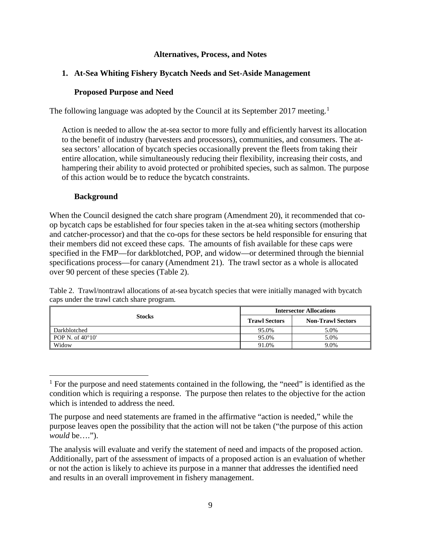#### **Alternatives, Process, and Notes**

#### <span id="page-8-1"></span><span id="page-8-0"></span>**1. At-Sea Whiting Fishery Bycatch Needs and Set-Aside Management**

#### **Proposed Purpose and Need**

<span id="page-8-2"></span>The following language was adopted by the Council at its September 20[1](#page-8-5)7 meeting.<sup>1</sup>

Action is needed to allow the at-sea sector to more fully and efficiently harvest its allocation to the benefit of industry (harvesters and processors), communities, and consumers. The atsea sectors' allocation of bycatch species occasionally prevent the fleets from taking their entire allocation, while simultaneously reducing their flexibility, increasing their costs, and hampering their ability to avoid protected or prohibited species, such as salmon. The purpose of this action would be to reduce the bycatch constraints.

#### **Background**

<span id="page-8-3"></span>When the Council designed the catch share program (Amendment 20), it recommended that coop bycatch caps be established for four species taken in the at-sea whiting sectors (mothership and catcher-processor) and that the co-ops for these sectors be held responsible for ensuring that their members did not exceed these caps. The amounts of fish available for these caps were specified in the FMP—for darkblotched, POP, and widow—or determined through the biennial specifications process—for canary (Amendment 21). The trawl sector as a whole is allocated over 90 percent of these species [\(Table 2\)](#page-8-4).

<span id="page-8-4"></span>Table 2. Trawl/nontrawl allocations of at-sea bycatch species that were initially managed with bycatch caps under the trawl catch share program.

|                           | <b>Intersector Allocations</b> |                          |  |  |  |  |
|---------------------------|--------------------------------|--------------------------|--|--|--|--|
| <b>Stocks</b>             | <b>Trawl Sectors</b>           | <b>Non-Trawl Sectors</b> |  |  |  |  |
| Darkblotched              | 95.0%                          | 5.0%                     |  |  |  |  |
| POP N. of $40^{\circ}10'$ | 95.0%                          | 5.0%                     |  |  |  |  |
| Widow                     | 91.0%                          | 9.0%                     |  |  |  |  |

<span id="page-8-5"></span> $<sup>1</sup>$  For the purpose and need statements contained in the following, the "need" is identified as the</sup> condition which is requiring a response. The purpose then relates to the objective for the action which is intended to address the need.

The purpose and need statements are framed in the affirmative "action is needed," while the purpose leaves open the possibility that the action will not be taken ("the purpose of this action *would* be….").

The analysis will evaluate and verify the statement of need and impacts of the proposed action. Additionally, part of the assessment of impacts of a proposed action is an evaluation of whether or not the action is likely to achieve its purpose in a manner that addresses the identified need and results in an overall improvement in fishery management.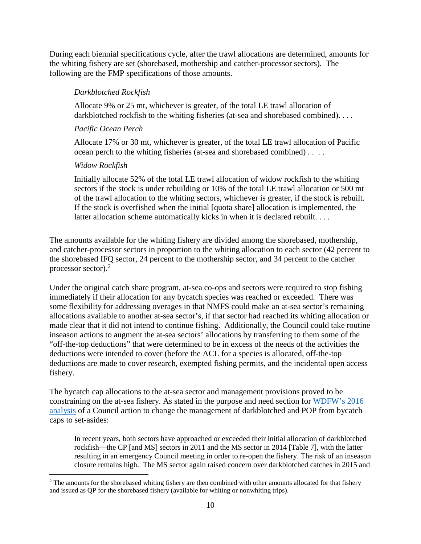During each biennial specifications cycle, after the trawl allocations are determined, amounts for the whiting fishery are set (shorebased, mothership and catcher-processor sectors). The following are the FMP specifications of those amounts.

# *Darkblotched Rockfish*

Allocate 9% or 25 mt, whichever is greater, of the total LE trawl allocation of darkblotched rockfish to the whiting fisheries (at-sea and shorebased combined). . . .

# *Pacific Ocean Perch*

Allocate 17% or 30 mt, whichever is greater, of the total LE trawl allocation of Pacific ocean perch to the whiting fisheries (at-sea and shorebased combined) . . . .

# *Widow Rockfish*

Initially allocate 52% of the total LE trawl allocation of widow rockfish to the whiting sectors if the stock is under rebuilding or 10% of the total LE trawl allocation or 500 mt of the trawl allocation to the whiting sectors, whichever is greater, if the stock is rebuilt. If the stock is overfished when the initial [quota share] allocation is implemented, the latter allocation scheme automatically kicks in when it is declared rebuilt. . . .

The amounts available for the whiting fishery are divided among the shorebased, mothership, and catcher-processor sectors in proportion to the whiting allocation to each sector (42 percent to the shorebased IFQ sector, 24 percent to the mothership sector, and 34 percent to the catcher processor sector). [2](#page-9-0)

Under the original catch share program, at-sea co-ops and sectors were required to stop fishing immediately if their allocation for any bycatch species was reached or exceeded. There was some flexibility for addressing overages in that NMFS could make an at-sea sector's remaining allocations available to another at-sea sector's, if that sector had reached its whiting allocation or made clear that it did not intend to continue fishing. Additionally, the Council could take routine inseason actions to augment the at-sea sectors' allocations by transferring to them some of the "off-the-top deductions" that were determined to be in excess of the needs of the activities the deductions were intended to cover (before the ACL for a species is allocated, off-the-top deductions are made to cover research, exempted fishing permits, and the incidental open access fishery.

The bycatch cap allocations to the at-sea sector and management provisions proved to be constraining on the at-sea fishery. As stated in the purpose and need section for [WDFW's](http://www.pcouncil.org/wp-content/uploads/2016/08/F7a_WDFW_Report_SEPT2016BB.pdf) 2016 [analysis](http://www.pcouncil.org/wp-content/uploads/2016/08/F7a_WDFW_Report_SEPT2016BB.pdf) of a Council action to change the management of darkblotched and POP from bycatch caps to set-asides:

In recent years, both sectors have approached or exceeded their initial allocation of darkblotched rockfish—the CP [and MS] sectors in 2011 and the MS sector in 2014 [\[Table 7\]](#page-15-0), with the latter resulting in an emergency Council meeting in order to re-open the fishery. The risk of an inseason closure remains high. The MS sector again raised concern over darkblotched catches in 2015 and

<span id="page-9-0"></span><sup>&</sup>lt;sup>2</sup> The amounts for the shorebased whiting fishery are then combined with other amounts allocated for that fishery and issued as QP for the shorebased fishery (available for whiting or nonwhiting trips).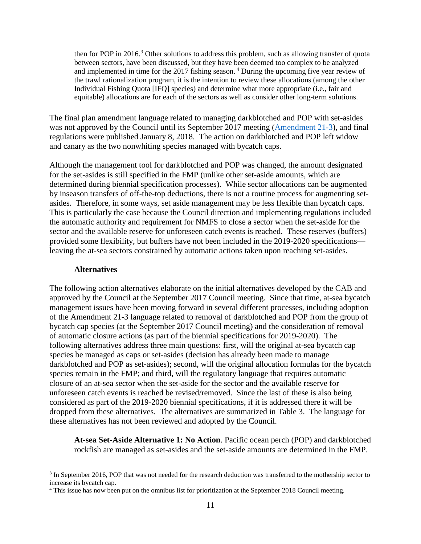then for POP in  $2016<sup>3</sup>$  $2016<sup>3</sup>$  $2016<sup>3</sup>$  Other solutions to address this problem, such as allowing transfer of quota between sectors, have been discussed, but they have been deemed too complex to be analyzed and implemented in time for the 2017 fishing season. [4](#page-10-2) During the upcoming five year review of the trawl rationalization program, it is the intention to review these allocations (among the other Individual Fishing Quota [IFQ] species) and determine what more appropriate (i.e., fair and equitable) allocations are for each of the sectors as well as consider other long-term solutions.

The final plan amendment language related to managing darkblotched and POP with set-asides was not approved by the Council until its September 2017 meeting [\(Amendment 21-3\)](https://www.pcouncil.org/groundfish/fishery-management-plan/fmp-amendment-21-3/), and final regulations were published January 8, 2018. The action on darkblotched and POP left widow and canary as the two nonwhiting species managed with bycatch caps.

Although the management tool for darkblotched and POP was changed, the amount designated for the set-asides is still specified in the FMP (unlike other set-aside amounts, which are determined during biennial specification processes). While sector allocations can be augmented by inseason transfers of off-the-top deductions, there is not a routine process for augmenting setasides. Therefore, in some ways, set aside management may be less flexible than bycatch caps. This is particularly the case because the Council direction and implementing regulations included the automatic authority and requirement for NMFS to close a sector when the set-aside for the sector and the available reserve for unforeseen catch events is reached. These reserves (buffers) provided some flexibility, but buffers have not been included in the 2019-2020 specifications leaving the at-sea sectors constrained by automatic actions taken upon reaching set-asides.

#### **Alternatives**

<span id="page-10-0"></span>The following action alternatives elaborate on the initial alternatives developed by the CAB and approved by the Council at the September 2017 Council meeting. Since that time, at-sea bycatch management issues have been moving forward in several different processes, including adoption of the Amendment 21-3 language related to removal of darkblotched and POP from the group of bycatch cap species (at the September 2017 Council meeting) and the consideration of removal of automatic closure actions (as part of the biennial specifications for 2019-2020). The following alternatives address three main questions: first, will the original at-sea bycatch cap species be managed as caps or set-asides (decision has already been made to manage darkblotched and POP as set-asides); second, will the original allocation formulas for the bycatch species remain in the FMP; and third, will the regulatory language that requires automatic closure of an at-sea sector when the set-aside for the sector and the available reserve for unforeseen catch events is reached be revised/removed. Since the last of these is also being considered as part of the 2019-2020 biennial specifications, if it is addressed there it will be dropped from these alternatives. The alternatives are summarized in [Table 3.](#page-11-0) The language for these alternatives has not been reviewed and adopted by the Council.

**At-sea Set-Aside Alternative 1: No Action**. Pacific ocean perch (POP) and darkblotched rockfish are managed as set-asides and the set-aside amounts are determined in the FMP.

<span id="page-10-1"></span><sup>&</sup>lt;sup>3</sup> In September 2016, POP that was not needed for the research deduction was transferred to the mothership sector to increase its bycatch cap.

<span id="page-10-2"></span><sup>4</sup> This issue has now been put on the omnibus list for prioritization at the September 2018 Council meeting.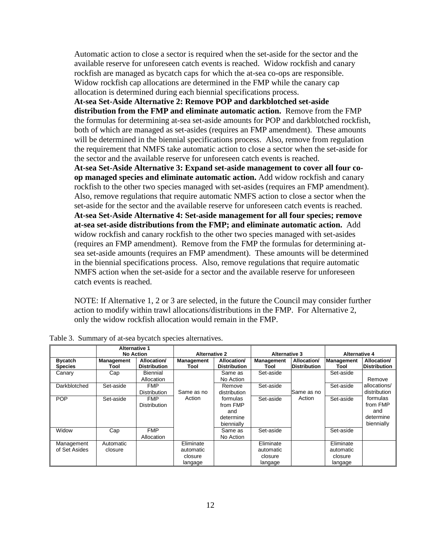Automatic action to close a sector is required when the set-aside for the sector and the available reserve for unforeseen catch events is reached. Widow rockfish and canary rockfish are managed as bycatch caps for which the at-sea co-ops are responsible. Widow rockfish cap allocations are determined in the FMP while the canary cap allocation is determined during each biennial specifications process.

**At-sea Set-Aside Alternative 2: Remove POP and darkblotched set-aside distribution from the FMP and eliminate automatic action.** Remove from the FMP the formulas for determining at-sea set-aside amounts for POP and darkblotched rockfish, both of which are managed as set-asides (requires an FMP amendment). These amounts will be determined in the biennial specifications process. Also, remove from regulation the requirement that NMFS take automatic action to close a sector when the set-aside for the sector and the available reserve for unforeseen catch events is reached.

**At-sea Set-Aside Alternative 3: Expand set-aside management to cover all four coop managed species and eliminate automatic action.** Add widow rockfish and canary rockfish to the other two species managed with set-asides (requires an FMP amendment). Also, remove regulations that require automatic NMFS action to close a sector when the set-aside for the sector and the available reserve for unforeseen catch events is reached. **At-sea Set-Aside Alternative 4: Set-aside management for all four species; remove at-sea set-aside distributions from the FMP; and eliminate automatic action.** Add widow rockfish and canary rockfish to the other two species managed with set-asides (requires an FMP amendment). Remove from the FMP the formulas for determining atsea set-aside amounts (requires an FMP amendment). These amounts will be determined in the biennial specifications process. Also, remove regulations that require automatic NMFS action when the set-aside for a sector and the available reserve for unforeseen catch events is reached.

NOTE: If Alternative 1, 2 or 3 are selected, in the future the Council may consider further action to modify within trawl allocations/distributions in the FMP. For Alternative 2, only the widow rockfish allocation would remain in the FMP.

|                                  | <b>Alternative 1</b><br><b>No Action</b> |                                    | <b>Alternative 2</b>                         |                                                        | <b>Alternative 3</b>                         |                                    | <b>Alternative 4</b>                         |                                                        |  |
|----------------------------------|------------------------------------------|------------------------------------|----------------------------------------------|--------------------------------------------------------|----------------------------------------------|------------------------------------|----------------------------------------------|--------------------------------------------------------|--|
| <b>Bycatch</b><br><b>Species</b> | <b>Management</b><br>Tool                | Allocation/<br><b>Distribution</b> | <b>Management</b><br>Tool                    | Allocation/<br><b>Distribution</b>                     | <b>Management</b><br>Tool                    | Allocation/<br><b>Distribution</b> | Management<br>Tool                           | Allocation/<br><b>Distribution</b>                     |  |
| Canary                           | Cap                                      | Biennial<br>Allocation             |                                              | Same as<br>No Action                                   | Set-aside                                    |                                    | Set-aside                                    | Remove                                                 |  |
| Darkblotched                     | Set-aside                                | <b>FMP</b><br><b>Distribution</b>  | Same as no                                   | Remove<br>distribution                                 | Set-aside                                    | Same as no                         | Set-aside                                    | allocations/<br>distribution                           |  |
| <b>POP</b>                       | Set-aside                                | <b>FMP</b><br><b>Distribution</b>  | Action                                       | formulas<br>from FMP<br>and<br>determine<br>biennially | Set-aside                                    | Action                             | Set-aside                                    | formulas<br>from FMP<br>and<br>determine<br>biennially |  |
| Widow                            | Cap                                      | <b>FMP</b><br>Allocation           |                                              | Same as<br>No Action                                   | Set-aside                                    |                                    | Set-aside                                    |                                                        |  |
| Management<br>of Set Asides      | Automatic<br>closure                     |                                    | Eliminate<br>automatic<br>closure<br>langage |                                                        | Eliminate<br>automatic<br>closure<br>langage |                                    | Eliminate<br>automatic<br>closure<br>langage |                                                        |  |

<span id="page-11-0"></span>Table 3. Summary of at-sea bycatch species alternatives.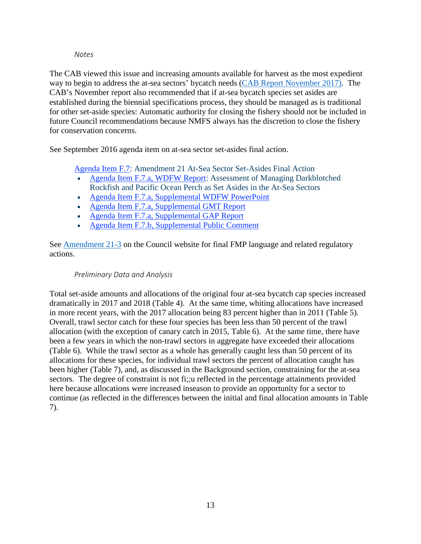#### *Notes*

<span id="page-12-0"></span>The CAB viewed this issue and increasing amounts available for harvest as the most expedient way to begin to address the at-sea sectors' bycatch needs (CAB [Report November 2017\).](https://www.pcouncil.org/wp-content/uploads/2017/11/F2a_Sup_CAB_Rpt1_NOV2017BB.pdf) The CAB's November report also recommended that if at-sea bycatch species set asides are established during the biennial specifications process, they should be managed as is traditional for other set-aside species: Automatic authority for closing the fishery should not be included in future Council recommendations because NMFS always has the discretion to close the fishery for conservation concerns.

See September 2016 agenda item on at-sea sector set-asides final action.

[Agenda Item F.7:](http://www.pcouncil.org/wp-content/uploads/2016/08/F7__SitSum_AtSeaSetAsides_SEPT2016BB.pdf) Amendment 21 At-Sea Sector Set-Asides Final Action

- [Agenda Item F.7.a, WDFW Report:](http://www.pcouncil.org/wp-content/uploads/2016/08/F7a_WDFW_Report_SEPT2016BB.pdf) Assessment of Managing Darkblotched Rockfish and Pacific Ocean Perch as Set Asides in the At-Sea Sectors
- [Agenda Item F.7.a, Supplemental WDFW PowerPoint](http://www.pcouncil.org/wp-content/uploads/2016/09/F7a_Sup_WDFW_PPT_SEPT2016BB.pdf)
- [Agenda Item F.7.a, Supplemental GMT Report](http://www.pcouncil.org/wp-content/uploads/2016/09/F7a_Sup_GMT_Rpt_SEPT2016BB.pdf)
- [Agenda Item F.7.a, Supplemental GAP Report](http://www.pcouncil.org/wp-content/uploads/2016/09/F7a_Sup_GAP_Rpt_SEPT2016BB.pdf)
- [Agenda Item F.7.b, Supplemental Public Comment](http://www.pcouncil.org/wp-content/uploads/2016/09/F7b_Sup_PubCom_SEPT2016BB.pdf)

See **Amendment 21-3** on the Council website for final FMP language and related regulatory actions.

#### *Preliminary Data and Analysis*

<span id="page-12-1"></span>Total set-aside amounts and allocations of the original four at-sea bycatch cap species increased dramatically in 2017 and 2018 [\(Table 4\)](#page-13-0). At the same time, whiting allocations have increased in more recent years, with the 2017 allocation being 83 percent higher than in 2011 [\(Table 5\)](#page-14-0). Overall, trawl sector catch for these four species has been less than 50 percent of the trawl allocation (with the exception of canary catch in 2015, [Table](#page-14-1) 6). At the same time, there have been a few years in which the non-trawl sectors in aggregate have exceeded their allocations [\(Table](#page-14-1) 6). While the trawl sector as a whole has generally caught less than 50 percent of its allocations for these species, for individual trawl sectors the percent of allocation caught has been higher [\(Table 7\)](#page-15-0), and, as discussed in the [Background](#page-8-3) section, constraining for the at-sea sectors. The degree of constraint is not fi;;u reflected in the percentage attainments provided here because allocations were increased inseason to provide an opportunity for a sector to continue (as reflected in the differences between the initial and final allocation amounts in [Table](#page-15-0)  [7\)](#page-15-0).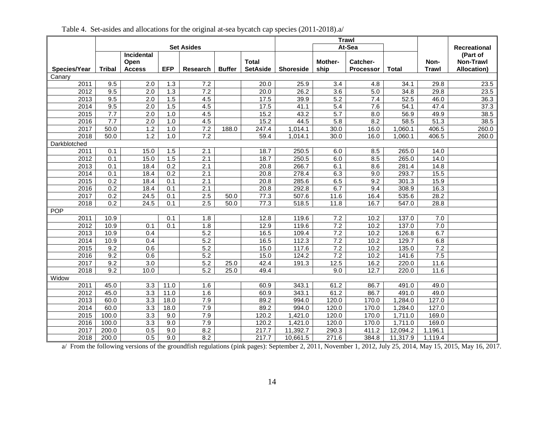<span id="page-13-0"></span>

|              |                  |                   |                  |                   |               |                   |                  | <b>Trawl</b>     |                  |              |              |                    |
|--------------|------------------|-------------------|------------------|-------------------|---------------|-------------------|------------------|------------------|------------------|--------------|--------------|--------------------|
|              |                  |                   |                  | <b>Set Asides</b> |               |                   | At-Sea           |                  |                  |              |              | Recreational       |
|              |                  | <b>Incidental</b> |                  |                   |               |                   |                  |                  |                  |              |              | (Part of           |
|              |                  | Open              |                  |                   |               | <b>Total</b>      |                  | Mother-          | Catcher-         |              | Non-         | <b>Non-Trawl</b>   |
| Species/Year | <b>Tribal</b>    | <b>Access</b>     | <b>EFP</b>       | Research          | <b>Buffer</b> | <b>SetAside</b>   | <b>Shoreside</b> | ship             | <b>Processor</b> | <b>Total</b> | <b>Trawl</b> | <b>Allocation)</b> |
| Canary       |                  |                   |                  |                   |               |                   |                  |                  |                  |              |              |                    |
| 2011         | 9.5              | $\overline{2.0}$  | $\overline{1.3}$ | 7.2               |               | 20.0              | 25.9             | $\overline{3.4}$ | 4.8              | 34.1         | 29.8         | 23.5               |
| 2012         | 9.5              | $\overline{2.0}$  | 1.3              | 7.2               |               | 20.0              | 26.2             | 3.6              | 5.0              | 34.8         | 29.8         | 23.5               |
| 2013         | 9.5              | 2.0               | 1.5              | 4.5               |               | 17.5              | 39.9             | 5.2              | 7.4              | 52.5         | 46.0         | 36.3               |
| 2014         | 9.5              | $\overline{2.0}$  | 1.5              | 4.5               |               | 17.5              | 41.1             | 5.4              | 7.6              | 54.1         | 47.4         | 37.3               |
| 2015         | 7.7              | 2.0               | 1.0              | 4.5               |               | 15.2              | 43.2             | $\overline{5.7}$ | 8.0              | 56.9         | 49.9         | $\overline{38.5}$  |
| 2016         | 7.7              | 2.0               | 1.0              | 4.5               |               | 15.2              | 44.5             | 5.8              | 8.2              | 58.5         | 51.3         | 38.5               |
| 2017         | 50.0             | 1.2               | $\overline{1.0}$ | 7.2               | 188.0         | 247.4             | 1,014.1          | 30.0             | 16.0             | 1,060.1      | 406.5        | 260.0              |
| 2018         | 50.0             | $\overline{1.2}$  | 1.0              | 7.2               |               | 59.4              | 1,014.1          | 30.0             | 16.0             | 1,060.1      | 406.5        | 260.0              |
| Darkblotched |                  |                   |                  |                   |               |                   |                  |                  |                  |              |              |                    |
| 2011         | 0.1              | 15.0              | 1.5              | 2.1               |               | 18.7              | 250.5            | 6.0              | 8.5              | 265.0        | 14.0         |                    |
| 2012         | 0.1              | 15.0              | 1.5              | $\overline{2.1}$  |               | 18.7              | 250.5            | 6.0              | 8.5              | 265.0        | 14.0         |                    |
| 2013         | 0.1              | 18.4              | $\overline{0.2}$ | 2.1               |               | 20.8              | 266.7            | 6.1              | 8.6              | 281.4        | 14.8         |                    |
| 2014         | 0.1              | 18.4              | 0.2              | $\overline{2.1}$  |               | $\overline{20.8}$ | 278.4            | 6.3              | 9.0              | 293.7        | 15.5         |                    |
| 2015         | 0.2              | 18.4              | 0.1              | $\overline{2.1}$  |               | 20.8              | 285.6            | 6.5              | 9.2              | 301.3        | 15.9         |                    |
| 2016         | 0.2              | 18.4              | 0.1              | 2.1               |               | 20.8              | 292.8            | 6.7              | 9.4              | 308.9        | 16.3         |                    |
| 2017         | 0.2              | 24.5              | 0.1              | 2.5               | 50.0          | 77.3              | 507.6            | 11.6             | 16.4             | 535.6        | 28.2         |                    |
| 2018         | $\overline{0.2}$ | 24.5              | 0.1              | 2.5               | 50.0          | 77.3              | 518.5            | 11.8             | 16.7             | 547.0        | 28.8         |                    |
| <b>POP</b>   |                  |                   |                  |                   |               |                   |                  |                  |                  |              |              |                    |
| 2011         | 10.9             |                   | 0.1              | 1.8               |               | 12.8              | 119.6            | 7.2              | 10.2             | 137.0        | 7.0          |                    |
| 2012         | 10.9             | 0.1               | 0.1              | 1.8               |               | 12.9              | 119.6            | 7.2              | 10.2             | 137.0        | 7.0          |                    |
| 2013         | 10.9             | 0.4               |                  | 5.2               |               | 16.5              | 109.4            | 7.2              | 10.2             | 126.8        | 6.7          |                    |
| 2014         | 10.9             | 0.4               |                  | $\overline{5.2}$  |               | 16.5              | 112.3            | 7.2              | 10.2             | 129.7        | 6.8          |                    |
| 2015         | 9.2              | 0.6               |                  | 5.2               |               | 15.0              | 117.6            | 7.2              | 10.2             | 135.0        | 7.2          |                    |
| 2016         | 9.2              | 0.6               |                  | $\overline{5.2}$  |               | 15.0              | 124.2            | 7.2              | 10.2             | 141.6        | 7.5          |                    |
| 2017         | 9.2              | $\overline{3.0}$  |                  | $\overline{5.2}$  | 25.0          | 42.4              | 191.3            | 12.5             | 16.2             | 220.0        | 11.6         |                    |
| 2018         | 9.2              | 10.0              |                  | 5.2               | 25.0          | 49.4              |                  | 9.0              | 12.7             | 220.0        | 11.6         |                    |
| Widow        |                  |                   |                  |                   |               |                   |                  |                  |                  |              |              |                    |
| 2011         | 45.0             | 3.3               | 11.0             | 1.6               |               | 60.9              | 343.1            | 61.2             | 86.7             | 491.0        | 49.0         |                    |
| 2012         | 45.0             | $\overline{3.3}$  | 11.0             | 1.6               |               | 60.9              | 343.1            | 61.2             | 86.7             | 491.0        | 49.0         |                    |
| 2013         | 60.0             | 3.3               | 18.0             | 7.9               |               | 89.2              | 994.0            | 120.0            | 170.0            | 1,284.0      | 127.0        |                    |
| 2014         | 60.0             | $\overline{3.3}$  | 18.0             | 7.9               |               | 89.2              | 994.0            | 120.0            | 170.0            | 1,284.0      | 127.0        |                    |
| 2015         | 100.0            | 3.3               | 9.0              | 7.9               |               | 120.2             | 1,421.0          | 120.0            | 170.0            | 1,711.0      | 169.0        |                    |
| 2016         | 100.0            | $\overline{3.3}$  | 9.0              | 7.9               |               | 120.2             | 1,421.0          | 120.0            | 170.0            | 1,711.0      | 169.0        |                    |
| 2017         | 200.0            | 0.5               | 9.0              | 8.2               |               | 217.7             | 11,392.7         | 290.3            | 411.2            | 12,094.2     | 1,196.1      |                    |
| 2018         | 200.0            | 0.5               | $\overline{9.0}$ | $\overline{8.2}$  |               | 217.7             | 10,661.5         | 271.6            | 384.8            | 11,317.9     | 1,119.4      |                    |

Table 4. Set-asides and allocations for the original at-sea bycatch cap species (2011-2018).a/

a/ From the following versions of the groundfish regulations (pink pages): September 2, 2011, November 1, 2012, July 25, 2014, May 15, 2015, May 16, 2017.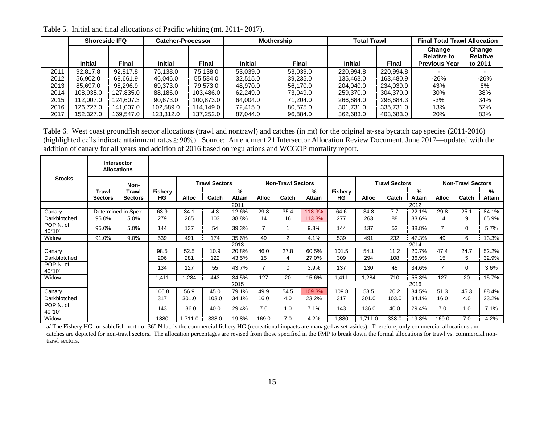|      | <b>Shoreside IFQ</b> |           | <b>Catcher-Processor</b> |              |                | <b>Mothership</b> | Total Trawl    |              | <b>Final Total Trawl Allocation</b>                  |                                      |  |
|------|----------------------|-----------|--------------------------|--------------|----------------|-------------------|----------------|--------------|------------------------------------------------------|--------------------------------------|--|
|      | <b>Initial</b>       | Final     | <b>Initial</b>           | <b>Final</b> | <b>Initial</b> | Final             | <b>Initial</b> | <b>Final</b> | Change<br><b>Relative to</b><br><b>Previous Year</b> | Change<br><b>Relative</b><br>to 2011 |  |
| 2011 | 92.817.8             | 92.817.8  | 75.138.0                 | 75.138.0     | 53.039.0       | 53.039.0          | 220.994.8      | 220.994.8    |                                                      |                                      |  |
| 2012 | 56,902.0             | 68.661.9  | 46.046.0                 | 55.584.0     | 32.515.0       | 39.235.0          | 135.463.0      | 163.480.9    | $-26%$                                               | $-26%$                               |  |
| 2013 | 85.697.0             | 98.296.9  | 69.373.0                 | 79.573.0     | 48.970.0       | 56.170.0          | 204.040.0      | 234.039.9    | 43%                                                  | 6%                                   |  |
| 2014 | 108,935.0            | 127,835.0 | 88.186.0                 | 103.486.0    | 62.249.0       | 73.049.0          | 259,370.0      | 304.370.0    | 30%                                                  | 38%                                  |  |
| 2015 | 112,007.0            | 124.607.3 | 90.673.0                 | 100.873.0    | 64.004.0       | 71.204.0          | 266.684.0      | 296.684.3    | $-3%$                                                | 34%                                  |  |
| 2016 | 126,727.0            | 141,007.0 | 102.589.0                | 114.149.0    | 72.415.0       | 80,575.0          | 301.731.0      | 335.731.0    | 13%                                                  | 52%                                  |  |
| 2017 | 152,327.0            | 169,547.0 | 123,312.0                | 137,252.0    | 87,044.0       | 96,884.0          | 362,683.0      | 403,683.0    | 20%                                                  | 83%                                  |  |

Table 5. Initial and final allocations of Pacific whiting (mt, 2011- 2017).

Table 6. West coast groundfish sector allocations (trawl and nontrawl) and catches (in mt) for the original at-sea bycatch cap species (2011-2016) (highlighted cells indicate attainment rates  $\geq 90\%$ ). Source: Amendment 21 Intersector Allocation Review Document, June 2017—updated with the addition of canary for all years and addition of 2016 based on regulations and WCGOP mortality report.

<span id="page-14-0"></span>

|                     | <b>Intersector</b><br><b>Allocations</b> |                         |                             |                      |       |                    |                          |                |                    |                      |              |                          |                |              |          |             |
|---------------------|------------------------------------------|-------------------------|-----------------------------|----------------------|-------|--------------------|--------------------------|----------------|--------------------|----------------------|--------------|--------------------------|----------------|--------------|----------|-------------|
| <b>Stocks</b>       |                                          | Non-                    |                             | <b>Trawl Sectors</b> |       |                    | <b>Non-Trawl Sectors</b> |                |                    | <b>Trawl Sectors</b> |              | <b>Non-Trawl Sectors</b> |                |              |          |             |
|                     | Trawl<br>Sectors                         | Trawl<br><b>Sectors</b> | <b>Fishery</b><br><b>HG</b> | <b>Alloc</b>         | Catch | ℅<br><b>Attain</b> | <b>Alloc</b>             | Catch          | %<br><b>Attain</b> | Fishery<br>HG        | <b>Alloc</b> | Catch                    | $\%$<br>Attain | <b>Alloc</b> | Catch    | %<br>Attain |
|                     |                                          |                         |                             |                      |       | 2011               |                          |                |                    |                      |              |                          | 2012           |              |          |             |
| Canary              | Determined in Spex                       |                         | 63.9                        | 34.1                 | 4.3   | 12.6%              | 29.8                     | 35.4           | 118.9%             | 64.6                 | 34.8         | 7.7                      | 22.1%          | 29.8         | 25.1     | 84.1%       |
| Darkblotched        | 95.0%                                    | 5.0%                    | 279                         | 265                  | 103   | 38.8%              | 14                       | 16             | 113.3%             | 277                  | 263          | 88                       | 33.6%          | 14           | 9        | 65.9%       |
| POP N. of<br>40°10' | 95.0%                                    | 5.0%                    | 144                         | 137                  | 54    | 39.3%              |                          |                | 9.3%               | 144                  | 137          | 53                       | 38.8%          |              | $\Omega$ | 5.7%        |
| Widow               | 91.0%                                    | 9.0%                    | 539                         | 491                  | 174   | 35.6%              | 49                       | $\overline{2}$ | 4.1%               | 539                  | 491          | 232                      | 47.3%          | 49           | 6        | 13.3%       |
|                     |                                          |                         |                             |                      |       | 2013               |                          |                |                    |                      |              |                          | 2014           |              |          |             |
| Canary              |                                          |                         | 98.5                        | 52.5                 | 10.9  | 20.8%              | 46.0                     | 27.8           | 60.5%              | 101.5                | 54.1         | 11.2                     | 20.7%          | 47.4         | 24.7     | 52.2%       |
| Darkblotched        |                                          |                         | 296                         | 281                  | 122   | 43.5%              | 15                       | 4              | 27.0%              | 309                  | 294          | 108                      | 36.9%          | 15           | 5        | 32.9%       |
| POP N. of<br>40°10' |                                          |                         | 134                         | 127                  | 55    | 43.7%              | 7                        | $\Omega$       | 3.9%               | 137                  | 130          | 45                       | 34.6%          |              | $\Omega$ | 3.6%        |
| Widow               |                                          |                         | .411                        | .284                 | 443   | 34.5%              | 127                      | 20             | 15.6%              | 1,411                | ,284         | 710                      | 55.3%          | 127          | 20       | 15.7%       |
|                     |                                          |                         |                             |                      |       | 2015               |                          |                |                    |                      |              |                          | 2016           |              |          |             |
| Canary              |                                          |                         | 106.8                       | 56.9                 | 45.0  | 79.1%              | 49.9                     | 54.5           | 109.3%             | 109.8                | 58.5         | 20.2                     | 34.5%          | 51.3         | 45.3     | 88.4%       |
| Darkblotched        |                                          |                         | 317                         | 301.0                | 103.0 | 34.1%              | 16.0                     | 4.0            | 23.2%              | 317                  | 301.0        | 103.0                    | 34.1%          | 16.0         | 4.0      | 23.2%       |
| POP N. of<br>40°10' |                                          |                         | 143                         | 136.0                | 40.0  | 29.4%              | 7.0                      | 1.0            | 7.1%               | 143                  | 136.0        | 40.0                     | 29.4%          | 7.0          | 1.0      | 7.1%        |
| Widow               |                                          |                         | 1880                        | 1,711.0              | 338.0 | 19.8%              | 169.0                    | 7.0            | 4.2%               | 1,880                | 1,711.0      | 338.0                    | 19.8%          | 169.0        | 7.0      | 4.2%        |

<span id="page-14-1"></span>a/ The Fishery HG for sablefish north of 36° N lat. is the commercial fishery HG (recreational impacts are managed as set-asides). Therefore, only commercial allocations and catches are depicted for non-trawl sectors. The allocation percentages are revised from those specified in the FMP to break down the formal allocations for trawl vs. commercial nontrawl sectors.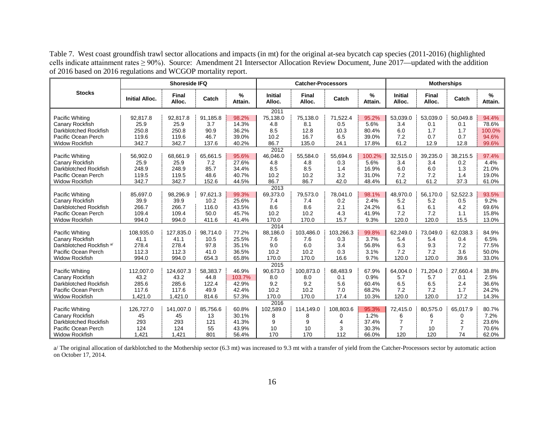Table 7. West coast groundfish trawl sector allocations and impacts (in mt) for the original at-sea bycatch cap species (2011-2016) (highlighted cells indicate attainment rates ≥ 90%). Source: Amendment 21 Intersector Allocation Review Document, June 2017—updated with the addition of 2016 based on 2016 regulations and WCGOP mortality report.

<span id="page-15-0"></span>

|                                     |                       | <b>Shoreside IFQ</b>   |          |              |                          | <b>Catcher-Processors</b> |           |              |                          | <b>Motherships</b> |                |              |
|-------------------------------------|-----------------------|------------------------|----------|--------------|--------------------------|---------------------------|-----------|--------------|--------------------------|--------------------|----------------|--------------|
| <b>Stocks</b>                       | <b>Initial Alloc.</b> | <b>Final</b><br>Alloc. | Catch    | %<br>Attain. | <b>Initial</b><br>Alloc. | Final<br>Alloc.           | Catch     | %<br>Attain. | <b>Initial</b><br>Alloc. | Final<br>Alloc.    | Catch          | %<br>Attain. |
|                                     |                       |                        |          |              | 2011                     |                           |           |              |                          |                    |                |              |
| Pacific Whiting                     | 92,817.8              | 92,817.8               | 91,185.8 | 98.2%        | 75,138.0                 | 75,138.0                  | 71,522.4  | 95.2%        | 53,039.0                 | 53,039.0           | 50.049.8       | 94.4%        |
| Canary Rockfish                     | 25.9                  | 25.9                   | 3.7      | 14.3%        | 4.8                      | 8.1                       | 0.5       | 5.6%         | 3.4                      | 0.1                | 0.1            | 78.6%        |
| Darkblotched Rockfish               | 250.8                 | 250.8                  | 90.9     | 36.2%        | 8.5                      | 12.8                      | 10.3      | 80.4%        | 6.0                      | 1.7                | 1.7            | 100.0%       |
| Pacific Ocean Perch                 | 119.6                 | 119.6                  | 46.7     | 39.0%        | 10.2                     | 16.7                      | 6.5       | 39.0%        | 7.2                      | 0.7                | 0.7            | 94.6%        |
| <b>Widow Rockfish</b>               | 342.7                 | 342.7                  | 137.6    | 40.2%        | 86.7                     | 135.0                     | 24.1      | 17.8%        | 61.2                     | 12.9               | 12.8           | 99.6%        |
|                                     |                       |                        |          |              | 2012                     |                           |           |              |                          |                    |                |              |
| Pacific Whiting                     | 56,902.0              | 68,661.9               | 65.661.5 | 95.6%        | 46,046.0                 | 55,584.0                  | 55.694.6  | 100.2%       | 32,515.0                 | 39.235.0           | 38.215.5       | 97.4%        |
| Canary Rockfish                     | 25.9                  | 25.9                   | 7.2      | 27.6%        | 4.8                      | 4.8                       | 0.3       | 5.6%         | 3.4                      | 3.4                | 0.2            | 4.4%         |
| Darkblotched Rockfish               | 248.9                 | 248.9                  | 85.7     | 34.4%        | 8.5                      | 8.5                       | 1.4       | 16.9%        | 6.0                      | 6.0                | 1.3            | 21.0%        |
| Pacific Ocean Perch                 | 119.5                 | 119.5                  | 48.6     | 40.7%        | 10.2                     | 10.2                      | 3.2       | 31.0%        | 7.2                      | 7.2                | 1.4            | 19.0%        |
| <b>Widow Rockfish</b>               | 342.7                 | 342.7                  | 152.6    | 44.5%        | 86.7                     | 86.7                      | 42.0      | 48.4%        | 61.2                     | 61.2               | 37.3           | 61.0%        |
|                                     |                       |                        |          |              | 2013                     |                           |           |              |                          |                    |                |              |
| Pacific Whiting                     | 85,697.0              | 98,296.9               | 97.621.3 | 99.3%        | 69,373.0                 | 79,573.0                  | 78.041.0  | 98.1%        | 48.970.0                 | 56,170.0           | 52.522.3       | 93.5%        |
| Canary Rockfish                     | 39.9                  | 39.9                   | 10.2     | 25.6%        | 7.4                      | 7.4                       | 0.2       | 2.4%         | 5.2                      | 5.2                | 0.5            | 9.2%         |
| Darkblotched Rockfish               | 266.7                 | 266.7                  | 116.0    | 43.5%        | 8.6                      | 8.6                       | 2.1       | 24.2%        | 6.1                      | 6.1                | 4.2            | 69.6%        |
| Pacific Ocean Perch                 | 109.4                 | 109.4                  | 50.0     | 45.7%        | 10.2                     | 10.2                      | 4.3       | 41.9%        | 7.2                      | 7.2                | 1.1            | 15.8%        |
| <b>Widow Rockfish</b>               | 994.0                 | 994.0                  | 411.6    | 41.4%        | 170.0                    | 170.0                     | 15.7      | 9.3%         | 120.0                    | 120.0              | 15.5           | 13.0%        |
|                                     |                       |                        |          |              | 2014                     |                           |           |              |                          |                    |                |              |
| Pacific Whiting                     | 108,935.0             | 127,835.0              | 98,714.0 | 77.2%        | 88,186.0                 | 103,486.0                 | 103.266.3 | 99.8%        | 62,249.0                 | 73,049.0           | 62,038.3       | 84.9%        |
| Canary Rockfish                     | 41.1                  | 41.1                   | 10.5     | 25.5%        | 7.6                      | 7.6                       | 0.3       | 3.7%         | 5.4                      | 5.4                | 0.4            | 6.5%         |
| Darkblotched Rockfish <sup>a/</sup> | 278.4                 | 278.4                  | 97.8     | 35.1%        | 9.0                      | 6.0                       | 3.4       | 56.8%        | 6.3                      | 9.3                | 7.2            | 77.5%        |
| Pacific Ocean Perch                 | 112.3                 | 112.3                  | 41.0     | 36.5%        | 10.2                     | 10.2                      | 0.3       | 3.1%         | 7.2                      | 7.2                | 3.6            | 50.0%        |
| <b>Widow Rockfish</b>               | 994.0                 | 994.0                  | 654.3    | 65.8%        | 170.0                    | 170.0                     | 16.6      | 9.7%         | 120.0                    | 120.0              | 39.6           | 33.0%        |
|                                     |                       |                        |          |              | 2015                     |                           |           |              |                          |                    |                |              |
| Pacific Whiting                     | 112,007.0             | 124,607.3              | 58,383.7 | 46.9%        | 90,673.0                 | 100,873.0                 | 68,483.9  | 67.9%        | 64,004.0                 | 71,204.0           | 27.660.4       | 38.8%        |
| Canary Rockfish                     | 43.2                  | 43.2                   | 44.8     | 103.7%       | 8.0                      | 8.0                       | 0.1       | 0.9%         | 5.7                      | 5.7                | 0.1            | 2.5%         |
| Darkblotched Rockfish               | 285.6                 | 285.6                  | 122.4    | 42.9%        | 9.2                      | 9.2                       | 5.6       | 60.4%        | 6.5                      | 6.5                | 2.4            | 36.6%        |
| Pacific Ocean Perch                 | 117.6                 | 117.6                  | 49.9     | 42.4%        | 10.2                     | 10.2                      | 7.0       | 68.2%        | 7.2                      | 7.2                | 1.7            | 24.2%        |
| <b>Widow Rockfish</b>               | 1,421.0               | 1,421.0                | 814.6    | 57.3%        | 170.0                    | 170.0                     | 17.4      | 10.3%        | 120.0                    | 120.0              | 17.2           | 14.3%        |
|                                     |                       |                        |          |              | 2016                     |                           |           |              |                          |                    |                |              |
| Pacific Whiting                     | 126,727.0             | 141,007.0              | 85,756.6 | 60.8%        | 102,589.0                | 114.149.0                 | 108,803.6 | 95.3%        | 72,415.0                 | 80,575.0           | 65,017.9       | 80.7%        |
| Canary Rockfish                     | 45                    | 45                     | 13       | 30.1%        | 8                        | 8                         | 0         | 1.2%         | 6                        | 6                  | 0              | 7.2%         |
| Darkblotched Rockfish               | 293                   | 293                    | 121      | 41.3%        | 9                        | 9                         | 4         | 37.4%        | $\overline{7}$           | $\overline{7}$     | $\overline{2}$ | 23.6%        |
| Pacific Ocean Perch                 | 124                   | 124                    | 55       | 43.9%        | 10                       | 10                        | 3         | 30.3%        | 7                        | 10                 | 7              | 70.6%        |
| <b>Widow Rockfish</b>               | 1,421                 | 1,421                  | 801      | 56.4%        | 170                      | 170                       | 112       | 66.0%        | 120                      | 120                | 74             | 62.0%        |

a/ The original allocation of darkblotched to the Mothership sector (6.3 mt) was increased to 9.3 mt with a transfer of yield from the Catcher-Processors sector by automatic action on October 17, 2014.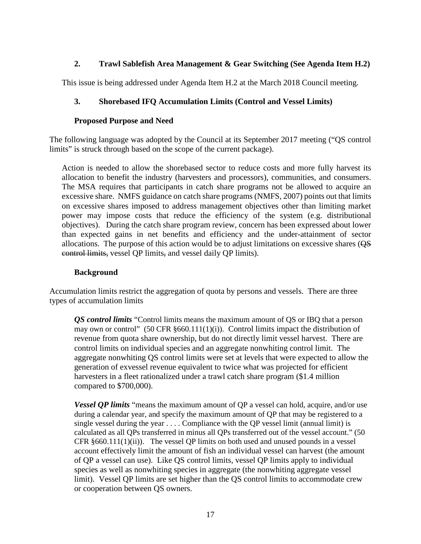# **2. Trawl Sablefish Area Management & Gear Switching (See Agenda Item H.2)**

<span id="page-16-1"></span><span id="page-16-0"></span>This issue is being addressed under Agenda Item H.2 at the March 2018 Council meeting.

# **3. Shorebased IFQ Accumulation Limits (Control and Vessel Limits)**

## **Proposed Purpose and Need**

<span id="page-16-2"></span>The following language was adopted by the Council at its September 2017 meeting ("QS control limits" is struck through based on the scope of the current package).

Action is needed to allow the shorebased sector to reduce costs and more fully harvest its allocation to benefit the industry (harvesters and processors), communities, and consumers. The MSA requires that participants in catch share programs not be allowed to acquire an excessive share. NMFS guidance on catch share programs (NMFS, 2007) points out that limits on excessive shares imposed to address management objectives other than limiting market power may impose costs that reduce the efficiency of the system (e.g. distributional objectives). During the catch share program review, concern has been expressed about lower than expected gains in net benefits and efficiency and the under-attainment of sector allocations. The purpose of this action would be to adjust limitations on excessive shares (QS control limits, vessel QP limits, and vessel daily QP limits).

#### **Background**

<span id="page-16-3"></span>Accumulation limits restrict the aggregation of quota by persons and vessels. There are three types of accumulation limits

*QS control limits* "Control limits means the maximum amount of QS or IBQ that a person may own or control" (50 CFR §660.111(1)(i)). Control limits impact the distribution of revenue from quota share ownership, but do not directly limit vessel harvest. There are control limits on individual species and an aggregate nonwhiting control limit. The aggregate nonwhiting QS control limits were set at levels that were expected to allow the generation of exvessel revenue equivalent to twice what was projected for efficient harvesters in a fleet rationalized under a trawl catch share program (\$1.4 million compared to \$700,000).

*Vessel OP limits* "means the maximum amount of OP a vessel can hold, acquire, and/or use during a calendar year, and specify the maximum amount of QP that may be registered to a single vessel during the year  $\dots$ . Compliance with the QP vessel limit (annual limit) is calculated as all QPs transferred in minus all QPs transferred out of the vessel account." (50 CFR  $§660.111(1)(ii)$ . The vessel QP limits on both used and unused pounds in a vessel account effectively limit the amount of fish an individual vessel can harvest (the amount of QP a vessel can use). Like QS control limits, vessel QP limits apply to individual species as well as nonwhiting species in aggregate (the nonwhiting aggregate vessel limit). Vessel QP limits are set higher than the QS control limits to accommodate crew or cooperation between QS owners.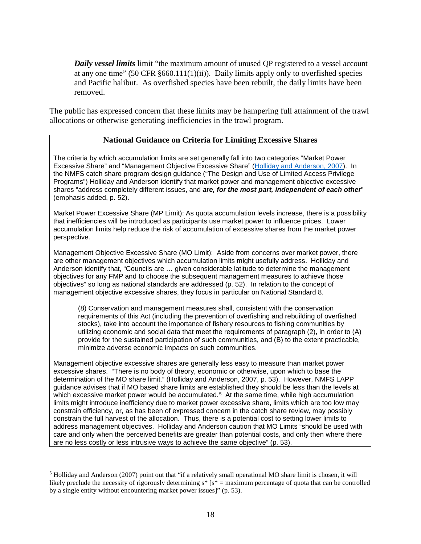*Daily vessel limits* limit "the maximum amount of unused QP registered to a vessel account at any one time" (50 CFR  $\S 660.111(1)(ii)$ ). Daily limits apply only to overfished species and Pacific halibut. As overfished species have been rebuilt, the daily limits have been removed.

The public has expressed concern that these limits may be hampering full attainment of the trawl allocations or otherwise generating inefficiencies in the trawl program.

## **National Guidance on Criteria for Limiting Excessive Shares**

The criteria by which accumulation limits are set generally fall into two categories "Market Power Excessive Share" and "Management Objective Excessive Share" [\(Holliday and Anderson, 2007\)](https://msu.edu/%7Esta/USDOC_LAPs.pdf). In the NMFS catch share program design guidance ("The Design and Use of Limited Access Privilege Programs") Holliday and Anderson identify that market power and management objective excessive shares "address completely different issues, and *are, for the most part, independent of each other*" (emphasis added, p. 52).

Market Power Excessive Share (MP Limit): As quota accumulation levels increase, there is a possibility that inefficiencies will be introduced as participants use market power to influence prices. Lower accumulation limits help reduce the risk of accumulation of excessive shares from the market power perspective.

Management Objective Excessive Share (MO Limit): Aside from concerns over market power, there are other management objectives which accumulation limits might usefully address. Holliday and Anderson identify that, "Councils are … given considerable latitude to determine the management objectives for any FMP and to choose the subsequent management measures to achieve those objectives" so long as national standards are addressed (p. 52). In relation to the concept of management objective excessive shares, they focus in particular on National Standard 8.

(8) Conservation and management measures shall, consistent with the conservation requirements of this Act (including the prevention of overfishing and rebuilding of overfished stocks), take into account the importance of fishery resources to fishing communities by utilizing economic and social data that meet the requirements of paragraph (2), in order to (A) provide for the sustained participation of such communities, and (B) to the extent practicable, minimize adverse economic impacts on such communities.

Management objective excessive shares are generally less easy to measure than market power excessive shares. "There is no body of theory, economic or otherwise, upon which to base the determination of the MO share limit." (Holliday and Anderson, 2007, p. 53). However, NMFS LAPP guidance advises that if MO based share limits are established they should be less than the levels at which excessive market power would be accumulated.<sup>[5](#page-17-0)</sup> At the same time, while high accumulation limits might introduce inefficiency due to market power excessive share, limits which are too low may constrain efficiency, or, as has been of expressed concern in the catch share review, may possibly constrain the full harvest of the allocation. Thus, there is a potential cost to setting lower limits to address management objectives. Holliday and Anderson caution that MO Limits "should be used with care and only when the perceived benefits are greater than potential costs, and only then where there are no less costly or less intrusive ways to achieve the same objective" (p. 53).

<span id="page-17-0"></span> <sup>5</sup> Holliday and Anderson (2007) point out that "if a relatively small operational MO share limit is chosen, it will likely preclude the necessity of rigorously determining  $s^*$  [ $s^*$  = maximum percentage of quota that can be controlled by a single entity without encountering market power issues]" (p. 53).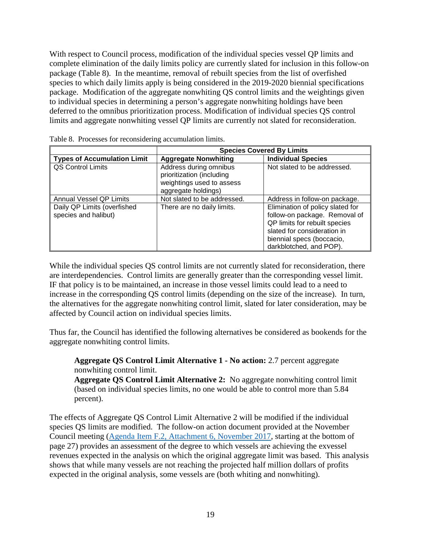With respect to Council process, modification of the individual species vessel QP limits and complete elimination of the daily limits policy are currently slated for inclusion in this follow-on package [\(Table 8\)](#page-18-0). In the meantime, removal of rebuilt species from the list of overfished species to which daily limits apply is being considered in the 2019-2020 biennial specifications package. Modification of the aggregate nonwhiting QS control limits and the weightings given to individual species in determining a person's aggregate nonwhiting holdings have been deferred to the omnibus prioritization process. Modification of individual species QS control limits and aggregate nonwhiting vessel QP limits are currently not slated for reconsideration.

|                                                     |                                                                                                         | <b>Species Covered By Limits</b>                                                                                                                                                          |
|-----------------------------------------------------|---------------------------------------------------------------------------------------------------------|-------------------------------------------------------------------------------------------------------------------------------------------------------------------------------------------|
| <b>Types of Accumulation Limit</b>                  | <b>Aggregate Nonwhiting</b>                                                                             | <b>Individual Species</b>                                                                                                                                                                 |
| <b>QS Control Limits</b>                            | Address during omnibus<br>prioritization (including<br>weightings used to assess<br>aggregate holdings) | Not slated to be addressed.                                                                                                                                                               |
| Annual Vessel QP Limits                             | Not slated to be addressed.                                                                             | Address in follow-on package.                                                                                                                                                             |
| Daily QP Limits (overfished<br>species and halibut) | There are no daily limits.                                                                              | Elimination of policy slated for<br>follow-on package. Removal of<br>QP limits for rebuilt species<br>slated for consideration in<br>biennial specs (boccacio,<br>darkblotched, and POP). |

<span id="page-18-0"></span>

While the individual species OS control limits are not currently slated for reconsideration, there are interdependencies. Control limits are generally greater than the corresponding vessel limit. IF that policy is to be maintained, an increase in those vessel limits could lead to a need to increase in the corresponding QS control limits (depending on the size of the increase). In turn, the alternatives for the aggregate nonwhiting control limit, slated for later consideration, may be affected by Council action on individual species limits.

Thus far, the Council has identified the following alternatives be considered as bookends for the aggregate nonwhiting control limits.

**Aggregate QS Control Limit Alternative 1 - No action:** 2.7 percent aggregate nonwhiting control limit.

**Aggregate QS Control Limit Alternative 2:** No aggregate nonwhiting control limit (based on individual species limits, no one would be able to control more than 5.84 percent).

The effects of Aggregate QS Control Limit Alternative 2 will be modified if the individual species QS limits are modified. The follow-on action document provided at the November Council meeting [\(Agenda Item F.2, Attachment 6, November 2017,](http://www.pcouncil.org/wp-content/uploads/2017/10/F2_Att6_FollowOnActions_NOV2017BB.pdf) starting at the bottom of page 27) provides an assessment of the degree to which vessels are achieving the exvessel revenues expected in the analysis on which the original aggregate limit was based. This analysis shows that while many vessels are not reaching the projected half million dollars of profits expected in the original analysis, some vessels are (both whiting and nonwhiting).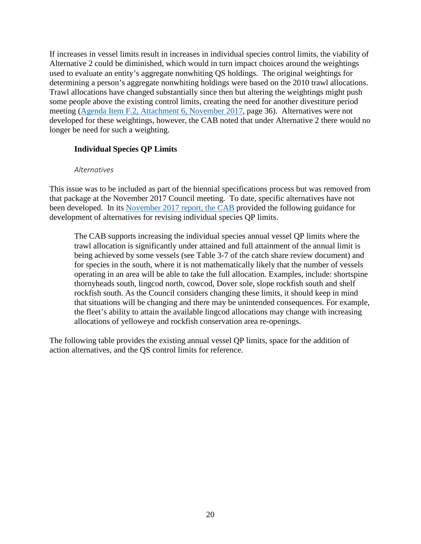If increases in vessel limits result in increases in individual species control limits, the viability of Alternative 2 could be diminished, which would in turn impact choices around the weightings used to evaluate an entity's aggregate nonwhiting QS holdings. The original weightings for determining a person's aggregate nonwhiting holdings were based on the 2010 trawl allocations. Trawl allocations have changed substantially since then but altering the weightings might push some people above the existing control limits, creating the need for another divestiture period meeting [\(Agenda Item F.2, Attachment 6, November 2017,](http://www.pcouncil.org/wp-content/uploads/2017/10/F2_Att6_FollowOnActions_NOV2017BB.pdf) page 36). Alternatives were not developed for these weightings, however, the CAB noted that under Alternative 2 there would no longer be need for such a weighting.

## <span id="page-19-0"></span>**Individual Species QP Limits**

#### *Alternatives*

<span id="page-19-1"></span>This issue was to be included as part of the biennial specifications process but was removed from that package at the November 2017 Council meeting. To date, specific alternatives have not been developed. In its [November 2017 report, the CAB](https://www.pcouncil.org/wp-content/uploads/2017/11/F2a_Sup_CAB_Rpt1_NOV2017BB.pdf) provided the following guidance for development of alternatives for revising individual species QP limits.

The CAB supports increasing the individual species annual vessel QP limits where the trawl allocation is significantly under attained and full attainment of the annual limit is being achieved by some vessels (see Table 3-7 of the catch share review document) and for species in the south, where it is not mathematically likely that the number of vessels operating in an area will be able to take the full allocation. Examples, include: shortspine thornyheads south, lingcod north, cowcod, Dover sole, slope rockfish south and shelf rockfish south. As the Council considers changing these limits, it should keep in mind that situations will be changing and there may be unintended consequences. For example, the fleet's ability to attain the available lingcod allocations may change with increasing allocations of yelloweye and rockfish conservation area re-openings.

The following table provides the existing annual vessel QP limits, space for the addition of action alternatives, and the QS control limits for reference.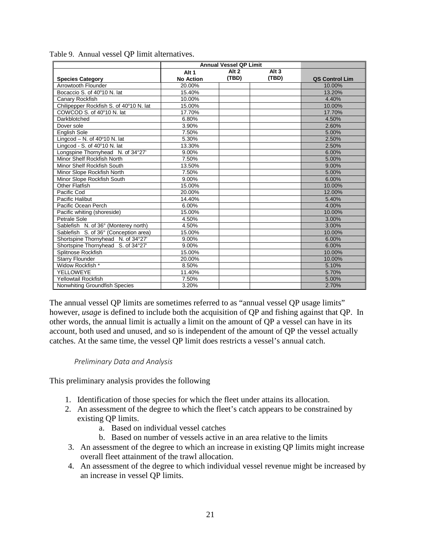|                                         |                  | <b>Annual Vessel QP Limit</b> |                  |                |
|-----------------------------------------|------------------|-------------------------------|------------------|----------------|
|                                         | Alt <sub>1</sub> | Alt <sub>2</sub>              | Alt <sub>3</sub> |                |
| <b>Species Category</b>                 | <b>No Action</b> | (TBD)                         | (TBD)            | QS Control Lim |
| Arrowtooth Flounder                     | 20.00%           |                               |                  | 10.00%         |
| Bocaccio S. of 40°10 N. lat             | 15.40%           |                               |                  | 13.20%         |
| <b>Canary Rockfish</b>                  | 10.00%           |                               |                  | 4.40%          |
| Chilipepper Rockfish S. of 40°10 N. lat | 15.00%           |                               |                  | 10.00%         |
| COWCOD S. of 40°10 N. lat               | 17.70%           |                               |                  | 17.70%         |
| Darkblotched                            | 6.80%            |                               |                  | 4.50%          |
| Dover sole                              | 3.90%            |                               |                  | 2.60%          |
| <b>English Sole</b>                     | 7.50%            |                               |                  | 5.00%          |
| Lingcod - N. of $40^{\circ}10$ N. lat   | 5.30%            |                               |                  | 2.50%          |
| Lingcod - S. of 40°10 N. lat            | 13.30%           |                               |                  | 2.50%          |
| Longspine Thornyhead N. of 34°27'       | 9.00%            |                               |                  | 6.00%          |
| Minor Shelf Rockfish North              | 7.50%            |                               |                  | 5.00%          |
| Minor Shelf Rockfish South              | 13.50%           |                               |                  | 9.00%          |
| Minor Slope Rockfish North              | 7.50%            |                               |                  | 5.00%          |
| Minor Slope Rockfish South              | 9.00%            |                               |                  | 6.00%          |
| <b>Other Flatfish</b>                   | 15.00%           |                               |                  | 10.00%         |
| Pacific Cod                             | 20.00%           |                               |                  | 12.00%         |
| Pacific Halibut                         | 14.40%           |                               |                  | 5.40%          |
| Pacific Ocean Perch                     | 6.00%            |                               |                  | 4.00%          |
| Pacific whiting (shoreside)             | 15.00%           |                               |                  | 10.00%         |
| Petrale Sole                            | 4.50%            |                               |                  | 3.00%          |
| Sablefish N. of 36° (Monterey north)    | 4.50%            |                               |                  | 3.00%          |
| Sablefish S. of 36° (Conception area)   | 15.00%           |                               |                  | 10.00%         |
| Shortspine Thornyhead N. of 34°27'      | 9.00%            |                               |                  | 6.00%          |
| Shortspine Thornyhead S. of 34°27'      | 9.00%            |                               |                  | 6.00%          |
| Splitnose Rockfish                      | 15.00%           |                               |                  | 10.00%         |
| <b>Starry Flounder</b>                  | 20.00%           |                               |                  | 10.00%         |
| Widow Rockfish *                        | 8.50%            |                               |                  | 5.10%          |
| YELLOWEYE                               | 11.40%           |                               |                  | 5.70%          |
| <b>Yellowtail Rockfish</b>              | 7.50%            |                               |                  | 5.00%          |
| Nonwhiting Groundfish Species           | 3.20%            |                               |                  | 2.70%          |

<span id="page-20-1"></span>

|  |  |  |  |  | Table 9. Annual vessel QP limit alternatives. |
|--|--|--|--|--|-----------------------------------------------|
|--|--|--|--|--|-----------------------------------------------|

The annual vessel QP limits are sometimes referred to as "annual vessel QP usage limits" however, *usage* is defined to include both the acquisition of QP and fishing against that QP. In other words, the annual limit is actually a limit on the amount of QP a vessel can have in its account, both used and unused, and so is independent of the amount of QP the vessel actually catches. At the same time, the vessel QP limit does restricts a vessel's annual catch.

#### *Preliminary Data and Analysis*

<span id="page-20-0"></span>This preliminary analysis provides the following

- 1. Identification of those species for which the fleet under attains its allocation.
- 2. An assessment of the degree to which the fleet's catch appears to be constrained by existing QP limits.
	- a. Based on individual vessel catches
	- b. Based on number of vessels active in an area relative to the limits
- 3. An assessment of the degree to which an increase in existing QP limits might increase overall fleet attainment of the trawl allocation.
- 4. An assessment of the degree to which individual vessel revenue might be increased by an increase in vessel QP limits.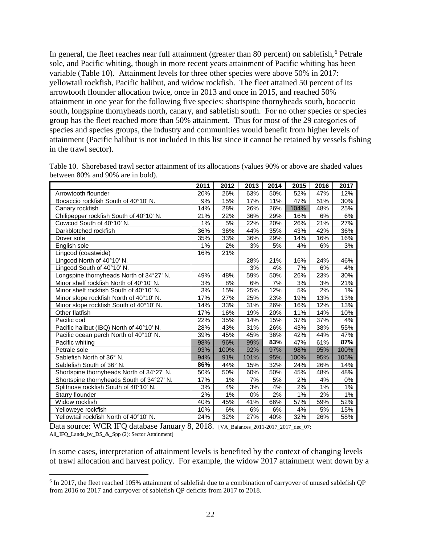In general, the fleet reaches near full attainment (greater than 80 percent) on sablefish,<sup>[6](#page-21-1)</sup> Petrale sole, and Pacific whiting, though in more recent years attainment of Pacific whiting has been variable [\(Table 10\)](#page-21-0). Attainment levels for three other species were above 50% in 2017: yellowtail rockfish, Pacific halibut, and widow rockfish. The fleet attained 50 percent of its arrowtooth flounder allocation twice, once in 2013 and once in 2015, and reached 50% attainment in one year for the following five species: shortspine thornyheads south, bocaccio south, longspine thornyheads north, canary, and sablefish south. For no other species or species group has the fleet reached more than 50% attainment. Thus for most of the 29 categories of species and species groups, the industry and communities would benefit from higher levels of attainment (Pacific halibut is not included in this list since it cannot be retained by vessels fishing in the trawl sector).

|                                           | 2011  | 2012  | 2013 | 2014 | 2015  | 2016 | 2017  |
|-------------------------------------------|-------|-------|------|------|-------|------|-------|
| Arrowtooth flounder                       | 20%   | 26%   | 63%  | 50%  | 52%   | 47%  | 12%   |
| Bocaccio rockfish South of 40°10' N.      | 9%    | 15%   | 17%  | 11%  | 47%   | 51%  | 30%   |
| Canary rockfish                           | 14%   | 28%   | 26%  | 26%  | 104%  | 48%  | 25%   |
| Chilipepper rockfish South of 40°10' N.   | 21%   | 22%   | 36%  | 29%  | 16%   | 6%   | 6%    |
| Cowcod South of 40°10' N.                 | 1%    | 5%    | 22%  | 20%  | 26%   | 21%  | 27%   |
| Darkblotched rockfish                     | 36%   | 36%   | 44%  | 35%  | 43%   | 42%  | 36%   |
| Dover sole                                | 35%   | 33%   | 36%  | 29%  | 14%   | 16%  | 16%   |
| English sole                              | $1\%$ | 2%    | 3%   | 5%   | 4%    | 6%   | 3%    |
| Lingcod (coastwide)                       | 16%   | 21%   |      |      |       |      |       |
| Lingcod North of 40°10' N.                |       |       | 28%  | 21%  | 16%   | 24%  | 46%   |
| Lingcod South of 40°10' N.                |       |       | 3%   | 4%   | 7%    | 6%   | 4%    |
| Longspine thornyheads North of 34°27' N.  | 49%   | 48%   | 59%  | 50%  | 26%   | 23%  | 30%   |
| Minor shelf rockfish North of 40°10' N.   | 3%    | 8%    | 6%   | 7%   | 3%    | 3%   | 21%   |
| Minor shelf rockfish South of 40°10' N.   | 3%    | 15%   | 25%  | 12%  | 5%    | 2%   | $1\%$ |
| Minor slope rockfish North of 40°10' N.   | 17%   | 27%   | 25%  | 23%  | 19%   | 13%  | 13%   |
| Minor slope rockfish South of 40°10' N.   | 14%   | 33%   | 31%  | 26%  | 16%   | 12%  | 13%   |
| Other flatfish                            | 17%   | 16%   | 19%  | 20%  | 11%   | 14%  | 10%   |
| Pacific cod                               | 22%   | 35%   | 14%  | 15%  | 37%   | 37%  | 4%    |
| Pacific halibut (IBQ) North of 40°10' N.  | 28%   | 43%   | 31%  | 26%  | 43%   | 38%  | 55%   |
| Pacific ocean perch North of 40°10' N.    | 39%   | 45%   | 45%  | 36%  | 42%   | 44%  | 47%   |
| Pacific whiting                           | 98%   | 96%   | 99%  | 83%  | 47%   | 61%  | 87%   |
| Petrale sole                              | 93%   | 100%  | 92%  | 97%  | 98%   | 95%  | 100%  |
| Sablefish North of 36° N.                 | 94%   | 91%   | 101% | 95%  | 100%  | 95%  | 105%  |
| Sablefish South of 36° N.                 | 86%   | 44%   | 15%  | 32%  | 24%   | 26%  | 14%   |
| Shortspine thornyheads North of 34°27' N. | 50%   | 50%   | 60%  | 50%  | 45%   | 48%  | 48%   |
| Shortspine thornyheads South of 34°27' N. | 17%   | 1%    | 7%   | 5%   | 2%    | 4%   | 0%    |
| Splitnose rockfish South of 40°10' N.     | 3%    | 4%    | 3%   | 4%   | 2%    | 1%   | 1%    |
| <b>Starry flounder</b>                    | 2%    | $1\%$ | 0%   | 2%   | $1\%$ | 2%   | 1%    |
| Widow rockfish                            | 40%   | 45%   | 41%  | 66%  | 57%   | 59%  | 52%   |
| Yelloweye rockfish                        | 10%   | 6%    | 6%   | 6%   | 4%    | 5%   | 15%   |
| Yellowtail rockfish North of 40°10' N.    | 24%   | 32%   | 27%  | 40%  | 32%   | 26%  | 58%   |

<span id="page-21-0"></span>Table 10. Shorebased trawl sector attainment of its allocations (values 90% or above are shaded values between 80% and 90% are in bold).

Data source: WCR IFQ database January 8, 2018. [VA\_Balances\_2011-2017\_2017\_dec\_07: All\_IFQ\_Lands\_by\_DS\_&\_Spp (2): Sector Attainment]

In some cases, interpretation of attainment levels is benefited by the context of changing levels of trawl allocation and harvest policy. For example, the widow 2017 attainment went down by a

<span id="page-21-1"></span><sup>&</sup>lt;sup>6</sup> In 2017, the fleet reached 105% attainment of sablefish due to a combination of carryover of unused sablefish OP from 2016 to 2017 and carryover of sablefish QP deficits from 2017 to 2018.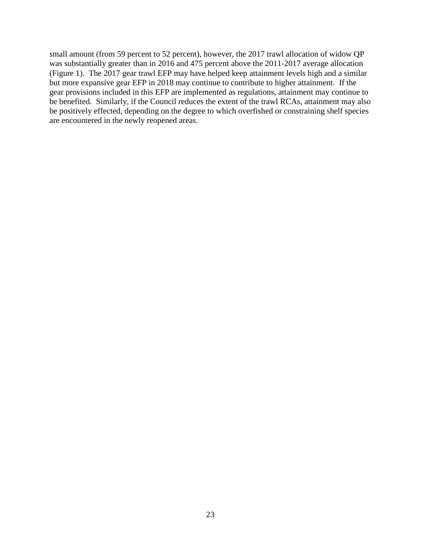small amount (from 59 percent to 52 percent), however, the 2017 trawl allocation of widow QP was substantially greater than in 2016 and 475 percent above the 2011-2017 average allocation [\(Figure 1\)](#page-23-0). The 2017 gear trawl EFP may have helped keep attainment levels high and a similar but more expansive gear EFP in 2018 may continue to contribute to higher attainment. If the gear provisions included in this EFP are implemented as regulations, attainment may continue to be benefited. Similarly, if the Council reduces the extent of the trawl RCAs, attainment may also be positively effected, depending on the degree to which overfished or constraining shelf species are encountered in the newly reopened areas.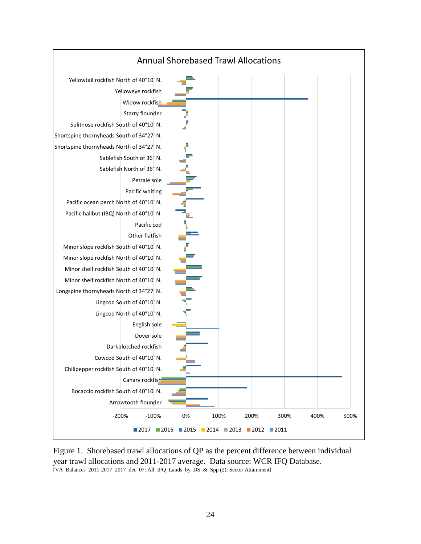

<span id="page-23-0"></span>Figure 1. Shorebased trawl allocations of QP as the percent difference between individual year trawl allocations and 2011-2017 average. Data source: WCR IFQ Database. [VA\_Balances\_2011-2017\_2017\_dec\_07: All\_IFQ\_Lands\_by\_DS\_&\_Spp (2): Sector Attainment]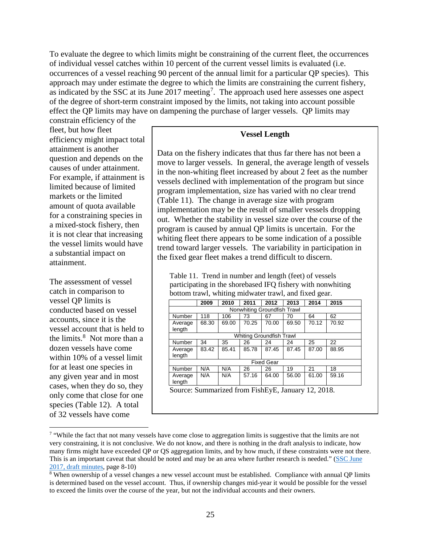To evaluate the degree to which limits might be constraining of the current fleet, the occurrences of individual vessel catches within 10 percent of the current vessel limits is evaluated (i.e. occurrences of a vessel reaching 90 percent of the annual limit for a particular QP species). This approach may under estimate the degree to which the limits are constraining the current fishery, as indicated by the SSC at its June  $2017$  $2017$  meeting<sup>7</sup>. The approach used here assesses one aspect of the degree of short-term constraint imposed by the limits, not taking into account possible effect the QP limits may have on dampening the purchase of larger vessels. QP limits may

constrain efficiency of the fleet, but how fleet efficiency might impact total attainment is another question and depends on the causes of under attainment. For example, if attainment is limited because of limited markets or the limited amount of quota available for a constraining species in a mixed-stock fishery, then it is not clear that increasing the vessel limits would have a substantial impact on attainment.

The assessment of vessel catch in comparison to vessel QP limits is conducted based on vessel accounts, since it is the vessel account that is held to the limits.<sup>[8](#page-24-2)</sup> Not more than a dozen vessels have come within 10% of a vessel limit for at least one species in any given year and in most cases, when they do so, they only come that close for one species [\(Table 12\)](#page-25-0). A total of 32 vessels have come

#### **Vessel Length**

Data on the fishery indicates that thus far there has not been a move to larger vessels. In general, the average length of vessels in the non-whiting fleet increased by about 2 feet as the number vessels declined with implementation of the program but since program implementation, size has varied with no clear trend [\(Table 11\)](#page-24-0). The change in average size with program implementation may be the result of smaller vessels dropping out. Whether the stability in vessel size over the course of the program is caused by annual QP limits is uncertain. For the whiting fleet there appears to be some indication of a possible trend toward larger vessels. The variability in participation in the fixed gear fleet makes a trend difficult to discern.

<span id="page-24-0"></span>Table 11. Trend in number and length (feet) of vessels participating in the shorebased IFQ fishery with nonwhiting bottom trawl, whiting midwater trawl, and fixed gear.

|                          | 2009                                             | 2010  | 2011  | 2012              | 2013  | 2014  | 2015  |  |  |  |  |  |  |
|--------------------------|--------------------------------------------------|-------|-------|-------------------|-------|-------|-------|--|--|--|--|--|--|
|                          | Nonwhiting Groundfish Trawl                      |       |       |                   |       |       |       |  |  |  |  |  |  |
| Number                   | 118                                              | 106   | 73    | 67                | 70    | 64    | 62    |  |  |  |  |  |  |
| Average                  | 68.30                                            | 69.00 | 70.25 | 70.00             | 69.50 | 70.12 | 70.92 |  |  |  |  |  |  |
| length                   |                                                  |       |       |                   |       |       |       |  |  |  |  |  |  |
| Whiting Groundfish Trawl |                                                  |       |       |                   |       |       |       |  |  |  |  |  |  |
| Number                   | 34                                               | 35    | 26    | 24                | 24    | 25    | 22    |  |  |  |  |  |  |
| Average                  | 83.42                                            | 85.41 | 85.78 | 87.45             | 87.45 | 87.00 | 88.95 |  |  |  |  |  |  |
| length                   |                                                  |       |       |                   |       |       |       |  |  |  |  |  |  |
|                          |                                                  |       |       | <b>Fixed Gear</b> |       |       |       |  |  |  |  |  |  |
| Number                   | N/A                                              | N/A   | 26    | 26                | 19    | 21    | 18    |  |  |  |  |  |  |
| Average                  | N/A                                              | N/A   | 57.16 | 64.00             | 56.00 | 61.00 | 59.16 |  |  |  |  |  |  |
| length                   |                                                  |       |       |                   |       |       |       |  |  |  |  |  |  |
|                          | Source: Summarized from FishFyF January 12, 2018 |       |       |                   |       |       |       |  |  |  |  |  |  |

ized from FishEyE, January 12, 2018.

<span id="page-24-1"></span><sup>&</sup>lt;sup>7</sup> "While the fact that not many vessels have come close to aggregation limits is suggestive that the limits are not very constraining, it is not conclusive. We do not know, and there is nothing in the draft analysis to indicate, how many firms might have exceeded QP or QS aggregation limits, and by how much, if these constraints were not there. This is an important caveat that should be noted and may be an area where further research is needed." [\(SSC June](http://www.pcouncil.org/wp-content/uploads/2017/08/SSC_DRAFT_June2017_Minutes_SEPT2017BB.pdf)  [2017, draft minutes,](http://www.pcouncil.org/wp-content/uploads/2017/08/SSC_DRAFT_June2017_Minutes_SEPT2017BB.pdf) page 8-10)

<span id="page-24-2"></span> $8$  When ownership of a vessel changes a new vessel account must be established. Compliance with annual QP limits is determined based on the vessel account. Thus, if ownership changes mid-year it would be possible for the vessel to exceed the limits over the course of the year, but not the individual accounts and their owners.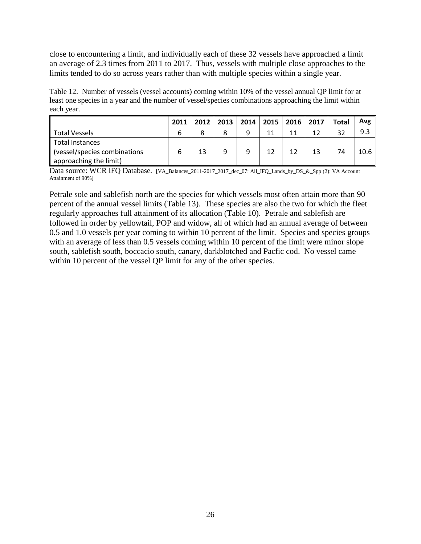close to encountering a limit, and individually each of these 32 vessels have approached a limit an average of 2.3 times from 2011 to 2017. Thus, vessels with multiple close approaches to the limits tended to do so across years rather than with multiple species within a single year.

<span id="page-25-0"></span>Table 12. Number of vessels (vessel accounts) coming within 10% of the vessel annual QP limit for at least one species in a year and the number of vessel/species combinations approaching the limit within each year.

|                              | 2011 | 2012 | 2013 | 2014 |    | 2015   2016   2017 |     | <b>Total</b> | Avg  |
|------------------------------|------|------|------|------|----|--------------------|-----|--------------|------|
| <b>Total Vessels</b>         | 6    |      |      |      | 11 | 11                 | 1 ว | 32           | 9.3  |
| Total Instances              |      |      |      |      |    |                    |     |              |      |
| (vessel/species combinations | 6    | 13   | 9    | a    | 12 | 12                 | 13  | 74           | 10.6 |
| approaching the limit)       |      |      |      |      |    |                    |     |              |      |

Data source: WCR IFO Database. [VA\_Balances\_2011-2017\_2017\_dec\_07: All\_IFO\_Lands\_by\_DS\_&\_Spp (2): VA Account Attainment of 90%]

Petrale sole and sablefish north are the species for which vessels most often attain more than 90 percent of the annual vessel limits [\(Table 13\)](#page-26-0). These species are also the two for which the fleet regularly approaches full attainment of its allocation [\(Table 10\)](#page-21-0). Petrale and sablefish are followed in order by yellowtail, POP and widow, all of which had an annual average of between 0.5 and 1.0 vessels per year coming to within 10 percent of the limit. Species and species groups with an average of less than 0.5 vessels coming within 10 percent of the limit were minor slope south, sablefish south, boccacio south, canary, darkblotched and Pacfic cod. No vessel came within 10 percent of the vessel QP limit for any of the other species.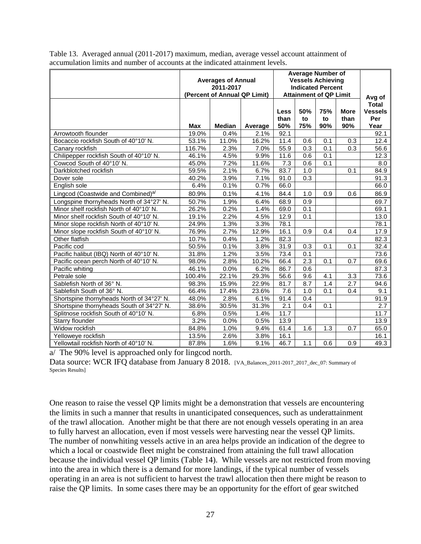|                                                | <b>Averages of Annual</b><br>(Percent of Annual QP Limit) | <b>Average Number of</b><br><b>Vessels Achieving</b><br><b>Indicated Percent</b><br><b>Attainment of QP Limit</b> | Avg of  |                            |                  |                  |                            |                                               |
|------------------------------------------------|-----------------------------------------------------------|-------------------------------------------------------------------------------------------------------------------|---------|----------------------------|------------------|------------------|----------------------------|-----------------------------------------------|
|                                                | <b>Max</b>                                                | <b>Median</b>                                                                                                     | Average | <b>Less</b><br>than<br>50% | 50%<br>to<br>75% | 75%<br>to<br>90% | <b>More</b><br>than<br>90% | <b>Total</b><br><b>Vessels</b><br>Per<br>Year |
| Arrowtooth flounder                            | 19.0%                                                     | 0.4%                                                                                                              | 2.1%    | 92.1                       |                  |                  |                            | 92.1                                          |
| Bocaccio rockfish South of 40°10' N.           | 53.1%                                                     | 11.0%                                                                                                             | 16.2%   | 11.4                       | 0.6              | 0.1              | 0.3                        | 12.4                                          |
| Canary rockfish                                | 116.7%                                                    | 2.3%                                                                                                              | 7.0%    | 55.9                       | 0.3              | $\overline{0.1}$ | 0.3                        | 56.6                                          |
| Chilipepper rockfish South of 40°10' N.        | 46.1%                                                     | 4.5%                                                                                                              | 9.9%    | 11.6                       | 0.6              | 0.1              |                            | 12.3                                          |
| Cowcod South of 40°10' N.                      | 45.0%                                                     | 7.2%                                                                                                              | 11.6%   | 7.3                        | 0.6              | 0.1              |                            | 8.0                                           |
| Darkblotched rockfish                          | 59.5%                                                     | 2.1%                                                                                                              | 6.7%    | 83.7                       | 1.0              |                  | 0.1                        | 84.9                                          |
| Dover sole                                     | 40.2%                                                     | 3.9%                                                                                                              | 7.1%    | 91.0                       | 0.3              |                  |                            | 91.3                                          |
| English sole                                   | 6.4%                                                      | 0.1%                                                                                                              | 0.7%    | 66.0                       |                  |                  |                            | 66.0                                          |
| Lingcod (Coastwide and Combined) <sup>a/</sup> | 80.9%                                                     | 0.1%                                                                                                              | 4.1%    | 84.4                       | 1.0              | 0.9              | 0.6                        | 86.9                                          |
| Longspine thornyheads North of 34°27' N.       | 50.7%                                                     | 1.9%                                                                                                              | 6.4%    | 68.9                       | 0.9              |                  |                            | 69.7                                          |
| Minor shelf rockfish North of 40°10' N.        | 26.2%                                                     | 0.2%                                                                                                              | 1.4%    | 69.0                       | 0.1              |                  |                            | 69.1                                          |
| Minor shelf rockfish South of 40°10' N.        | 19.1%                                                     | 2.2%                                                                                                              | 4.5%    | 12.9                       | 0.1              |                  |                            | 13.0                                          |
| Minor slope rockfish North of 40°10' N.        | 24.9%                                                     | 1.3%                                                                                                              | 3.3%    | 78.1                       |                  |                  |                            | 78.1                                          |
| Minor slope rockfish South of 40°10' N.        | 76.9%                                                     | 2.7%                                                                                                              | 12.9%   | 16.1                       | $\overline{0.9}$ | 0.4              | 0.4                        | 17.9                                          |
| Other flatfish                                 | 10.7%                                                     | 0.4%                                                                                                              | 1.2%    | 82.3                       |                  |                  |                            | 82.3                                          |
| Pacific cod                                    | 50.5%                                                     | 0.1%                                                                                                              | 3.8%    | 31.9                       | 0.3              | 0.1              | 0.1                        | 32.4                                          |
| Pacific halibut (IBQ) North of 40°10' N.       | 31.8%                                                     | 1.2%                                                                                                              | 3.5%    | 73.4                       | 0.1              |                  |                            | 73.6                                          |
| Pacific ocean perch North of 40°10' N.         | 98.0%                                                     | 2.8%                                                                                                              | 10.2%   | 66.4                       | $\overline{2.3}$ | 0.1              | 0.7                        | 69.6                                          |
| Pacific whiting                                | 46.1%                                                     | 0.0%                                                                                                              | 6.2%    | 86.7                       | 0.6              |                  |                            | 87.3                                          |
| Petrale sole                                   | 100.4%                                                    | 22.1%                                                                                                             | 29.3%   | 56.6                       | $9.\overline{6}$ | 4.1              | $\overline{3.3}$           | 73.6                                          |
| Sablefish North of 36° N.                      | 98.3%                                                     | 15.9%                                                                                                             | 22.9%   | 81.7                       | $\overline{8.7}$ | 1.4              | $\overline{2.7}$           | 94.6                                          |
| Sablefish South of 36° N.                      | 66.4%                                                     | 17.4%                                                                                                             | 23.6%   | 7.6                        | 1.0              | 0.1              | 0.4                        | 9.1                                           |
| Shortspine thornyheads North of 34°27' N.      | 48.0%                                                     | 2.8%                                                                                                              | 6.1%    | 91.4                       | 0.4              |                  |                            | 91.9                                          |
| Shortspine thornyheads South of 34°27' N.      | 38.6%                                                     | 30.5%                                                                                                             | 31.3%   | $\overline{2.1}$           | 0.4              | 0.1              |                            | 2.7                                           |
| Splitnose rockfish South of 40°10' N.          | 6.8%                                                      | 0.5%                                                                                                              | 1.4%    | 11.7                       |                  |                  |                            | 11.7                                          |
| Starry flounder                                | 3.2%                                                      | 0.0%                                                                                                              | 0.5%    | 13.9                       |                  |                  |                            | 13.9                                          |
| Widow rockfish                                 | 84.8%                                                     | 1.0%                                                                                                              | 9.4%    | 61.4                       | 1.6              | 1.3              | 0.7                        | 65.0                                          |
| Yelloweye rockfish                             | 13.5%                                                     | 2.6%                                                                                                              | 3.8%    | 16.1                       |                  |                  |                            | 16.1                                          |
| Yellowtail rockfish North of 40°10' N.         | 87.8%                                                     | 1.6%                                                                                                              | 9.1%    | 46.7                       | 1.1              | 0.6              | 0.9                        | 49.3                                          |

<span id="page-26-0"></span>Table 13. Averaged annual (2011-2017) maximum, median, average vessel account attainment of accumulation limits and number of accounts at the indicated attainment levels.

a/ The 90% level is approached only for lingcod north.

Data source: WCR IFQ database from January 8 2018. [VA\_Balances\_2011-2017\_2017\_dec\_07: Summary of Species Results]

One reason to raise the vessel QP limits might be a demonstration that vessels are encountering the limits in such a manner that results in unanticipated consequences, such as underattainment of the trawl allocation. Another might be that there are not enough vessels operating in an area to fully harvest an allocation, even if most vessels were harvesting near the vessel QP limits. The number of nonwhiting vessels active in an area helps provide an indication of the degree to which a local or coastwide fleet might be constrained from attaining the full trawl allocation because the individual vessel QP limits [\(Table 14\)](#page-27-0). While vessels are not restricted from moving into the area in which there is a demand for more landings, if the typical number of vessels operating in an area is not sufficient to harvest the trawl allocation then there might be reason to raise the QP limits. In some cases there may be an opportunity for the effort of gear switched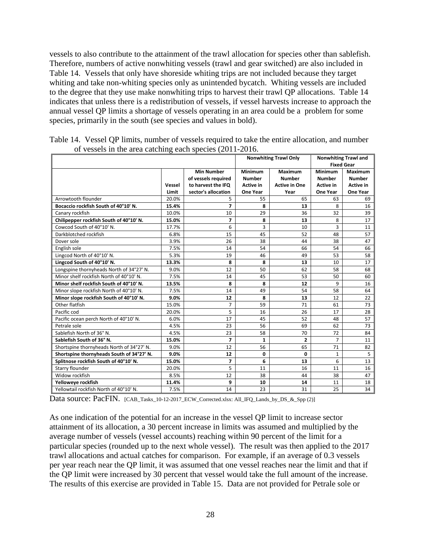vessels to also contribute to the attainment of the trawl allocation for species other than sablefish. Therefore, numbers of active nonwhiting vessels (trawl and gear switched) are also included in [Table 14.](#page-27-0) Vessels that only have shoreside whiting trips are not included because they target whiting and take non-whiting species only as unintended bycatch. Whiting vessels are included to the degree that they use make nonwhiting trips to harvest their trawl QP allocations. [Table 14](#page-27-0) indicates that unless there is a redistribution of vessels, if vessel harvests increase to approach the annual vessel QP limits a shortage of vessels operating in an area could be a problem for some species, primarily in the south (see species and values in bold).

|                                           |        |                                                                |                                              | <b>Nonwhiting Trawl Only</b>                     |                                       | <b>Nonwhiting Trawl and</b><br><b>Fixed Gear</b> |
|-------------------------------------------|--------|----------------------------------------------------------------|----------------------------------------------|--------------------------------------------------|---------------------------------------|--------------------------------------------------|
|                                           | Vessel | <b>Min Number</b><br>of vessels required<br>to harvest the IFQ | Minimum<br><b>Number</b><br><b>Active in</b> | Maximum<br><b>Number</b><br><b>Active in One</b> | Minimum<br><b>Number</b><br>Active in | Maximum<br><b>Number</b><br>Active in            |
|                                           | Limit  | sector's allocation                                            | <b>One Year</b>                              | Year                                             | <b>One Year</b>                       | One Year                                         |
| Arrowtooth flounder                       | 20.0%  | 5                                                              | 55                                           | 65                                               | 63                                    | 69                                               |
| Bocaccio rockfish South of 40°10' N.      | 15.4%  | $\overline{ }$                                                 | 8                                            | 13                                               | 8                                     | 16                                               |
| Canary rockfish                           | 10.0%  | 10                                                             | 29                                           | 36                                               | 32                                    | 39                                               |
| Chilipepper rockfish South of 40°10' N.   | 15.0%  | $\overline{7}$                                                 | 8                                            | 13                                               | 8                                     | 17                                               |
| Cowcod South of 40°10' N.                 | 17.7%  | 6                                                              | 3                                            | 10                                               | 3                                     | 11                                               |
| Darkblotched rockfish                     | 6.8%   | 15                                                             | 45                                           | 52                                               | 48                                    | 57                                               |
| Dover sole                                | 3.9%   | 26                                                             | 38                                           | 44                                               | 38                                    | 47                                               |
| English sole                              | 7.5%   | 14                                                             | 54                                           | 66                                               | 54                                    | 66                                               |
| Lingcod North of 40°10' N.                | 5.3%   | 19                                                             | 46                                           | 49                                               | 53                                    | 58                                               |
| Lingcod South of 40°10' N.                | 13.3%  | 8                                                              | 8                                            | 13                                               | 10                                    | 17                                               |
| Longspine thornyheads North of 34°27' N.  | 9.0%   | 12                                                             | 50                                           | 62                                               | 58                                    | 68                                               |
| Minor shelf rockfish North of 40°10' N.   | 7.5%   | 14                                                             | 45                                           | 53                                               | 50                                    | 60                                               |
| Minor shelf rockfish South of 40°10' N.   | 13.5%  | 8                                                              | 8                                            | 12                                               | 9                                     | 16                                               |
| Minor slope rockfish North of 40°10' N.   | 7.5%   | 14                                                             | 49                                           | 54                                               | 58                                    | 64                                               |
| Minor slope rockfish South of 40°10' N.   | 9.0%   | 12                                                             | 8                                            | 13                                               | 12                                    | 22                                               |
| Other flatfish                            | 15.0%  | $\overline{7}$                                                 | 59                                           | 71                                               | 61                                    | 73                                               |
| Pacific cod                               | 20.0%  | 5                                                              | 16                                           | 26                                               | 17                                    | 28                                               |
| Pacific ocean perch North of 40°10' N.    | 6.0%   | 17                                                             | 45                                           | 52                                               | 48                                    | 57                                               |
| Petrale sole                              | 4.5%   | 23                                                             | 56                                           | 69                                               | 62                                    | 73                                               |
| Sablefish North of 36° N.                 | 4.5%   | 23                                                             | 58                                           | 70                                               | 72                                    | 84                                               |
| Sablefish South of 36° N.                 | 15.0%  | $\overline{7}$                                                 | $\mathbf{1}$                                 | $\overline{2}$                                   | $\overline{7}$                        | 11                                               |
| Shortspine thornyheads North of 34°27' N. | 9.0%   | 12                                                             | 56                                           | 65                                               | 71                                    | 82                                               |
| Shortspine thornyheads South of 34°27' N. | 9.0%   | 12                                                             | 0                                            | 0                                                | $\mathbf{1}$                          | 5                                                |
| Splitnose rockfish South of 40°10' N.     | 15.0%  | $\overline{7}$                                                 | 6                                            | 13                                               | 6                                     | 13                                               |
| Starry flounder                           | 20.0%  | 5                                                              | 11                                           | 16                                               | 11                                    | 16                                               |
| Widow rockfish                            | 8.5%   | 12                                                             | 38                                           | 44                                               | 38                                    | 47                                               |
| Yelloweye rockfish                        | 11.4%  | 9                                                              | 10                                           | 14                                               | 11                                    | 18                                               |
| Yellowtail rockfish North of 40°10' N.    | 7.5%   | 14                                                             | 23                                           | 31                                               | 25                                    | 34                                               |

<span id="page-27-0"></span>Table 14. Vessel QP limits, number of vessels required to take the entire allocation, and number of vessels in the area catching each species (2011-2016.

Data source: PacFIN. [CAB\_Tasks\_10-12-2017\_ECW\_Corrected.xlsx: All\_IFQ\_Lands\_by\_DS\_&\_Spp (2)]

As one indication of the potential for an increase in the vessel QP limit to increase sector attainment of its allocation, a 30 percent increase in limits was assumed and multiplied by the average number of vessels (vessel accounts) reaching within 90 percent of the limit for a particular species (rounded up to the next whole vessel). The result was then applied to the 2017 trawl allocations and actual catches for comparison. For example, if an average of 0.3 vessels per year reach near the QP limit, it was assumed that one vessel reaches near the limit and that if the QP limit were increased by 30 percent that vessel would take the full amount of the increase. The results of this exercise are provided in [Table 15.](#page-28-0) Data are not provided for Petrale sole or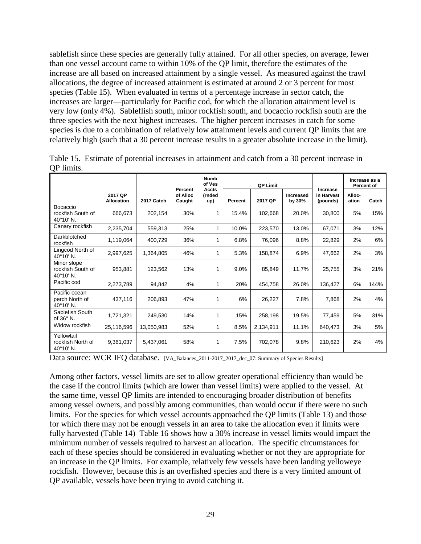sablefish since these species are generally fully attained. For all other species, on average, fewer than one vessel account came to within 10% of the QP limit, therefore the estimates of the increase are all based on increased attainment by a single vessel. As measured against the trawl allocations, the degree of increased attainment is estimated at around 2 or 3 percent for most species [\(Table 15\)](#page-28-0). When evaluated in terms of a percentage increase in sector catch, the increases are larger—particularly for Pacific cod, for which the allocation attainment level is very low (only 4%). Sableflish south, minor rockfish south, and bocaccio rockfish south are the three species with the next highest increases. The higher percent increases in catch for some species is due to a combination of relatively low attainment levels and current QP limits that are relatively high (such that a 30 percent increase results in a greater absolute increase in the limit).

|                                               |                              |            |                               | <b>Numb</b><br>of Ves         |         | <b>QP Limit</b> |                     |                                    |                 | Increase as a<br>Percent of |
|-----------------------------------------------|------------------------------|------------|-------------------------------|-------------------------------|---------|-----------------|---------------------|------------------------------------|-----------------|-----------------------------|
|                                               | 2017 QP<br><b>Allocation</b> | 2017 Catch | Percent<br>of Alloc<br>Caught | <b>Accts</b><br>(rnded<br>up) | Percent | 2017 QP         | Increased<br>by 30% | Increase<br>in Harvest<br>(pounds) | Alloc-<br>ation | Catch                       |
| Bocaccio<br>rockfish South of<br>40°10' N.    | 666,673                      | 202,154    | 30%                           | 1                             | 15.4%   | 102,668         | 20.0%               | 30,800                             | 5%              | 15%                         |
| Canary rockfish                               | 2,235,704                    | 559,313    | 25%                           | 1                             | 10.0%   | 223,570         | 13.0%               | 67,071                             | 3%              | 12%                         |
| Darkblotched<br>rockfish                      | 1,119,064                    | 400,729    | 36%                           | 1                             | 6.8%    | 76,096          | 8.8%                | 22,829                             | 2%              | 6%                          |
| Lingcod North of<br>40°10' N.                 | 2,997,625                    | 1,364,805  | 46%                           | 1                             | 5.3%    | 158,874         | 6.9%                | 47,662                             | 2%              | 3%                          |
| Minor slope<br>rockfish South of<br>40°10' N. | 953.881                      | 123,562    | 13%                           | 1                             | 9.0%    | 85,849          | 11.7%               | 25,755                             | 3%              | 21%                         |
| Pacific cod                                   | 2,273,789                    | 94,842     | 4%                            | 1                             | 20%     | 454,758         | 26.0%               | 136,427                            | 6%              | 144%                        |
| Pacific ocean<br>perch North of<br>40°10' N.  | 437,116                      | 206,893    | 47%                           | 1                             | 6%      | 26,227          | 7.8%                | 7,868                              | 2%              | 4%                          |
| Sablefish South<br>of $36^\circ$ N.           | 1,721,321                    | 249,530    | 14%                           | 1                             | 15%     | 258,198         | 19.5%               | 77,459                             | 5%              | 31%                         |
| Widow rockfish                                | 25,116,596                   | 13,050,983 | 52%                           | 1                             | 8.5%    | 2,134,911       | 11.1%               | 640,473                            | 3%              | 5%                          |
| Yellowtail<br>rockfish North of<br>40°10' N.  | 9,361,037                    | 5,437,061  | 58%                           | 1                             | 7.5%    | 702,078         | 9.8%                | 210,623                            | 2%              | 4%                          |

<span id="page-28-0"></span>Table 15. Estimate of potential increases in attainment and catch from a 30 percent increase in QP limits.

Data source: WCR IFQ database. [VA\_Balances\_2011-2017\_2017\_dec\_07: Summary of Species Results]

Among other factors, vessel limits are set to allow greater operational efficiency than would be the case if the control limits (which are lower than vessel limits) were applied to the vessel. At the same time, vessel QP limits are intended to encouraging broader distribution of benefits among vessel owners, and possibly among communities, than would occur if there were no such limits. For the species for which vessel accounts approached the QP limits [\(Table 13\)](#page-26-0) and those for which there may not be enough vessels in an area to take the allocation even if limits were fully harvested [\(Table 14\)](#page-27-0) [Table 16](#page-29-0) shows how a 30% increase in vessel limits would impact the minimum number of vessels required to harvest an allocation. The specific circumstances for each of these species should be considered in evaluating whether or not they are appropriate for an increase in the QP limits. For example, relatively few vessels have been landing yelloweye rockfish. However, because this is an overfished species and there is a very limited amount of QP available, vessels have been trying to avoid catching it.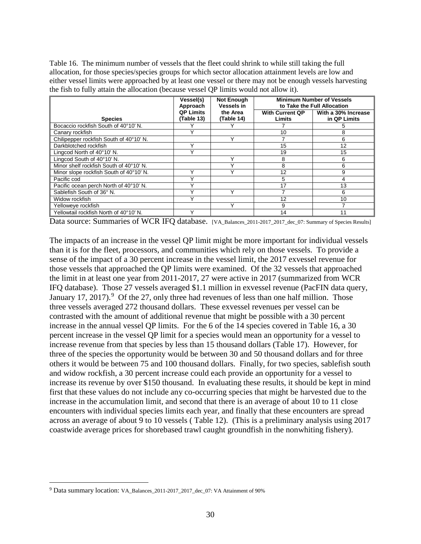<span id="page-29-0"></span>Table 16. The minimum number of vessels that the fleet could shrink to while still taking the full allocation, for those species/species groups for which sector allocation attainment levels are low and either vessel limits were approached by at least one vessel or there may not be enough vessels harvesting the fish to fully attain the allocation (because vessel QP limits would not allow it).

|                                         | Vessel(s)<br>Approach          | <b>Not Enough</b><br><b>Vessels in</b> | <b>Minimum Number of Vessels</b><br>to Take the Full Allocation |                                     |  |  |  |
|-----------------------------------------|--------------------------------|----------------------------------------|-----------------------------------------------------------------|-------------------------------------|--|--|--|
| <b>Species</b>                          | <b>QP Limits</b><br>(Table 13) | the Area<br>(Table 14)                 | <b>With Current QP</b><br>Limits                                | With a 30% Increase<br>in QP Limits |  |  |  |
| Bocaccio rockfish South of 40°10' N.    |                                |                                        |                                                                 | 5                                   |  |  |  |
| Canary rockfish                         |                                |                                        | 10                                                              | 8                                   |  |  |  |
| Chilipepper rockfish South of 40°10' N. |                                |                                        |                                                                 | 6                                   |  |  |  |
| Darkblotched rockfish                   |                                |                                        | 15                                                              | 12                                  |  |  |  |
| Lingcod North of 40°10' N.              |                                |                                        | 19                                                              | 15                                  |  |  |  |
| Lingcod South of 40°10' N.              |                                |                                        | 8                                                               | 6                                   |  |  |  |
| Minor shelf rockfish South of 40°10' N. |                                |                                        | 8                                                               | 6                                   |  |  |  |
| Minor slope rockfish South of 40°10' N. |                                |                                        | 12                                                              | 9                                   |  |  |  |
| Pacific cod                             |                                |                                        | 5                                                               | 4                                   |  |  |  |
| Pacific ocean perch North of 40°10' N.  |                                |                                        | 17                                                              | 13                                  |  |  |  |
| Sablefish South of 36° N.               |                                |                                        |                                                                 | 6                                   |  |  |  |
| Widow rockfish                          |                                |                                        | 12                                                              | 10                                  |  |  |  |
| Yelloweye rockfish                      |                                |                                        | 9                                                               |                                     |  |  |  |
| Yellowtail rockfish North of 40°10' N.  |                                |                                        | 14                                                              |                                     |  |  |  |

Data source: Summaries of WCR IFQ database. [VA\_Balances\_2011-2017\_2017\_dec\_07: Summary of Species Results]

The impacts of an increase in the vessel QP limit might be more important for individual vessels than it is for the fleet, processors, and communities which rely on those vessels. To provide a sense of the impact of a 30 percent increase in the vessel limit, the 2017 exvessel revenue for those vessels that approached the QP limits were examined. Of the 32 vessels that approached the limit in at least one year from 2011-2017, 27 were active in 2017 (summarized from WCR IFQ database). Those 27 vessels averaged \$1.1 million in exvessel revenue (PacFIN data query, January 17, 2017). <sup>[9](#page-29-1)</sup> Of the 27, only three had revenues of less than one half million. Those three vessels averaged 272 thousand dollars. These exvessel revenues per vessel can be contrasted with the amount of additional revenue that might be possible with a 30 percent increase in the annual vessel QP limits. For the 6 of the 14 species covered in [Table 16,](#page-29-0) a 30 percent increase in the vessel QP limit for a species would mean an opportunity for a vessel to increase revenue from that species by less than 15 thousand dollars [\(Table 17\)](#page-30-0). However, for three of the species the opportunity would be between 30 and 50 thousand dollars and for three others it would be between 75 and 100 thousand dollars. Finally, for two species, sablefish south and widow rockfish, a 30 percent increase could each provide an opportunity for a vessel to increase its revenue by over \$150 thousand. In evaluating these results, it should be kept in mind first that these values do not include any co-occurring species that might be harvested due to the increase in the accumulation limit, and second that there is an average of about 10 to 11 close encounters with individual species limits each year, and finally that these encounters are spread across an average of about 9 to 10 vessels ( [Table 12\)](#page-25-0). (This is a preliminary analysis using 2017 coastwide average prices for shorebased trawl caught groundfish in the nonwhiting fishery).

<span id="page-29-1"></span> <sup>9</sup> Data summary location: VA\_Balances\_2011-2017\_2017\_dec\_07: VA Attainment of 90%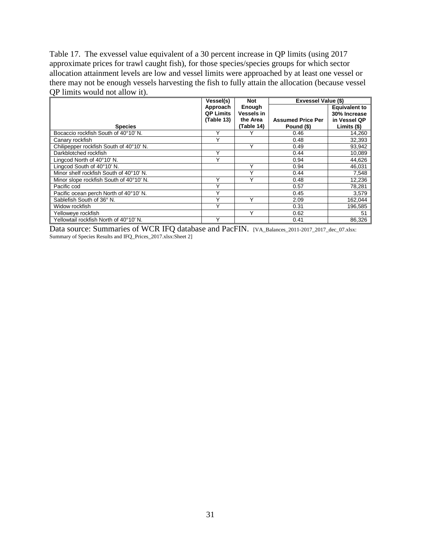<span id="page-30-0"></span>Table 17. The exvessel value equivalent of a 30 percent increase in QP limits (using 2017 approximate prices for trawl caught fish), for those species/species groups for which sector allocation attainment levels are low and vessel limits were approached by at least one vessel or there may not be enough vessels harvesting the fish to fully attain the allocation (because vessel QP limits would not allow it).

|                                         | Vessel(s)        | <b>Not</b>        | Exvessel Value (\$)      |                      |
|-----------------------------------------|------------------|-------------------|--------------------------|----------------------|
|                                         | Approach         | Enough            |                          | <b>Equivalent to</b> |
|                                         | <b>QP Limits</b> | <b>Vessels in</b> |                          | 30% Increase         |
|                                         | (Table 13)       | the Area          | <b>Assumed Price Per</b> | in Vessel QP         |
| <b>Species</b>                          |                  | (Table 14)        | Pound (\$)               | Limits (\$)          |
| Bocaccio rockfish South of 40°10' N.    | $\check{ }$      |                   | 0.46                     | 14,260               |
| Canary rockfish                         | $\check{ }$      |                   | 0.48                     | 32.393               |
| Chilipepper rockfish South of 40°10' N. |                  | v                 | 0.49                     | 93,942               |
| Darkblotched rockfish                   | v                |                   | 0.44                     | 10,089               |
| Lingcod North of 40°10' N.              | $\check{ }$      |                   | 0.94                     | 44,626               |
| Lingcod South of 40°10' N.              |                  | ٧                 | 0.94                     | 46,031               |
| Minor shelf rockfish South of 40°10' N. |                  | $\checkmark$      | 0.44                     | 7,548                |
| Minor slope rockfish South of 40°10' N. | v                | $\checkmark$      | 0.48                     | 12,236               |
| Pacific cod                             | v                |                   | 0.57                     | 78,281               |
| Pacific ocean perch North of 40°10' N.  | $\checkmark$     |                   | 0.45                     | 3,579                |
| Sablefish South of 36° N.               | v                | $\checkmark$      | 2.09                     | 162,044              |
| Widow rockfish                          | v                |                   | 0.31                     | 196,585              |
| Yelloweye rockfish                      |                  | $\checkmark$      | 0.62                     | 51                   |
| Yellowtail rockfish North of 40°10' N.  | v                |                   | 0.41                     | 86,326               |

Data source: Summaries of WCR IFQ database and PacFIN. [VA\_Balances\_2011-2017\_2017\_dec\_07.xlsx: Summary of Species Results and IFQ\_Prices\_2017.xlsx:Sheet 2]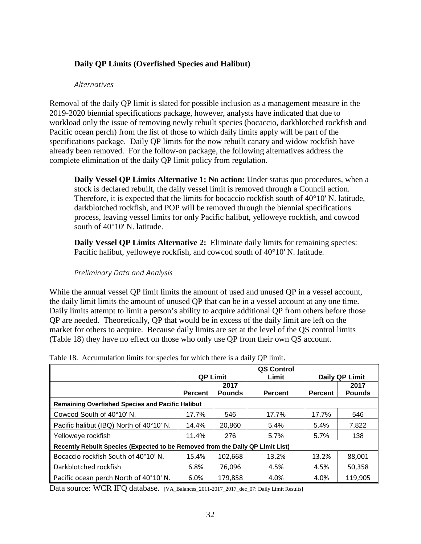# <span id="page-31-0"></span>**Daily QP Limits (Overfished Species and Halibut)**

#### *Alternatives*

<span id="page-31-1"></span>Removal of the daily QP limit is slated for possible inclusion as a management measure in the 2019-2020 biennial specifications package, however, analysts have indicated that due to workload only the issue of removing newly rebuilt species (bocaccio, darkblotched rockfish and Pacific ocean perch) from the list of those to which daily limits apply will be part of the specifications package. Daily QP limits for the now rebuilt canary and widow rockfish have already been removed. For the follow-on package, the following alternatives address the complete elimination of the daily QP limit policy from regulation.

**Daily Vessel QP Limits Alternative 1: No action:** Under status quo procedures, when a stock is declared rebuilt, the daily vessel limit is removed through a Council action. Therefore, it is expected that the limits for bocaccio rockfish south of 40°10' N. latitude, darkblotched rockfish, and POP will be removed through the biennial specifications process, leaving vessel limits for only Pacific halibut, yelloweye rockfish, and cowcod south of 40°10' N. latitude.

**Daily Vessel QP Limits Alternative 2:** Eliminate daily limits for remaining species: Pacific halibut, yelloweye rockfish, and cowcod south of 40°10' N. latitude.

#### *Preliminary Data and Analysis*

<span id="page-31-2"></span>While the annual vessel QP limit limits the amount of used and unused QP in a vessel account, the daily limit limits the amount of unused QP that can be in a vessel account at any one time. Daily limits attempt to limit a person's ability to acquire additional QP from others before those QP are needed. Theoretically, QP that would be in excess of the daily limit are left on the market for others to acquire. Because daily limits are set at the level of the QS control limits [\(Table 18\)](#page-31-3) they have no effect on those who only use QP from their own QS account.

|                                                                                | <b>QP Limit</b> |                       | QS Control<br>Limit |                | Daily QP Limit        |
|--------------------------------------------------------------------------------|-----------------|-----------------------|---------------------|----------------|-----------------------|
|                                                                                | <b>Percent</b>  | 2017<br><b>Pounds</b> | <b>Percent</b>      | <b>Percent</b> | 2017<br><b>Pounds</b> |
| <b>Remaining Overfished Species and Pacific Halibut</b>                        |                 |                       |                     |                |                       |
| Cowcod South of 40°10' N.                                                      | 17.7%           | 546                   | 17.7%               | 17.7%          | 546                   |
| Pacific halibut (IBQ) North of 40°10' N.                                       | 14.4%           | 20,860                | 5.4%                | 5.4%           | 7,822                 |
| Yelloweye rockfish                                                             | 11.4%           | 276                   | 5.7%                | $5.7\%$        | 138                   |
| Recently Rebuilt Species (Expected to be Removed from the Daily QP Limit List) |                 |                       |                     |                |                       |
| Bocaccio rockfish South of 40°10' N.                                           | 15.4%           | 102,668               | 13.2%               | 13.2%          | 88,001                |
| Darkblotched rockfish                                                          | 6.8%            | 76,096                | 4.5%                | 4.5%           | 50,358                |
| Pacific ocean perch North of 40°10' N.                                         | 6.0%            | 179,858               | 4.0%                | 4.0%           | 119,905               |

<span id="page-31-3"></span>Table 18. Accumulation limits for species for which there is a daily QP limit.

Data source: WCR IFQ database. [VA\_Balances\_2011-2017\_2017\_dec\_07: Daily Limit Results]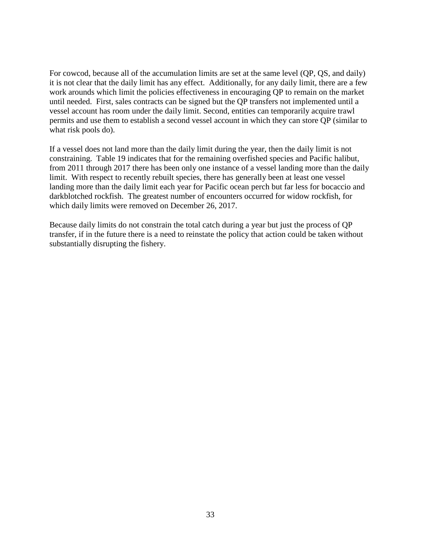For cowcod, because all of the accumulation limits are set at the same level (QP, QS, and daily) it is not clear that the daily limit has any effect. Additionally, for any daily limit, there are a few work arounds which limit the policies effectiveness in encouraging QP to remain on the market until needed. First, sales contracts can be signed but the QP transfers not implemented until a vessel account has room under the daily limit. Second, entities can temporarily acquire trawl permits and use them to establish a second vessel account in which they can store QP (similar to what risk pools do).

If a vessel does not land more than the daily limit during the year, then the daily limit is not constraining. [Table 19](#page-33-0) indicates that for the remaining overfished species and Pacific halibut, from 2011 through 2017 there has been only one instance of a vessel landing more than the daily limit. With respect to recently rebuilt species, there has generally been at least one vessel landing more than the daily limit each year for Pacific ocean perch but far less for bocaccio and darkblotched rockfish. The greatest number of encounters occurred for widow rockfish, for which daily limits were removed on December 26, 2017.

Because daily limits do not constrain the total catch during a year but just the process of QP transfer, if in the future there is a need to reinstate the policy that action could be taken without substantially disrupting the fishery.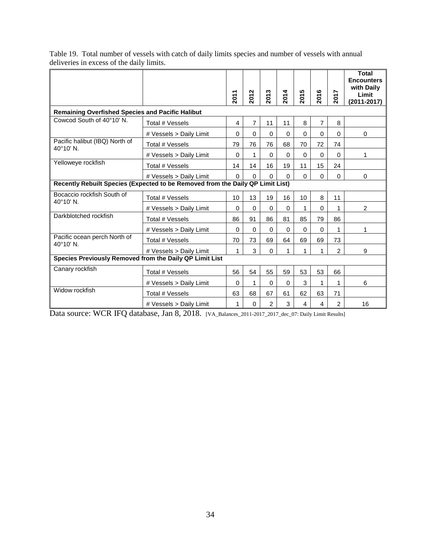|                                                                                |                         | 2011     | 2012     | 2013           | 2014     | 5<br>201 | 2016           | 2017           | <b>Total</b><br><b>Encounters</b><br>with Daily<br>Limit<br>$(2011 - 2017)$ |  |
|--------------------------------------------------------------------------------|-------------------------|----------|----------|----------------|----------|----------|----------------|----------------|-----------------------------------------------------------------------------|--|
| <b>Remaining Overfished Species and Pacific Halibut</b>                        |                         |          |          |                |          |          |                |                |                                                                             |  |
| Cowcod South of 40°10' N.                                                      | Total # Vessels         | 4        | 7        | 11             | 11       | 8        | $\overline{7}$ | 8              |                                                                             |  |
|                                                                                | # Vessels > Daily Limit | $\Omega$ | $\Omega$ | $\Omega$       | $\Omega$ | $\Omega$ | $\Omega$       | 0              | $\mathbf 0$                                                                 |  |
| Pacific halibut (IBQ) North of<br>40°10' N.                                    | Total # Vessels         | 79       | 76       | 76             | 68       | 70       | 72             | 74             |                                                                             |  |
|                                                                                | # Vessels > Daily Limit | $\Omega$ | 1        | $\Omega$       | $\Omega$ | $\Omega$ | $\Omega$       | 0              | 1                                                                           |  |
| Yelloweye rockfish                                                             | Total # Vessels         | 14       | 14       | 16             | 19       | 11       | 15             | 24             |                                                                             |  |
|                                                                                | # Vessels > Daily Limit | $\Omega$ | $\Omega$ | $\Omega$       | $\Omega$ | $\Omega$ | $\Omega$       | 0              | 0                                                                           |  |
| Recently Rebuilt Species (Expected to be Removed from the Daily QP Limit List) |                         |          |          |                |          |          |                |                |                                                                             |  |
| Bocaccio rockfish South of<br>$40^{\circ}10'$ N.                               | Total # Vessels         |          | 13       | 19             | 16       | 10       | 8              | 11             |                                                                             |  |
|                                                                                | # Vessels > Daily Limit |          | $\Omega$ | $\Omega$       | $\Omega$ | 1        | $\Omega$       | 1              | 2                                                                           |  |
| Darkblotched rockfish                                                          | Total # Vessels         | 86       | 91       | 86             | 81       | 85       | 79             | 86             |                                                                             |  |
|                                                                                | # Vessels > Daily Limit | $\Omega$ | $\Omega$ | 0              | $\Omega$ | $\Omega$ | $\Omega$       | 1              | 1                                                                           |  |
| Pacific ocean perch North of<br>40°10' N.                                      | Total # Vessels         | 70       | 73       | 69             | 64       | 69       | 69             | 73             |                                                                             |  |
|                                                                                | # Vessels > Daily Limit | 1        | 3        | $\Omega$       |          | 1        | 1              | $\overline{2}$ | 9                                                                           |  |
| Species Previously Removed from the Daily QP Limit List                        |                         |          |          |                |          |          |                |                |                                                                             |  |
| Canary rockfish                                                                | Total # Vessels         | 56       | 54       | 55             | 59       | 53       | 53             | 66             |                                                                             |  |
|                                                                                | # Vessels > Daily Limit | $\Omega$ | 1        | $\Omega$       | $\Omega$ | 3        | 1              | 1              | 6                                                                           |  |
| Widow rockfish                                                                 | Total # Vessels         | 63       | 68       | 67             | 61       | 62       | 63             | 71             |                                                                             |  |
|                                                                                | # Vessels > Daily Limit | 1        | $\Omega$ | $\overline{2}$ | 3        | 4        | 4              | $\overline{2}$ | 16                                                                          |  |

<span id="page-33-0"></span>Table 19. Total number of vessels with catch of daily limits species and number of vessels with annual deliveries in excess of the daily limits.

Data source: WCR IFQ database, Jan 8, 2018. [VA\_Balances\_2011-2017\_2017\_dec\_07: Daily Limit Results]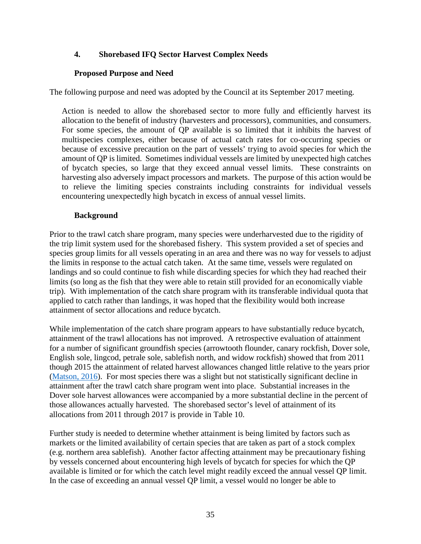# <span id="page-34-0"></span>**4. Shorebased IFQ Sector Harvest Complex Needs**

## **Proposed Purpose and Need**

<span id="page-34-1"></span>The following purpose and need was adopted by the Council at its September 2017 meeting.

Action is needed to allow the shorebased sector to more fully and efficiently harvest its allocation to the benefit of industry (harvesters and processors), communities, and consumers. For some species, the amount of QP available is so limited that it inhibits the harvest of multispecies complexes, either because of actual catch rates for co-occurring species or because of excessive precaution on the part of vessels' trying to avoid species for which the amount of QP is limited. Sometimes individual vessels are limited by unexpected high catches of bycatch species, so large that they exceed annual vessel limits. These constraints on harvesting also adversely impact processors and markets. The purpose of this action would be to relieve the limiting species constraints including constraints for individual vessels encountering unexpectedly high bycatch in excess of annual vessel limits.

#### **Background**

<span id="page-34-2"></span>Prior to the trawl catch share program, many species were underharvested due to the rigidity of the trip limit system used for the shorebased fishery. This system provided a set of species and species group limits for all vessels operating in an area and there was no way for vessels to adjust the limits in response to the actual catch taken. At the same time, vessels were regulated on landings and so could continue to fish while discarding species for which they had reached their limits (so long as the fish that they were able to retain still provided for an economically viable trip). With implementation of the catch share program with its transferable individual quota that applied to catch rather than landings, it was hoped that the flexibility would both increase attainment of sector allocations and reduce bycatch.

While implementation of the catch share program appears to have substantially reduce bycatch, attainment of the trawl allocations has not improved. A retrospective evaluation of attainment for a number of significant groundfish species (arrowtooth flounder, canary rockfish, Dover sole, English sole, lingcod, petrale sole, sablefish north, and widow rockfish) showed that from 2011 though 2015 the attainment of related harvest allowances changed little relative to the years prior [\(Matson, 2016\)](http://www.pcouncil.org/wp-content/uploads/2016/08/HO08_NMFS_QuotaAttainmentAnalysis.pdf). For most species there was a slight but not statistically significant decline in attainment after the trawl catch share program went into place. Substantial increases in the Dover sole harvest allowances were accompanied by a more substantial decline in the percent of those allowances actually harvested. The shorebased sector's level of attainment of its allocations from 2011 through 2017 is provide in [Table 10.](#page-21-0)

Further study is needed to determine whether attainment is being limited by factors such as markets or the limited availability of certain species that are taken as part of a stock complex (e.g. northern area sablefish). Another factor affecting attainment may be precautionary fishing by vessels concerned about encountering high levels of bycatch for species for which the QP available is limited or for which the catch level might readily exceed the annual vessel QP limit. In the case of exceeding an annual vessel QP limit, a vessel would no longer be able to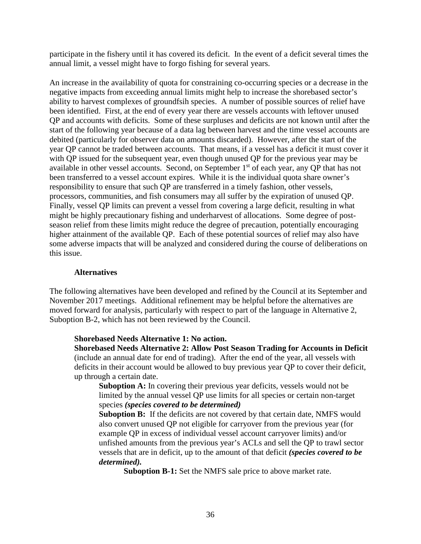participate in the fishery until it has covered its deficit. In the event of a deficit several times the annual limit, a vessel might have to forgo fishing for several years.

An increase in the availability of quota for constraining co-occurring species or a decrease in the negative impacts from exceeding annual limits might help to increase the shorebased sector's ability to harvest complexes of groundfsih species. A number of possible sources of relief have been identified. First, at the end of every year there are vessels accounts with leftover unused QP and accounts with deficits. Some of these surpluses and deficits are not known until after the start of the following year because of a data lag between harvest and the time vessel accounts are debited (particularly for observer data on amounts discarded). However, after the start of the year QP cannot be traded between accounts. That means, if a vessel has a deficit it must cover it with QP issued for the subsequent year, even though unused QP for the previous year may be available in other vessel accounts. Second, on September 1<sup>st</sup> of each year, any QP that has not been transferred to a vessel account expires. While it is the individual quota share owner's responsibility to ensure that such QP are transferred in a timely fashion, other vessels, processors, communities, and fish consumers may all suffer by the expiration of unused QP. Finally, vessel QP limits can prevent a vessel from covering a large deficit, resulting in what might be highly precautionary fishing and underharvest of allocations. Some degree of postseason relief from these limits might reduce the degree of precaution, potentially encouraging higher attainment of the available QP. Each of these potential sources of relief may also have some adverse impacts that will be analyzed and considered during the course of deliberations on this issue.

#### **Alternatives**

<span id="page-35-0"></span>The following alternatives have been developed and refined by the Council at its September and November 2017 meetings. Additional refinement may be helpful before the alternatives are moved forward for analysis, particularly with respect to part of the language in Alternative 2, Suboption B-2, which has not been reviewed by the Council.

#### **Shorebased Needs Alternative 1: No action.**

**Shorebased Needs Alternative 2: Allow Post Season Trading for Accounts in Deficit**  (include an annual date for end of trading). After the end of the year, all vessels with deficits in their account would be allowed to buy previous year QP to cover their deficit, up through a certain date.

**Suboption A:** In covering their previous year deficits, vessels would not be limited by the annual vessel QP use limits for all species or certain non-target species *(species covered to be determined)*

**Suboption B:** If the deficits are not covered by that certain date, NMFS would also convert unused QP not eligible for carryover from the previous year (for example QP in excess of individual vessel account carryover limits) and/or unfished amounts from the previous year's ACLs and sell the QP to trawl sector vessels that are in deficit, up to the amount of that deficit *(species covered to be determined).*

**Suboption B-1:** Set the NMFS sale price to above market rate.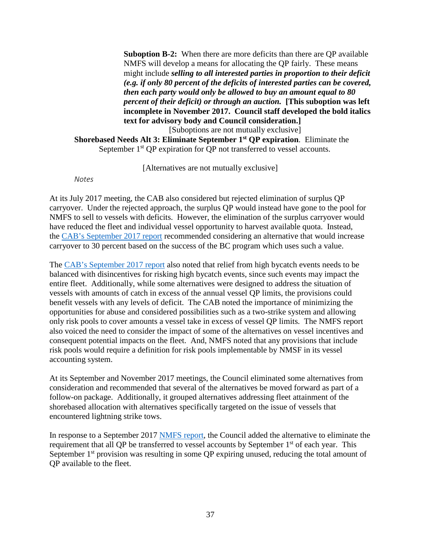**Suboption B-2:** When there are more deficits than there are QP available NMFS will develop a means for allocating the QP fairly. These means might include *selling to all interested parties in proportion to their deficit (e.g. if only 80 percent of the deficits of interested parties can be covered, then each party would only be allowed to buy an amount equal to 80 percent of their deficit) or through an auction.* **[This suboption was left incomplete in November 2017. Council staff developed the bold italics text for advisory body and Council consideration.]**

[Suboptions are not mutually exclusive]

**Shorebased Needs Alt 3: Eliminate September 1st QP expiration**. Eliminate the September 1<sup>st</sup> QP expiration for QP not transferred to vessel accounts.

[Alternatives are not mutually exclusive]

*Notes*

<span id="page-36-0"></span>At its July 2017 meeting, the CAB also considered but rejected elimination of surplus QP carryover. Under the rejected approach, the surplus QP would instead have gone to the pool for NMFS to sell to vessels with deficits. However, the elimination of the surplus carryover would have reduced the fleet and individual vessel opportunity to harvest available quota. Instead, the [CAB's September 2017 report](http://www.pcouncil.org/wp-content/uploads/2017/08/E7a_CAB_Rpt1_SEPT2017BB.pdf) recommended considering an alternative that would increase carryover to 30 percent based on the success of the BC program which uses such a value.

The [CAB's September 2017 report](http://www.pcouncil.org/wp-content/uploads/2017/08/E7a_CAB_Rpt1_SEPT2017BB.pdf) also noted that relief from high bycatch events needs to be balanced with disincentives for risking high bycatch events, since such events may impact the entire fleet. Additionally, while some alternatives were designed to address the situation of vessels with amounts of catch in excess of the annual vessel QP limits, the provisions could benefit vessels with any levels of deficit. The CAB noted the importance of minimizing the opportunities for abuse and considered possibilities such as a two-strike system and allowing only risk pools to cover amounts a vessel take in excess of vessel QP limits. The NMFS report also voiced the need to consider the impact of some of the alternatives on vessel incentives and consequent potential impacts on the fleet. And, NMFS noted that any provisions that include risk pools would require a definition for risk pools implementable by NMSF in its vessel accounting system.

At its September and November 2017 meetings, the Council eliminated some alternatives from consideration and recommended that several of the alternatives be moved forward as part of a follow-on package. Additionally, it grouped alternatives addressing fleet attainment of the shorebased allocation with alternatives specifically targeted on the issue of vessels that encountered lightning strike tows.

In response to a September 2017 [NMFS report,](http://www.pcouncil.org/wp-content/uploads/2017/09/E7a_Sup_NMFS_Rpt2_SEPT2017BB.pdf) the Council added the alternative to eliminate the requirement that all QP be transferred to vessel accounts by September 1<sup>st</sup> of each year. This September  $1<sup>st</sup>$  provision was resulting in some QP expiring unused, reducing the total amount of QP available to the fleet.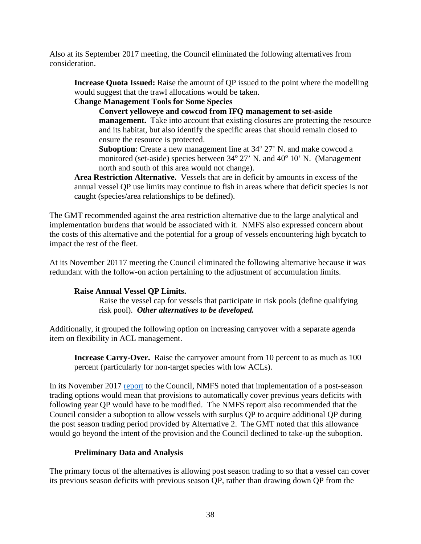Also at its September 2017 meeting, the Council eliminated the following alternatives from consideration.

**Increase Quota Issued:** Raise the amount of QP issued to the point where the modelling would suggest that the trawl allocations would be taken.

# **Change Management Tools for Some Species**

**Convert yelloweye and cowcod from IFQ management to set-aside management.** Take into account that existing closures are protecting the resource and its habitat, but also identify the specific areas that should remain closed to ensure the resource is protected.

**Suboption**: Create a new management line at 34<sup>o</sup> 27' N. and make cowcod a monitored (set-aside) species between  $34^{\circ}$  27' N. and  $40^{\circ}$  10' N. (Management north and south of this area would not change).

**Area Restriction Alternative.** Vessels that are in deficit by amounts in excess of the annual vessel QP use limits may continue to fish in areas where that deficit species is not caught (species/area relationships to be defined).

The GMT recommended against the area restriction alternative due to the large analytical and implementation burdens that would be associated with it. NMFS also expressed concern about the costs of this alternative and the potential for a group of vessels encountering high bycatch to impact the rest of the fleet.

At its November 20117 meeting the Council eliminated the following alternative because it was redundant with the follow-on action pertaining to the adjustment of accumulation limits.

## **Raise Annual Vessel QP Limits.**

Raise the vessel cap for vessels that participate in risk pools (define qualifying risk pool). *Other alternatives to be developed.*

Additionally, it grouped the following option on increasing carryover with a separate agenda item on flexibility in ACL management.

**Increase Carry-Over.** Raise the carryover amount from 10 percent to as much as 100 percent (particularly for non-target species with low ACLs).

In its November 2017 [report](https://www.pcouncil.org/wp-content/uploads/2017/11/F2a_Sup_NMFS_Rpt1_PrelimROA_NOV2017BB.pdf) to the Council, NMFS noted that implementation of a post-season trading options would mean that provisions to automatically cover previous years deficits with following year QP would have to be modified. The NMFS report also recommended that the Council consider a suboption to allow vessels with surplus QP to acquire additional QP during the post season trading period provided by Alternative 2. The GMT noted that this allowance would go beyond the intent of the provision and the Council declined to take-up the suboption.

## **Preliminary Data and Analysis**

<span id="page-37-0"></span>The primary focus of the alternatives is allowing post season trading to so that a vessel can cover its previous season deficits with previous season QP, rather than drawing down QP from the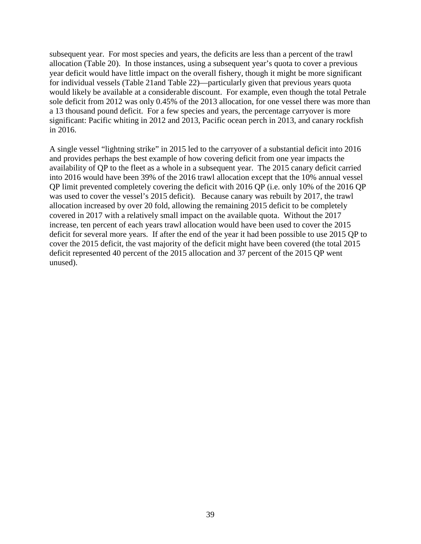subsequent year. For most species and years, the deficits are less than a percent of the trawl allocation [\(Table 20\)](#page-39-0). In those instances, using a subsequent year's quota to cover a previous year deficit would have little impact on the overall fishery, though it might be more significant for individual vessels [\(Table 21a](#page-40-0)nd [Table 22\)](#page-41-0)—particularly given that previous years quota would likely be available at a considerable discount. For example, even though the total Petrale sole deficit from 2012 was only 0.45% of the 2013 allocation, for one vessel there was more than a 13 thousand pound deficit. For a few species and years, the percentage carryover is more significant: Pacific whiting in 2012 and 2013, Pacific ocean perch in 2013, and canary rockfish in 2016.

A single vessel "lightning strike" in 2015 led to the carryover of a substantial deficit into 2016 and provides perhaps the best example of how covering deficit from one year impacts the availability of QP to the fleet as a whole in a subsequent year. The 2015 canary deficit carried into 2016 would have been 39% of the 2016 trawl allocation except that the 10% annual vessel QP limit prevented completely covering the deficit with 2016 QP (i.e. only 10% of the 2016 QP was used to cover the vessel's 2015 deficit). Because canary was rebuilt by 2017, the trawl allocation increased by over 20 fold, allowing the remaining 2015 deficit to be completely covered in 2017 with a relatively small impact on the available quota. Without the 2017 increase, ten percent of each years trawl allocation would have been used to cover the 2015 deficit for several more years. If after the end of the year it had been possible to use 2015 QP to cover the 2015 deficit, the vast majority of the deficit might have been covered (the total 2015 deficit represented 40 percent of the 2015 allocation and 37 percent of the 2015 QP went unused).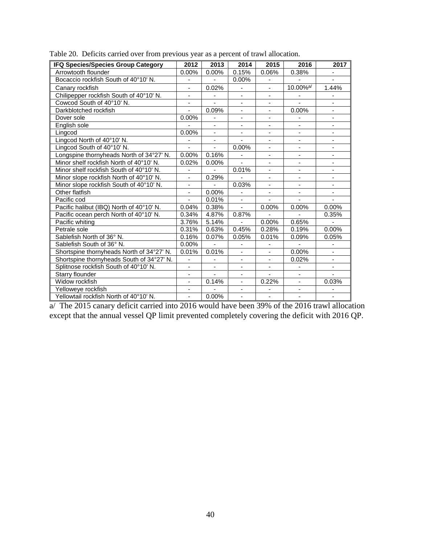| <b>IFQ Species/Species Group Category</b> | 2012                         | 2013                         | 2014                     | 2015                         | 2016                     | 2017                     |
|-------------------------------------------|------------------------------|------------------------------|--------------------------|------------------------------|--------------------------|--------------------------|
| Arrowtooth flounder                       | 0.00%                        | 0.00%                        | 0.15%                    | 0.06%                        | 0.38%                    |                          |
| Bocaccio rockfish South of 40°10' N.      | -                            |                              | 0.00%                    |                              |                          |                          |
| Canary rockfish                           | $\blacksquare$               | 0.02%                        |                          | $\blacksquare$               | 10.00% <sup>a/</sup>     | 1.44%                    |
| Chilipepper rockfish South of 40°10' N.   | $\overline{\phantom{0}}$     |                              |                          | $\qquad \qquad \blacksquare$ |                          |                          |
| Cowcod South of 40°10' N.                 | $\overline{\phantom{a}}$     | ÷,                           | $\overline{\phantom{m}}$ | $\blacksquare$               |                          | $\overline{\phantom{a}}$ |
| Darkblotched rockfish                     | $\blacksquare$               | 0.09%                        | ÷,                       | $\overline{\phantom{0}}$     | 0.00%                    |                          |
| Dover sole                                | 0.00%                        | $\qquad \qquad \blacksquare$ | ÷,                       | $\blacksquare$               |                          | ÷,                       |
| English sole                              |                              | $\overline{\phantom{a}}$     | $\overline{\phantom{a}}$ | $\overline{\phantom{a}}$     | $\overline{\phantom{a}}$ | $\overline{\phantom{a}}$ |
| Lingcod                                   | 0.00%                        | $\blacksquare$               | ÷,                       | $\overline{\phantom{a}}$     |                          |                          |
| Lingcod North of 40°10' N.                |                              | ÷,                           |                          | $\blacksquare$               |                          | ÷,                       |
| Lingcod South of 40°10' N.                |                              |                              | 0.00%                    |                              |                          |                          |
| Longspine thornyheads North of 34°27' N.  | 0.00%                        | 0.16%                        |                          |                              |                          |                          |
| Minor shelf rockfish North of 40°10' N.   | 0.02%                        | $0.00\%$                     | ÷,                       | $\overline{a}$               |                          |                          |
| Minor shelf rockfish South of 40°10' N.   | $\overline{\phantom{0}}$     |                              | 0.01%                    | $\qquad \qquad \blacksquare$ |                          | ÷,                       |
| Minor slope rockfish North of 40°10' N.   | $\frac{1}{2}$                | 0.29%                        |                          | $\overline{\phantom{a}}$     | $\overline{\phantom{0}}$ | $\overline{\phantom{0}}$ |
| Minor slope rockfish South of 40°10' N.   | $\qquad \qquad \blacksquare$ |                              | 0.03%                    | $\overline{\phantom{0}}$     |                          |                          |
| Other flatfish                            |                              | 0.00%                        |                          |                              |                          |                          |
| Pacific cod                               |                              | 0.01%                        | $\overline{\phantom{a}}$ |                              |                          |                          |
| Pacific halibut (IBQ) North of 40°10' N.  | 0.04%                        | 0.38%                        | $\blacksquare$           | 0.00%                        | 0.00%                    | 0.00%                    |
| Pacific ocean perch North of 40°10' N.    | 0.34%                        | 4.87%                        | 0.87%                    |                              |                          | 0.35%                    |
| Pacific whiting                           | 3.76%                        | 5.14%                        |                          | 0.00%                        | 0.65%                    |                          |
| Petrale sole                              | 0.31%                        | 0.63%                        | 0.45%                    | 0.28%                        | 0.19%                    | 0.00%                    |
| Sablefish North of 36° N.                 | 0.16%                        | 0.07%                        | 0.05%                    | 0.01%                        | 0.09%                    | 0.05%                    |
| Sablefish South of 36° N.                 | 0.00%                        |                              |                          |                              |                          |                          |
| Shortspine thornyheads North of 34°27' N. | 0.01%                        | 0.01%                        | $\overline{\phantom{a}}$ | $\blacksquare$               | 0.00%                    | $\overline{\phantom{0}}$ |
| Shortspine thornyheads South of 34°27' N. | ÷                            |                              | ÷,                       | $\frac{1}{2}$                | 0.02%                    |                          |
| Splitnose rockfish South of 40°10' N.     | -                            |                              | $\blacksquare$           | $\overline{\phantom{a}}$     |                          |                          |
| Starry flounder                           | $\overline{\phantom{a}}$     | $\blacksquare$               | $\overline{\phantom{a}}$ | $\overline{\phantom{a}}$     | $\overline{\phantom{a}}$ | $\blacksquare$           |
| Widow rockfish                            | ä,                           | 0.14%                        | ÷,                       | 0.22%                        |                          | 0.03%                    |
| Yelloweye rockfish                        | $\blacksquare$               |                              | ä,                       |                              |                          |                          |
| Yellowtail rockfish North of 40°10' N.    | ÷,                           | 0.00%                        | ÷,                       | $\blacksquare$               | -                        | $\overline{\phantom{m}}$ |

<span id="page-39-0"></span>Table 20. Deficits carried over from previous year as a percent of trawl allocation.

a/ The 2015 canary deficit carried into 2016 would have been 39% of the 2016 trawl allocation except that the annual vessel QP limit prevented completely covering the deficit with 2016 QP.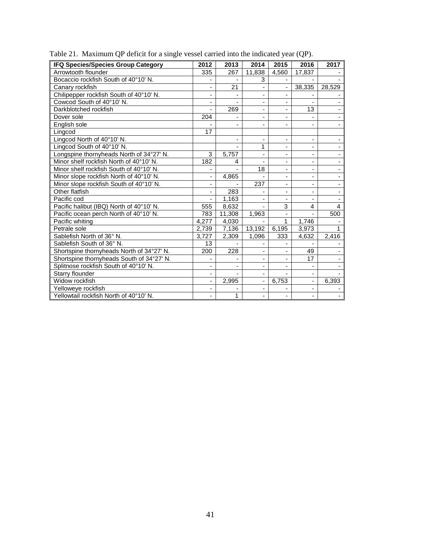| IFQ Species/Species Group Category        | 2012  | 2013   | 2014                     | 2015                     | 2016                         | 2017           |
|-------------------------------------------|-------|--------|--------------------------|--------------------------|------------------------------|----------------|
| Arrowtooth flounder                       | 335   | 267    | 11,838                   | 4.560                    | 17,837                       |                |
| Bocaccio rockfish South of 40°10' N.      |       |        | 3                        |                          |                              |                |
| Canary rockfish                           |       | 21     |                          |                          | 38,335                       | 28,529         |
| Chilipepper rockfish South of 40°10' N.   |       |        | $\overline{\phantom{a}}$ | -                        |                              |                |
| Cowcod South of 40°10' N.                 |       |        | $\blacksquare$           |                          |                              |                |
| Darkblotched rockfish                     |       | 269    | $\overline{\phantom{a}}$ | $\overline{\phantom{0}}$ | 13                           |                |
| Dover sole                                | 204   |        | $\overline{\phantom{a}}$ | -                        |                              |                |
| English sole                              |       |        | ٠                        | ٠                        |                              |                |
| Lingcod                                   | 17    |        |                          |                          |                              |                |
| Lingcod North of 40°10' N.                |       |        | $\overline{\phantom{0}}$ | $\overline{\phantom{0}}$ | $\qquad \qquad \blacksquare$ |                |
| Lingcod South of 40°10' N.                |       |        | 1                        | ٠                        | ٠                            |                |
| Longspine thornyheads North of 34°27' N.  | 3     | 5,757  | $\blacksquare$           | $\overline{\phantom{0}}$ |                              |                |
| Minor shelf rockfish North of 40°10' N.   | 182   | 4      | $\blacksquare$           | $\overline{\phantom{0}}$ | $\qquad \qquad \blacksquare$ |                |
| Minor shelf rockfish South of 40°10' N.   |       |        | 18                       | ä,                       | $\blacksquare$               |                |
| Minor slope rockfish North of 40°10' N.   |       | 4,865  |                          | ÷,                       |                              |                |
| Minor slope rockfish South of 40°10' N.   |       |        | 237                      | $\overline{\phantom{0}}$ | ٠                            |                |
| Other flatfish                            |       | 283    |                          | $\overline{\phantom{0}}$ | $\overline{\phantom{a}}$     |                |
| Pacific cod                               |       | 1,163  |                          |                          |                              |                |
| Pacific halibut (IBQ) North of 40°10' N.  | 555   | 8,632  |                          | 3                        | 4                            | $\overline{4}$ |
| Pacific ocean perch North of 40°10' N.    | 783   | 11,308 | 1,963                    | $\overline{\phantom{a}}$ |                              | 500            |
| Pacific whiting                           | 4,277 | 4,030  |                          | $\mathbf{1}$             | 1,746                        |                |
| Petrale sole                              | 2,739 | 7,136  | 13,192                   | 6,195                    | 3,973                        | 1              |
| Sablefish North of 36° N.                 | 3,727 | 2,309  | 1,096                    | 333                      | 4,632                        | 2,416          |
| Sablefish South of 36° N.                 | 13    |        |                          |                          |                              |                |
| Shortspine thornyheads North of 34°27' N. | 200   | 228    | $\blacksquare$           |                          | 49                           |                |
| Shortspine thornyheads South of 34°27' N. |       |        | $\overline{\phantom{a}}$ | $\overline{\phantom{0}}$ | 17                           |                |
| Splitnose rockfish South of 40°10' N.     |       |        | $\blacksquare$           | $\blacksquare$           | $\overline{\phantom{a}}$     |                |
| Starry flounder                           |       |        | $\blacksquare$           |                          |                              |                |
| Widow rockfish                            |       | 2,995  | $\overline{\phantom{a}}$ | 6,753                    | $\overline{\phantom{a}}$     | 6,393          |
| Yelloweye rockfish                        |       |        | $\overline{\phantom{a}}$ |                          | $\overline{\phantom{a}}$     |                |
| Yellowtail rockfish North of 40°10' N.    |       | 1      |                          | ÷.                       |                              |                |

<span id="page-40-0"></span>Table 21. Maximum QP deficit for a single vessel carried into the indicated year (QP).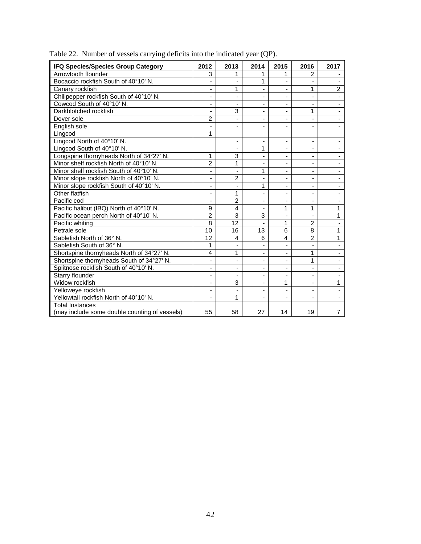| <b>IFQ Species/Species Group Category</b>     | 2012                         | 2013                     | 2014                     | 2015                         | 2016                         | 2017           |
|-----------------------------------------------|------------------------------|--------------------------|--------------------------|------------------------------|------------------------------|----------------|
| Arrowtooth flounder                           | 3                            | 1                        | 1                        | 1                            | $\overline{2}$               |                |
| Bocaccio rockfish South of 40°10' N.          |                              |                          | 1                        |                              |                              |                |
| Canary rockfish                               | $\blacksquare$               | 1                        | ä,                       | ä,                           | 1                            | $\overline{2}$ |
| Chilipepper rockfish South of 40°10' N.       |                              |                          | ÷,                       | ÷,                           | $\blacksquare$               |                |
| Cowcod South of 40°10' N.                     |                              |                          | $\overline{\phantom{0}}$ | $\overline{\phantom{0}}$     | $\overline{\phantom{a}}$     |                |
| Darkblotched rockfish                         | $\overline{\phantom{a}}$     | 3                        | $\overline{\phantom{a}}$ | $\overline{\phantom{m}}$     | 1                            | -              |
| Dover sole                                    | $\overline{2}$               |                          | ÷,                       | ÷,                           | $\blacksquare$               |                |
| English sole                                  |                              |                          | ÷,                       |                              |                              |                |
| Lingcod                                       | 1                            |                          |                          |                              |                              |                |
| Lingcod North of 40°10' N.                    |                              | $\overline{a}$           | -                        | $\overline{\phantom{m}}$     | $\blacksquare$               |                |
| Lingcod South of 40°10' N.                    |                              |                          | 1                        | $\overline{\phantom{0}}$     | $\qquad \qquad \blacksquare$ |                |
| Longspine thornyheads North of 34°27' N.      | 1                            | 3                        | $\overline{a}$           | $\overline{\phantom{m}}$     | $\overline{\phantom{a}}$     |                |
| Minor shelf rockfish North of 40°10' N.       | $\overline{2}$               | 1                        | ۰                        | ÷,                           | $\overline{\phantom{m}}$     |                |
| Minor shelf rockfish South of 40°10' N.       |                              |                          | 1                        | ÷,                           | $\blacksquare$               |                |
| Minor slope rockfish North of 40°10' N.       | $\qquad \qquad \blacksquare$ | $\overline{2}$           | $\overline{a}$           | ä,                           | $\overline{\phantom{a}}$     |                |
| Minor slope rockfish South of 40°10' N.       | ÷,                           |                          | 1                        | ä,                           | $\overline{\phantom{a}}$     |                |
| Other flatfish                                | ٠                            | 1                        | ÷,                       | $\overline{\phantom{0}}$     | $\overline{\phantom{a}}$     |                |
| Pacific cod                                   | $\qquad \qquad \blacksquare$ | $\overline{2}$           | $\overline{\phantom{a}}$ | $\overline{\phantom{m}}$     | $\overline{\phantom{a}}$     |                |
| Pacific halibut (IBQ) North of 40°10' N.      | 9                            | 4                        | $\overline{\phantom{m}}$ | 1                            | 1                            | $\mathbf{1}$   |
| Pacific ocean perch North of 40°10' N.        | $\overline{2}$               | 3                        | 3                        |                              |                              | 1              |
| Pacific whiting                               | 8                            | 12                       | ä,                       | 1                            | $\overline{2}$               |                |
| Petrale sole                                  | 10                           | 16                       | 13                       | 6                            | $\overline{8}$               | 1              |
| Sablefish North of 36° N.                     | 12                           | 4                        | 6                        | $\overline{4}$               | $\overline{2}$               | 1              |
| Sablefish South of 36° N.                     | 1                            | $\overline{\phantom{a}}$ | $\overline{\phantom{0}}$ | $\qquad \qquad \blacksquare$ | $\qquad \qquad \blacksquare$ |                |
| Shortspine thornyheads North of 34°27' N.     | 4                            | 1                        | $\overline{\phantom{0}}$ | ÷,                           | 1                            |                |
| Shortspine thornyheads South of 34°27' N.     |                              |                          | $\blacksquare$           |                              | 1                            |                |
| Splitnose rockfish South of 40°10' N.         |                              |                          | $\overline{\phantom{m}}$ | $\overline{\phantom{m}}$     |                              |                |
| Starry flounder                               |                              |                          | ÷,                       | ÷,                           | $\blacksquare$               |                |
| Widow rockfish                                |                              | 3                        | ä,                       | 1                            | ٠                            | 1              |
| Yelloweye rockfish                            | ٠                            | ÷,                       | $\overline{\phantom{0}}$ | $\overline{\phantom{m}}$     | $\overline{\phantom{a}}$     |                |
| Yellowtail rockfish North of 40°10' N.        |                              | 1                        | $\overline{\phantom{0}}$ | ۰                            | $\blacksquare$               |                |
| <b>Total Instances</b>                        |                              |                          |                          |                              |                              |                |
| (may include some double counting of vessels) | 55                           | 58                       | 27                       | 14                           | 19                           | $\overline{7}$ |

<span id="page-41-0"></span>Table 22. Number of vessels carrying deficits into the indicated year (QP).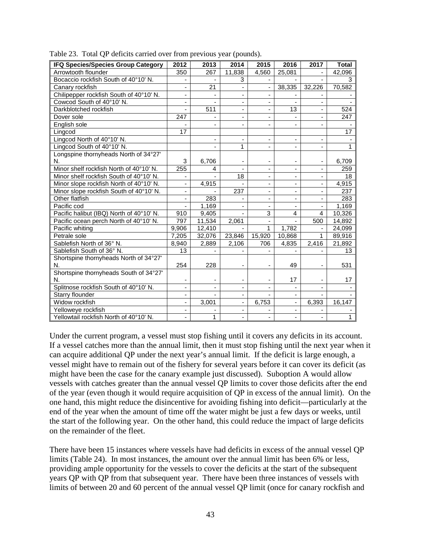| IFQ Species/Species Group Category       | 2012                     | 2013                     | 2014                         | 2015                     | 2016                     | 2017                     | <b>Total</b> |
|------------------------------------------|--------------------------|--------------------------|------------------------------|--------------------------|--------------------------|--------------------------|--------------|
| Arrowtooth flounder                      | 350                      | 267                      | 11,838                       | 4,560                    | 25,081                   |                          | 42,096       |
| Bocaccio rockfish South of 40°10' N.     |                          |                          | 3                            |                          |                          |                          | 3            |
| Canary rockfish                          |                          | 21                       |                              |                          | 38,335                   | 32,226                   | 70,582       |
| Chilipepper rockfish South of 40°10' N.  |                          |                          |                              |                          |                          |                          |              |
| Cowcod South of 40°10' N.                | $\overline{\phantom{0}}$ |                          |                              |                          |                          |                          |              |
| Darkblotched rockfish                    | $\overline{\phantom{a}}$ | 511                      | $\qquad \qquad \blacksquare$ | ÷,                       | 13                       | -                        | 524          |
| Dover sole                               | 247                      | $\blacksquare$           | $\blacksquare$               | -                        |                          | $\overline{\phantom{0}}$ | 247          |
| English sole                             | ÷.                       | $\blacksquare$           | $\blacksquare$               | $\blacksquare$           | ٠                        | $\blacksquare$           |              |
| Lingcod                                  | 17                       |                          |                              |                          |                          |                          | 17           |
| Lingcod North of 40°10' N.               |                          |                          |                              | ٠                        |                          |                          |              |
| Lingcod South of 40°10' N.               |                          |                          | 1                            |                          |                          |                          | 1            |
| Longspine thornyheads North of 34°27'    |                          |                          |                              |                          |                          |                          |              |
| N.                                       | 3                        | 6,706                    |                              |                          |                          | -                        | 6,709        |
| Minor shelf rockfish North of 40°10' N.  | 255                      | 4                        |                              |                          |                          | $\overline{\phantom{a}}$ | 259          |
| Minor shelf rockfish South of 40°10' N.  |                          |                          | 18                           | ٠                        | -                        |                          | 18           |
| Minor slope rockfish North of 40°10' N.  | ÷,                       | 4,915                    |                              | $\overline{\phantom{m}}$ | $\overline{\phantom{0}}$ | $\frac{1}{2}$            | 4,915        |
| Minor slope rockfish South of 40°10' N.  | $\overline{\phantom{a}}$ |                          | 237                          | $\overline{\phantom{m}}$ | -                        | $\overline{\phantom{0}}$ | 237          |
| Other flatfish                           | $\blacksquare$           | 283                      |                              | ÷,                       | ٠                        | $\overline{\phantom{0}}$ | 283          |
| Pacific cod                              |                          | 1.169                    |                              |                          |                          |                          | 1,169        |
| Pacific halibut (IBQ) North of 40°10' N. | 910                      | 9,405                    |                              | 3                        | 4                        | $\overline{4}$           | 10,326       |
| Pacific ocean perch North of 40°10' N.   | 797                      | 11,534                   | 2,061                        |                          |                          | 500                      | 14,892       |
| Pacific whiting                          | 9,906                    | 12,410                   |                              | 1                        | 1,782                    |                          | 24,099       |
| Petrale sole                             | 7,205                    | 32,076                   | 23,846                       | 15,920                   | 10,868                   | 1                        | 89,916       |
| Sablefish North of 36° N.                | 8,940                    | 2,889                    | 2,106                        | 706                      | 4,835                    | 2,416                    | 21,892       |
| Sablefish South of 36° N.                | 13                       |                          |                              |                          |                          |                          | 13           |
| Shortspine thornyheads North of 34°27'   |                          |                          |                              |                          |                          |                          |              |
| N.                                       | 254                      | 228                      | $\overline{\phantom{a}}$     | $\overline{\phantom{a}}$ | 49                       | -                        | 531          |
| Shortspine thornyheads South of 34°27'   |                          |                          |                              |                          |                          |                          |              |
| N.                                       | ۰                        | $\overline{\phantom{a}}$ | -                            | -                        | 17                       | $\overline{\phantom{0}}$ | 17           |
| Splitnose rockfish South of 40°10' N.    | ٠                        | $\overline{\phantom{a}}$ | ٠                            |                          |                          | $\blacksquare$           |              |
| Starry flounder                          |                          |                          |                              |                          |                          |                          |              |
| Widow rockfish                           |                          | 3,001                    |                              | 6,753                    | ä,                       | 6,393                    | 16, 147      |
| Yelloweye rockfish                       | $\blacksquare$           |                          | $\overline{\phantom{a}}$     |                          |                          |                          |              |
| Yellowtail rockfish North of 40°10' N.   |                          | $\mathbf{1}$             |                              |                          |                          |                          | $\mathbf{1}$ |

<span id="page-42-0"></span>Table 23. Total QP deficits carried over from previous year (pounds).

Under the current program, a vessel must stop fishing until it covers any deficits in its account. If a vessel catches more than the annual limit, then it must stop fishing until the next year when it can acquire additional QP under the next year's annual limit. If the deficit is large enough, a vessel might have to remain out of the fishery for several years before it can cover its deficit (as might have been the case for the canary example just discussed). Suboption A would allow vessels with catches greater than the annual vessel QP limits to cover those deficits after the end of the year (even though it would require acquisition of QP in excess of the annual limit). On the one hand, this might reduce the disincentive for avoiding fishing into deficit—particularly at the end of the year when the amount of time off the water might be just a few days or weeks, until the start of the following year. On the other hand, this could reduce the impact of large deficits on the remainder of the fleet.

There have been 15 instances where vessels have had deficits in excess of the annual vessel QP limits [\(Table 24\)](#page-43-0). In most instances, the amount over the annual limit has been 6% or less, providing ample opportunity for the vessels to cover the deficits at the start of the subsequent years QP with QP from that subsequent year. There have been three instances of vessels with limits of between 20 and 60 percent of the annual vessel QP limit (once for canary rockfish and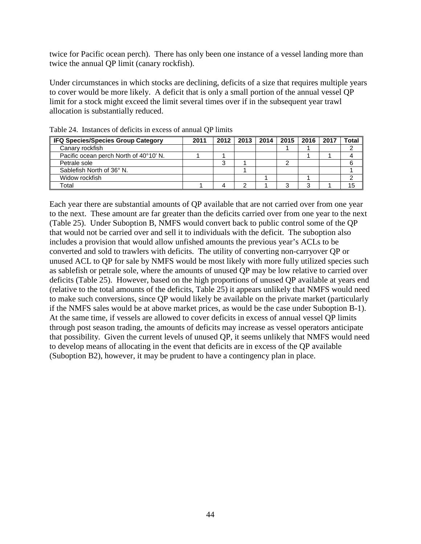twice for Pacific ocean perch). There has only been one instance of a vessel landing more than twice the annual QP limit (canary rockfish).

Under circumstances in which stocks are declining, deficits of a size that requires multiple years to cover would be more likely. A deficit that is only a small portion of the annual vessel QP limit for a stock might exceed the limit several times over if in the subsequent year trawl allocation is substantially reduced.

| <b>IFQ Species/Species Group Category</b> | 2011 | 2012   | 2013   2014 | 2015 <sub>1</sub> | 2016 | 2017 | <b>Total</b> |
|-------------------------------------------|------|--------|-------------|-------------------|------|------|--------------|
| Canary rockfish                           |      |        |             |                   |      |      |              |
| Pacific ocean perch North of 40°10' N.    |      |        |             |                   |      |      |              |
| Petrale sole                              |      | ◠<br>w |             |                   |      |      |              |
| Sablefish North of 36° N.                 |      |        |             |                   |      |      |              |
| Widow rockfish                            |      |        |             |                   |      |      |              |
| Total                                     |      |        |             |                   | ⌒    |      | 15           |

<span id="page-43-0"></span>Table 24. Instances of deficits in excess of annual QP limits

Each year there are substantial amounts of QP available that are not carried over from one year to the next. These amount are far greater than the deficits carried over from one year to the next [\(Table 25\)](#page-44-0). Under Suboption B, NMFS would convert back to public control some of the QP that would not be carried over and sell it to individuals with the deficit. The suboption also includes a provision that would allow unfished amounts the previous year's ACLs to be converted and sold to trawlers with deficits. The utility of converting non-carryover QP or unused ACL to QP for sale by NMFS would be most likely with more fully utilized species such as sablefish or petrale sole, where the amounts of unused QP may be low relative to carried over deficits [\(Table 25\)](#page-44-0). However, based on the high proportions of unused QP available at years end (relative to the total amounts of the deficits, [Table 25\)](#page-44-0) it appears unlikely that NMFS would need to make such conversions, since QP would likely be available on the private market (particularly if the NMFS sales would be at above market prices, as would be the case under Suboption B-1). At the same time, if vessels are allowed to cover deficits in excess of annual vessel QP limits through post season trading, the amounts of deficits may increase as vessel operators anticipate that possibility. Given the current levels of unused QP, it seems unlikely that NMFS would need to develop means of allocating in the event that deficits are in excess of the QP available (Suboption B2), however, it may be prudent to have a contingency plan in place.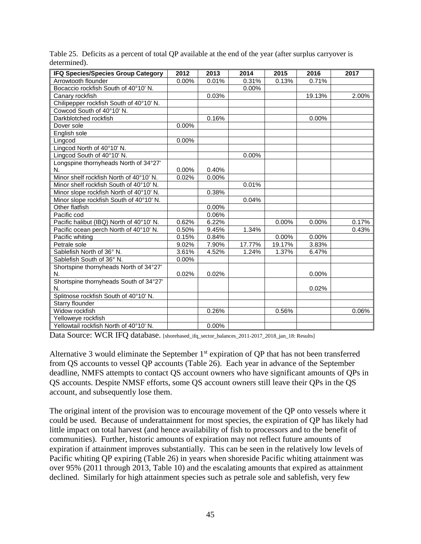| <b>IFQ Species/Species Group Category</b> | 2012     | 2013  | 2014   | 2015     | 2016     | 2017  |
|-------------------------------------------|----------|-------|--------|----------|----------|-------|
| Arrowtooth flounder                       | 0.00%    | 0.01% | 0.31%  | 0.13%    | 0.71%    |       |
| Bocaccio rockfish South of 40°10' N.      |          |       | 0.00%  |          |          |       |
| Canary rockfish                           |          | 0.03% |        |          | 19.13%   | 2.00% |
| Chilipepper rockfish South of 40°10' N.   |          |       |        |          |          |       |
| Cowcod South of 40°10' N.                 |          |       |        |          |          |       |
| Darkblotched rockfish                     |          | 0.16% |        |          | 0.00%    |       |
| Dover sole                                | 0.00%    |       |        |          |          |       |
| English sole                              |          |       |        |          |          |       |
| Lingcod                                   | 0.00%    |       |        |          |          |       |
| Lingcod North of 40°10' N.                |          |       |        |          |          |       |
| Lingcod South of 40°10' N.                |          |       | 0.00%  |          |          |       |
| Longspine thornyheads North of 34°27'     |          |       |        |          |          |       |
| N.                                        | $0.00\%$ | 0.40% |        |          |          |       |
| Minor shelf rockfish North of 40°10' N.   | 0.02%    | 0.00% |        |          |          |       |
| Minor shelf rockfish South of 40°10' N.   |          |       | 0.01%  |          |          |       |
| Minor slope rockfish North of 40°10' N.   |          | 0.38% |        |          |          |       |
| Minor slope rockfish South of 40°10' N.   |          |       | 0.04%  |          |          |       |
| Other flatfish                            |          | 0.00% |        |          |          |       |
| Pacific cod                               |          | 0.06% |        |          |          |       |
| Pacific halibut (IBQ) North of 40°10' N.  | 0.62%    | 6.22% |        | 0.00%    | $0.00\%$ | 0.17% |
| Pacific ocean perch North of 40°10' N.    | 0.50%    | 9.45% | 1.34%  |          |          | 0.43% |
| Pacific whiting                           | 0.15%    | 0.84% |        | $0.00\%$ | $0.00\%$ |       |
| Petrale sole                              | 9.02%    | 7.90% | 17.77% | 19.17%   | 3.83%    |       |
| Sablefish North of 36° N.                 | 3.61%    | 4.52% | 1.24%  | 1.37%    | 6.47%    |       |
| Sablefish South of 36° N.                 | 0.00%    |       |        |          |          |       |
| Shortspine thornyheads North of 34°27'    |          |       |        |          |          |       |
| N.                                        | 0.02%    | 0.02% |        |          | 0.00%    |       |
| Shortspine thornyheads South of 34°27'    |          |       |        |          |          |       |
| N.                                        |          |       |        |          | 0.02%    |       |
| Splitnose rockfish South of 40°10' N.     |          |       |        |          |          |       |
| Starry flounder                           |          |       |        |          |          |       |
| Widow rockfish                            |          | 0.26% |        | 0.56%    |          | 0.06% |
| Yelloweye rockfish                        |          |       |        |          |          |       |
| Yellowtail rockfish North of 40°10' N.    |          | 0.00% |        |          |          |       |

<span id="page-44-0"></span>Table 25. Deficits as a percent of total QP available at the end of the year (after surplus carryover is determined).

Data Source: WCR IFQ database. [shorebased\_ifq\_sector\_balances\_2011-2017\_2018\_jan\_18: Results]

Alternative 3 would eliminate the September  $1<sup>st</sup>$  expiration of QP that has not been transferred from QS accounts to vessel QP accounts [\(Table 26\)](#page-46-0). Each year in advance of the September deadline, NMFS attempts to contact QS account owners who have significant amounts of QPs in QS accounts. Despite NMSF efforts, some QS account owners still leave their QPs in the QS account, and subsequently lose them.

The original intent of the provision was to encourage movement of the QP onto vessels where it could be used. Because of underattainment for most species, the expiration of QP has likely had little impact on total harvest (and hence availability of fish to processors and to the benefit of communities). Further, historic amounts of expiration may not reflect future amounts of expiration if attainment improves substantially. This can be seen in the relatively low levels of Pacific whiting QP expiring [\(Table 26\)](#page-46-0) in years when shoreside Pacific whiting attainment was over 95% (2011 through 2013, [Table 10\)](#page-21-0) and the escalating amounts that expired as attainment declined. Similarly for high attainment species such as petrale sole and sablefish, very few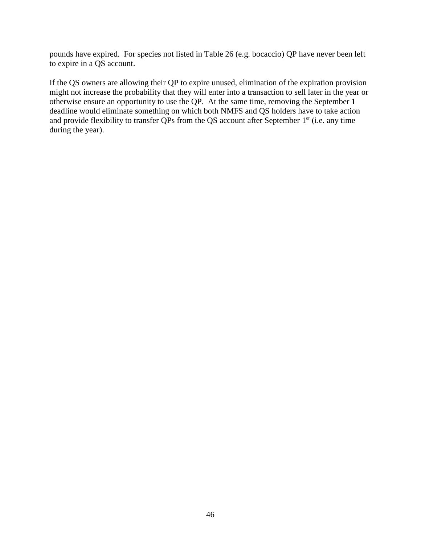pounds have expired. For species not listed in [Table 26](#page-46-0) (e.g. bocaccio) QP have never been left to expire in a QS account.

If the QS owners are allowing their QP to expire unused, elimination of the expiration provision might not increase the probability that they will enter into a transaction to sell later in the year or otherwise ensure an opportunity to use the QP. At the same time, removing the September 1 deadline would eliminate something on which both NMFS and QS holders have to take action and provide flexibility to transfer QPs from the QS account after September 1<sup>st</sup> (i.e. any time during the year).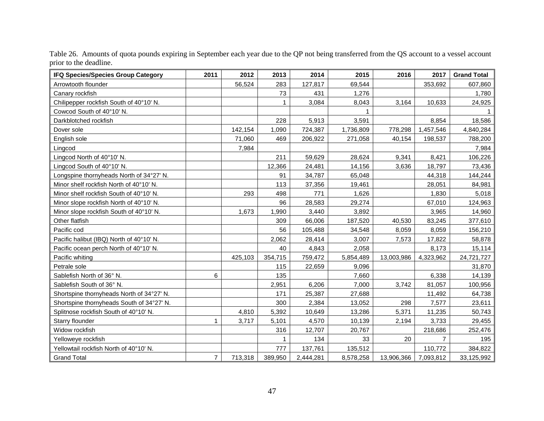<span id="page-46-0"></span>

| <b>IFQ Species/Species Group Category</b> | 2011           | 2012    | 2013    | 2014      | 2015      | 2016       | 2017      | <b>Grand Total</b> |
|-------------------------------------------|----------------|---------|---------|-----------|-----------|------------|-----------|--------------------|
| Arrowtooth flounder                       |                | 56,524  | 283     | 127,817   | 69,544    |            | 353,692   | 607,860            |
| Canary rockfish                           |                |         | 73      | 431       | 1,276     |            |           | 1,780              |
| Chilipepper rockfish South of 40°10' N.   |                |         |         | 3,084     | 8,043     | 3,164      | 10,633    | 24,925             |
| Cowcod South of 40°10' N.                 |                |         |         |           |           |            |           |                    |
| Darkblotched rockfish                     |                |         | 228     | 5,913     | 3,591     |            | 8,854     | 18,586             |
| Dover sole                                |                | 142,154 | 1,090   | 724,387   | 1,736,809 | 778,298    | 1,457,546 | 4,840,284          |
| English sole                              |                | 71,060  | 469     | 206,922   | 271,058   | 40,154     | 198,537   | 788,200            |
| Lingcod                                   |                | 7,984   |         |           |           |            |           | 7,984              |
| Lingcod North of 40°10' N.                |                |         | 211     | 59,629    | 28,624    | 9,341      | 8,421     | 106,226            |
| Lingcod South of 40°10' N.                |                |         | 12,366  | 24,481    | 14,156    | 3,636      | 18,797    | 73,436             |
| Longspine thornyheads North of 34°27' N.  |                |         | 91      | 34,787    | 65,048    |            | 44,318    | 144,244            |
| Minor shelf rockfish North of 40°10' N.   |                |         | 113     | 37,356    | 19,461    |            | 28,051    | 84,981             |
| Minor shelf rockfish South of 40°10' N.   |                | 293     | 498     | 771       | 1,626     |            | 1,830     | 5,018              |
| Minor slope rockfish North of 40°10' N.   |                |         | 96      | 28,583    | 29,274    |            | 67,010    | 124,963            |
| Minor slope rockfish South of 40°10' N.   |                | 1,673   | 1,990   | 3,440     | 3,892     |            | 3,965     | 14,960             |
| Other flatfish                            |                |         | 309     | 66,006    | 187,520   | 40,530     | 83,245    | 377,610            |
| Pacific cod                               |                |         | 56      | 105,488   | 34,548    | 8,059      | 8,059     | 156,210            |
| Pacific halibut (IBQ) North of 40°10' N.  |                |         | 2,062   | 28,414    | 3,007     | 7,573      | 17,822    | 58,878             |
| Pacific ocean perch North of 40°10' N.    |                |         | 40      | 4,843     | 2,058     |            | 8,173     | 15,114             |
| Pacific whiting                           |                | 425,103 | 354,715 | 759,472   | 5,854,489 | 13,003,986 | 4,323,962 | 24,721,727         |
| Petrale sole                              |                |         | 115     | 22,659    | 9,096     |            |           | 31,870             |
| Sablefish North of 36° N.                 | 6              |         | 135     |           | 7,660     |            | 6,338     | 14,139             |
| Sablefish South of 36° N.                 |                |         | 2,951   | 6,206     | 7,000     | 3,742      | 81,057    | 100,956            |
| Shortspine thornyheads North of 34°27' N. |                |         | 171     | 25,387    | 27,688    |            | 11,492    | 64,738             |
| Shortspine thornyheads South of 34°27' N. |                |         | 300     | 2,384     | 13,052    | 298        | 7,577     | 23,611             |
| Splitnose rockfish South of 40°10' N.     |                | 4,810   | 5,392   | 10,649    | 13,286    | 5,371      | 11,235    | 50,743             |
| Starry flounder                           | 1              | 3,717   | 5,101   | 4,570     | 10,139    | 2,194      | 3,733     | 29,455             |
| Widow rockfish                            |                |         | 316     | 12,707    | 20,767    |            | 218,686   | 252,476            |
| Yelloweye rockfish                        |                |         | 1       | 134       | 33        | 20         |           | 195                |
| Yellowtail rockfish North of 40°10' N.    |                |         | 777     | 137,761   | 135,512   |            | 110,772   | 384,822            |
| <b>Grand Total</b>                        | $\overline{7}$ | 713,318 | 389,950 | 2,444,281 | 8,578,258 | 13,906,366 | 7,093,812 | 33,125,992         |

Table 26. Amounts of quota pounds expiring in September each year due to the QP not being transferred from the QS account to a vessel account prior to the deadline.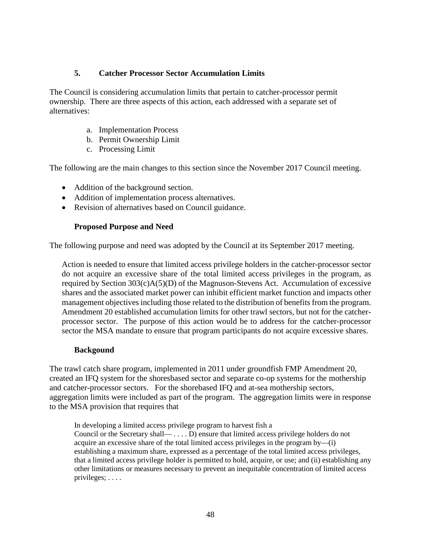#### **5. Catcher Processor Sector Accumulation Limits**

<span id="page-47-0"></span>The Council is considering accumulation limits that pertain to catcher-processor permit ownership. There are three aspects of this action, each addressed with a separate set of alternatives:

- a. Implementation Process
- b. Permit Ownership Limit
- c. Processing Limit

The following are the main changes to this section since the November 2017 Council meeting.

- Addition of the background section.
- Addition of implementation process alternatives.
- Revision of alternatives based on Council guidance.

#### **Proposed Purpose and Need**

<span id="page-47-1"></span>The following purpose and need was adopted by the Council at its September 2017 meeting.

Action is needed to ensure that limited access privilege holders in the catcher-processor sector do not acquire an excessive share of the total limited access privileges in the program, as required by Section 303(c)A(5)(D) of the Magnuson-Stevens Act. Accumulation of excessive shares and the associated market power can inhibit efficient market function and impacts other management objectives including those related to the distribution of benefits from the program. Amendment 20 established accumulation limits for other trawl sectors, but not for the catcherprocessor sector. The purpose of this action would be to address for the catcher-processor sector the MSA mandate to ensure that program participants do not acquire excessive shares.

#### **Backgound**

<span id="page-47-2"></span>The trawl catch share program, implemented in 2011 under groundfish FMP Amendment 20, created an IFQ system for the shoresbased sector and separate co-op systems for the mothership and catcher-processor sectors. For the shorebased IFQ and at-sea mothership sectors, aggregation limits were included as part of the program. The aggregation limits were in response to the MSA provision that requires that

In developing a limited access privilege program to harvest fish a Council or the Secretary shall— . . . . D) ensure that limited access privilege holders do not acquire an excessive share of the total limited access privileges in the program by—(i) establishing a maximum share, expressed as a percentage of the total limited access privileges, that a limited access privilege holder is permitted to hold, acquire, or use; and (ii) establishing any other limitations or measures necessary to prevent an inequitable concentration of limited access privileges; . . . .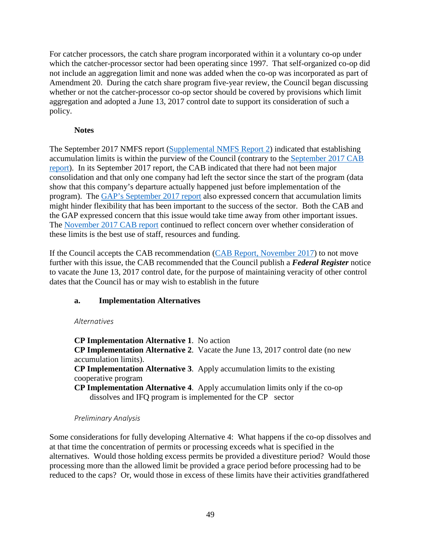For catcher processors, the catch share program incorporated within it a voluntary co-op under which the catcher-processor sector had been operating since 1997. That self-organized co-op did not include an aggregation limit and none was added when the co-op was incorporated as part of Amendment 20. During the catch share program five-year review, the Council began discussing whether or not the catcher-processor co-op sector should be covered by provisions which limit aggregation and adopted a June 13, 2017 control date to support its consideration of such a policy.

# **Notes**

<span id="page-48-0"></span>The September 2017 NMFS report [\(Supplemental NMFS Report 2\)](http://www.pcouncil.org/wp-content/uploads/2017/09/E7a_Sup_NMFS_Rpt2_SEPT2017BB.pdf) indicated that establishing accumulation limits is within the purview of the Council (contrary to the [September 2017 CAB](http://www.pcouncil.org/wp-content/uploads/2017/08/E7a_CAB_Rpt1_SEPT2017BB.pdf)  [report\)](http://www.pcouncil.org/wp-content/uploads/2017/08/E7a_CAB_Rpt1_SEPT2017BB.pdf). In its September 2017 report, the CAB indicated that there had not been major consolidation and that only one company had left the sector since the start of the program (data show that this company's departure actually happened just before implementation of the program). The [GAP's September 2017 report](http://www.pcouncil.org/wp-content/uploads/2017/09/E7a_Sup_GAP_Rpt1_SEPT2017BB.pdf) also expressed concern that accumulation limits might hinder flexibility that has been important to the success of the sector. Both the CAB and the GAP expressed concern that this issue would take time away from other important issues. The [November 2017 CAB report](https://www.pcouncil.org/wp-content/uploads/2017/11/F2a_Sup_CAB_Rpt1_NOV2017BB.pdf) continued to reflect concern over whether consideration of these limits is the best use of staff, resources and funding.

If the Council accepts the CAB recommendation [\(CAB Report, November 2017\)](https://www.pcouncil.org/wp-content/uploads/2017/11/F2a_Sup_CAB_Rpt1_NOV2017BB.pdf) to not move further with this issue, the CAB recommended that the Council publish a *Federal Register* notice to vacate the June 13, 2017 control date, for the purpose of maintaining veracity of other control dates that the Council has or may wish to establish in the future

## <span id="page-48-1"></span>**a. Implementation Alternatives**

## <span id="page-48-2"></span>*Alternatives*

**CP Implementation Alternative 1**. No action **CP Implementation Alternative 2**. Vacate the June 13, 2017 control date (no new accumulation limits). **CP Implementation Alternative 3**. Apply accumulation limits to the existing cooperative program **CP Implementation Alternative 4**. Apply accumulation limits only if the co-op

dissolves and IFQ program is implemented for the CP sector

## *Preliminary Analysis*

<span id="page-48-3"></span>Some considerations for fully developing Alternative 4: What happens if the co-op dissolves and at that time the concentration of permits or processing exceeds what is specified in the alternatives. Would those holding excess permits be provided a divestiture period? Would those processing more than the allowed limit be provided a grace period before processing had to be reduced to the caps? Or, would those in excess of these limits have their activities grandfathered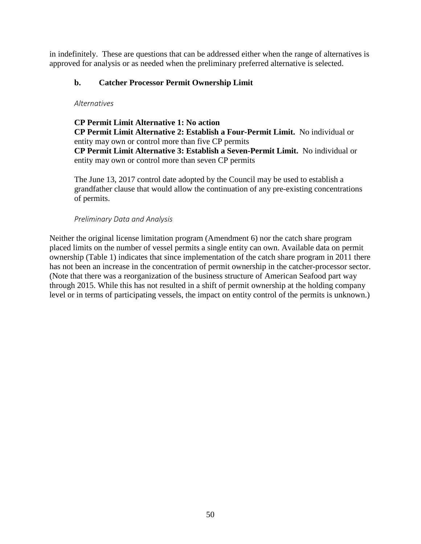in indefinitely. These are questions that can be addressed either when the range of alternatives is approved for analysis or as needed when the preliminary preferred alternative is selected.

# <span id="page-49-0"></span>**b. Catcher Processor Permit Ownership Limit**

## <span id="page-49-1"></span>*Alternatives*

**CP Permit Limit Alternative 1: No action CP Permit Limit Alternative 2: Establish a Four-Permit Limit.** No individual or entity may own or control more than five CP permits **CP Permit Limit Alternative 3: Establish a Seven-Permit Limit.** No individual or entity may own or control more than seven CP permits

The June 13, 2017 control date adopted by the Council may be used to establish a grandfather clause that would allow the continuation of any pre-existing concentrations of permits.

# *Preliminary Data and Analysis*

<span id="page-49-2"></span>Neither the original license limitation program (Amendment 6) nor the catch share program placed limits on the number of vessel permits a single entity can own. Available data on permit ownership (Table 1) indicates that since implementation of the catch share program in 2011 there has not been an increase in the concentration of permit ownership in the catcher-processor sector. (Note that there was a reorganization of the business structure of American Seafood part way through 2015. While this has not resulted in a shift of permit ownership at the holding company level or in terms of participating vessels, the impact on entity control of the permits is unknown.)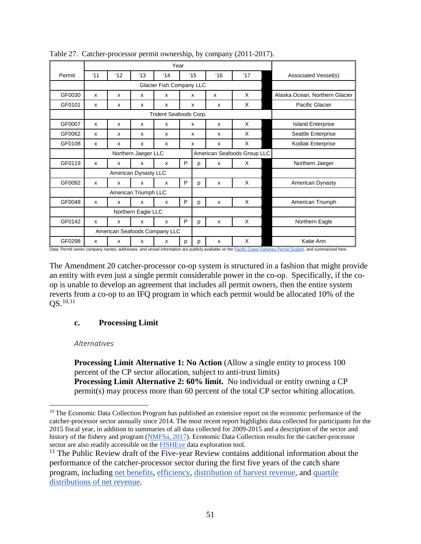| Permit | '11 | $^{\prime}12$         | $^{\prime}13$        | 14                                                 |   | $^{\prime}15$     | $^{\circ}16$         | 17'                                    | Associated Vessel(s)           |
|--------|-----|-----------------------|----------------------|----------------------------------------------------|---|-------------------|----------------------|----------------------------------------|--------------------------------|
|        |     |                       |                      | Glacier Fish Company LLC                           |   |                   |                      |                                        |                                |
| GF0030 | X   | X                     | X                    | X                                                  |   | X                 | X                    | X                                      | Alaska Ocean, Northern Glacier |
| GF0101 | x   | x                     | x                    | x                                                  |   | x                 | X                    | X                                      | Pacific Glacier                |
|        |     |                       |                      | Trident Seafoods Corp.                             |   |                   |                      |                                        |                                |
| GF0007 | X   | X                     | X                    | X                                                  |   | X                 | X                    | X                                      | <b>Island Enterprise</b>       |
| GF0062 | x   | x                     | x                    | x                                                  |   | x                 | X                    | X                                      | Seattle Enterprise             |
| GF0108 | X   | x                     | X                    | x                                                  |   | $\mathsf{x}$      | X                    | X                                      | Kodiak Enterprise              |
|        |     |                       | Northern Jaeger LLC  |                                                    |   |                   |                      | American Seafoods Group LLC            |                                |
| GF0119 | X   | X                     | X                    | X                                                  | P | p                 | X                    | X                                      | Northern Jaeger                |
|        |     |                       | American Dynasty LLC |                                                    |   |                   |                      |                                        |                                |
| GF0092 | X   | x                     | X                    | x                                                  | P | p                 | X                    | X                                      | American Dynasty               |
|        |     |                       | American Triumph LLC |                                                    |   |                   |                      |                                        |                                |
| GF0048 | X   | x                     | $\mathsf{x}$         | x                                                  | P | p                 | X                    | X                                      | American Triumph               |
|        |     |                       | Northern Eagle LLC   |                                                    |   |                   |                      |                                        |                                |
| GF0142 | X   | x                     | $\mathsf{x}$         | X                                                  | P | p                 | X                    | X                                      | Northern Eagle                 |
|        |     |                       |                      | American Seafoods Company LLC                      |   |                   |                      |                                        |                                |
| GF0298 | X   | X<br>والمتواطئ والملو | X                    | x<br>a consideration of the former of any constant | p | р<br>de Barbara e | X<br>and the ball of | X<br>Deaths Ocean Plateau of the Death | Katie Ann<br>16.011            |

<span id="page-50-2"></span>Table 27. Catcher-processor permit ownership, by company (2011-2017).

addresses, and vessel information are publicly available on the <u>Pacific Coast Fisheries Permit System,</u> and summarized here.

The Amendment 20 catcher-processor co-op system is structured in a fashion that might provide an entity with even just a single permit considerable power in the co-op. Specifically, if the coop is unable to develop an agreement that includes all permit owners, then the entire system reverts from a co-op to an IFQ program in which each permit would be allocated 10% of the QS.[10](#page-50-3),[11](#page-50-4)

## <span id="page-50-0"></span>**c. Processing Limit**

#### <span id="page-50-1"></span>*Alternatives*

**Processing Limit Alternative 1: No Action** (Allow a single entity to process 100 percent of the CP sector allocation, subject to anti-trust limits) **Processing Limit Alternative 2: 60% limit.** No individual or entity owning a CP permit(s) may process more than 60 percent of the total CP sector whiting allocation.

<span id="page-50-3"></span><sup>&</sup>lt;sup>10</sup> The Economic Data Collection Program has published an extensive report on the economic performance of the catcher-processor sector annually since 2014. The most recent report highlights data collected for participants for the 2015 fiscal year, in addition to summaries of all data collected for 2009-2015 and a description of the sector and history of the fishery and program [\(NMFSa, 2017\)](https://www.nwfsc.noaa.gov/research/divisions/fram/documents/EDC_Catcher_Processor_Report_June_2017.pdf). Economic Data Collection results for the catcher-processor sector are also readily accessible on the **FISHEye** data exploration tool.

<span id="page-50-4"></span> $11$  The Public Review draft of the Five-year Review contains additional information about the performance of the catcher-processor sector during the first five years of the catch share program, including [net benefits,](http://www.pcouncil.org/wp-content/uploads/2017/08/5_Year_Review_August_Draft_for_public_review.pdf#page=63) [efficiency,](http://www.pcouncil.org/wp-content/uploads/2017/08/5_Year_Review_August_Draft_for_public_review.pdf#page=80) [distribution of harvest revenue,](http://www.pcouncil.org/wp-content/uploads/2017/08/5_Year_Review_August_Draft_for_public_review.pdf#page=69) and [quartile](http://www.pcouncil.org/wp-content/uploads/2017/08/5_Year_Review_August_Draft_for_public_review.pdf#page=132)  [distributions of net revenue.](http://www.pcouncil.org/wp-content/uploads/2017/08/5_Year_Review_August_Draft_for_public_review.pdf#page=132)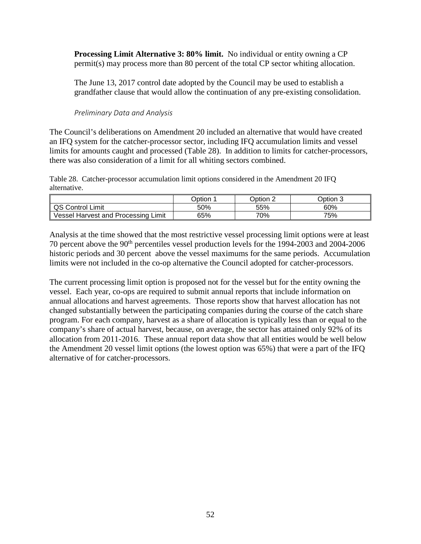**Processing Limit Alternative 3: 80% limit.** No individual or entity owning a CP permit(s) may process more than 80 percent of the total CP sector whiting allocation.

The June 13, 2017 control date adopted by the Council may be used to establish a grandfather clause that would allow the continuation of any pre-existing consolidation.

#### *Preliminary Data and Analysis*

<span id="page-51-0"></span>The Council's deliberations on Amendment 20 included an alternative that would have created an IFQ system for the catcher-processor sector, including IFQ accumulation limits and vessel limits for amounts caught and processed [\(Table 28\)](#page-51-1). In addition to limits for catcher-processors, there was also consideration of a limit for all whiting sectors combined.

<span id="page-51-1"></span>Table 28. Catcher-processor accumulation limit options considered in the Amendment 20 IFQ alternative.

|                                           | <b>Option</b> | Option. | 2ption 3 |
|-------------------------------------------|---------------|---------|----------|
| <b>QS Control Limit</b>                   | 50%           | 55%     | 60%      |
| Limit<br>Harvest and Processing<br>Vessel | 65%           | 70%     | 75%      |

Analysis at the time showed that the most restrictive vessel processing limit options were at least 70 percent above the 90th percentiles vessel production levels for the 1994-2003 and 2004-2006 historic periods and 30 percent above the vessel maximums for the same periods. Accumulation limits were not included in the co-op alternative the Council adopted for catcher-processors.

The current processing limit option is proposed not for the vessel but for the entity owning the vessel. Each year, co-ops are required to submit annual reports that include information on annual allocations and harvest agreements. Those reports show that harvest allocation has not changed substantially between the participating companies during the course of the catch share program. For each company, harvest as a share of allocation is typically less than or equal to the company's share of actual harvest, because, on average, the sector has attained only 92% of its allocation from 2011-2016. These annual report data show that all entities would be well below the Amendment 20 vessel limit options (the lowest option was 65%) that were a part of the IFQ alternative of for catcher-processors.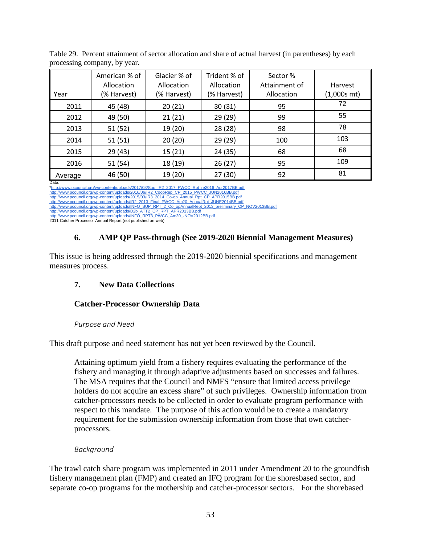| Year             | American % of<br>Allocation<br>(% Harvest) | Glacier % of<br>Allocation<br>(% Harvest) | Trident % of<br>Allocation<br>(% Harvest) | Sector %<br>Attainment of<br>Allocation | Harvest<br>$(1,000s$ mt) |
|------------------|--------------------------------------------|-------------------------------------------|-------------------------------------------|-----------------------------------------|--------------------------|
| 2011             | 45 (48)                                    | 20(21)                                    | 30(31)                                    | 95                                      | 72                       |
| 2012             | 49 (50)                                    | 21(21)                                    | 29 (29)                                   | 99                                      | 55                       |
| 2013             | 51(52)                                     | 19 (20)                                   | 28 (28)                                   | 98                                      | 78                       |
| 2014             | 51(51)                                     | 20(20)                                    | 29 (29)                                   | 100                                     | 103                      |
| 2015             | 29(43)                                     | 15(21)                                    | 24 (35)                                   | 68                                      | 68                       |
| 2016             | 51 (54)                                    | 18 (19)                                   | 26(27)                                    | 95                                      | 109                      |
| Average<br>Data: | 46 (50)                                    | 19 (20)                                   | 27(30)                                    | 92                                      | 81                       |

<span id="page-52-5"></span>Table 29. Percent attainment of sector allocation and share of actual harvest (in parentheses) by each processing company, by year.

[\\*http://www.pcouncil.org/wp-content/uploads/2017/03/Sup\\_IR2\\_2017\\_PWCC\\_Rpt\\_re2016\\_Apr2017BB.pdf](http://www.pcouncil.org/wp-content/uploads/2017/03/Sup_IR2_2017_PWCC_Rpt_re2016_Apr2017BB.pdf)<br>[http://www.pcouncil.org/wp-content/uploads/2016/06/IR2\\_CoopRep\\_CP\\_2015\\_PWCC\\_JUN2016BB.pdf](http://www.pcouncil.org/wp-content/uploads/2016/06/IR2_CoopRep_CP_2015_PWCC_JUN2016BB.pdf)<br>http://www.pcouncil.org/wp-content/up

[http://www.pcouncil.org/wp-content/uploads/IR2\\_2013\\_Final\\_PWCC\\_Am20\\_AnnualRpt\\_JUNE2014BB.pdf](http://www.pcouncil.org/wp-content/uploads/IR2_2013_Final_PWCC_Am20_AnnualRpt_JUNE2014BB.pdf)

[http://www.pcouncil.org/wp-content/uploads/INFO\\_SUP\\_RPT\\_2\\_Co\\_opAnnualRept\\_2013\\_preliminary\\_CP\\_NOV2013BB.pdf](http://www.pcouncil.org/wp-content/uploads/INFO_SUP_RPT_2_Co_opAnnualRept_2013_preliminary_CP_NOV2013BB.pdf)<br>[http://www.pcouncil.org/wp-content/uploads/D2b\\_ATT2\\_CP\\_RPT\\_APR2013BB.pdf](http://www.pcouncil.org/wp-content/uploads/D2b_ATT2_CP_RPT_APR2013BB.pdf)

ww.pcouncil.org/wp-content/uploads/INFO\_RPT3\_PWCC\_Am20\_-NOV2012BB.pdf

<span id="page-52-0"></span>2011 Catcher Processor Annual Report (not published on web)

# **6. AMP QP Pass-through (See 2019-2020 Biennial Management Measures)**

This issue is being addressed through the 2019-2020 biennial specifications and management measures process.

# <span id="page-52-1"></span>**7. New Data Collections**

# <span id="page-52-2"></span>**Catcher-Processor Ownership Data**

## *Purpose and Need*

<span id="page-52-3"></span>This draft purpose and need statement has not yet been reviewed by the Council.

Attaining optimum yield from a fishery requires evaluating the performance of the fishery and managing it through adaptive adjustments based on successes and failures. The MSA requires that the Council and NMFS "ensure that limited access privilege holders do not acquire an excess share" of such privileges. Ownership information from catcher-processors needs to be collected in order to evaluate program performance with respect to this mandate. The purpose of this action would be to create a mandatory requirement for the submission ownership information from those that own catcherprocessors.

# *Background*

<span id="page-52-4"></span>The trawl catch share program was implemented in 2011 under Amendment 20 to the groundfish fishery management plan (FMP) and created an IFQ program for the shoresbased sector, and separate co-op programs for the mothership and catcher-processor sectors. For the shorebased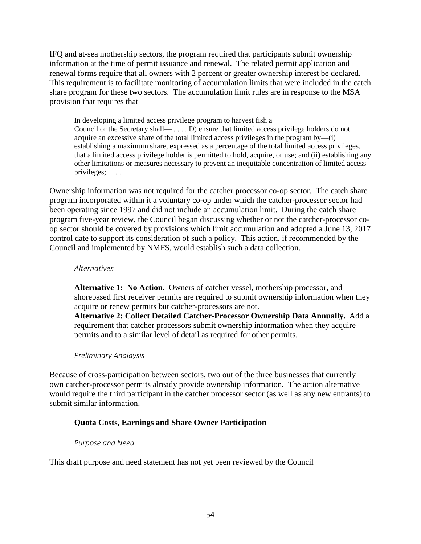IFQ and at-sea mothership sectors, the program required that participants submit ownership information at the time of permit issuance and renewal. The related permit application and renewal forms require that all owners with 2 percent or greater ownership interest be declared. This requirement is to facilitate monitoring of accumulation limits that were included in the catch share program for these two sectors. The accumulation limit rules are in response to the MSA provision that requires that

In developing a limited access privilege program to harvest fish a Council or the Secretary shall— . . . . D) ensure that limited access privilege holders do not acquire an excessive share of the total limited access privileges in the program by—(i) establishing a maximum share, expressed as a percentage of the total limited access privileges, that a limited access privilege holder is permitted to hold, acquire, or use; and (ii) establishing any other limitations or measures necessary to prevent an inequitable concentration of limited access privileges; . . . .

Ownership information was not required for the catcher processor co-op sector. The catch share program incorporated within it a voluntary co-op under which the catcher-processor sector had been operating since 1997 and did not include an accumulation limit. During the catch share program five-year review, the Council began discussing whether or not the catcher-processor coop sector should be covered by provisions which limit accumulation and adopted a June 13, 2017 control date to support its consideration of such a policy. This action, if recommended by the Council and implemented by NMFS, would establish such a data collection.

#### <span id="page-53-0"></span>*Alternatives*

**Alternative 1: No Action.** Owners of catcher vessel, mothership processor, and shorebased first receiver permits are required to submit ownership information when they acquire or renew permits but catcher-processors are not. **Alternative 2: Collect Detailed Catcher-Processor Ownership Data Annually.** Add a

requirement that catcher processors submit ownership information when they acquire permits and to a similar level of detail as required for other permits.

## *Preliminary Analaysis*

<span id="page-53-1"></span>Because of cross-participation between sectors, two out of the three businesses that currently own catcher-processor permits already provide ownership information. The action alternative would require the third participant in the catcher processor sector (as well as any new entrants) to submit similar information.

## <span id="page-53-2"></span>**Quota Costs, Earnings and Share Owner Participation**

#### *Purpose and Need*

<span id="page-53-3"></span>This draft purpose and need statement has not yet been reviewed by the Council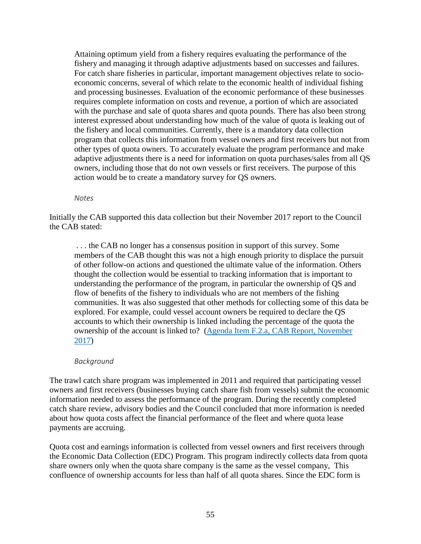Attaining optimum yield from a fishery requires evaluating the performance of the fishery and managing it through adaptive adjustments based on successes and failures. For catch share fisheries in particular, important management objectives relate to socioeconomic concerns, several of which relate to the economic health of individual fishing and processing businesses. Evaluation of the economic performance of these businesses requires complete information on costs and revenue, a portion of which are associated with the purchase and sale of quota shares and quota pounds. There has also been strong interest expressed about understanding how much of the value of quota is leaking out of the fishery and local communities. Currently, there is a mandatory data collection program that collects this information from vessel owners and first receivers but not from other types of quota owners. To accurately evaluate the program performance and make adaptive adjustments there is a need for information on quota purchases/sales from all QS owners, including those that do not own vessels or first receivers. The purpose of this action would be to create a mandatory survey for QS owners.

*Notes*

Initially the CAB supported this data collection but their November 2017 report to the Council the CAB stated:

. . . the CAB no longer has a consensus position in support of this survey. Some members of the CAB thought this was not a high enough priority to displace the pursuit of other follow-on actions and questioned the ultimate value of the information. Others thought the collection would be essential to tracking information that is important to understanding the performance of the program, in particular the ownership of QS and flow of benefits of the fishery to individuals who are not members of the fishing communities. It was also suggested that other methods for collecting some of this data be explored. For example, could vessel account owners be required to declare the QS accounts to which their ownership is linked including the percentage of the quota the ownership of the account is linked to? [\(Agenda Item F.2.a, CAB Report, November](https://www.pcouncil.org/wp-content/uploads/2017/11/F2a_Sup_CAB_Rpt1_NOV2017BB.pdf)  [2017\)](https://www.pcouncil.org/wp-content/uploads/2017/11/F2a_Sup_CAB_Rpt1_NOV2017BB.pdf)

#### *Background*

<span id="page-54-0"></span>The trawl catch share program was implemented in 2011 and required that participating vessel owners and first receivers (businesses buying catch share fish from vessels) submit the economic information needed to assess the performance of the program. During the recently completed catch share review, advisory bodies and the Council concluded that more information is needed about how quota costs affect the financial performance of the fleet and where quota lease payments are accruing.

Quota cost and earnings information is collected from vessel owners and first receivers through the Economic Data Collection (EDC) Program. This program indirectly collects data from quota share owners only when the quota share company is the same as the vessel company, This confluence of ownership accounts for less than half of all quota shares. Since the EDC form is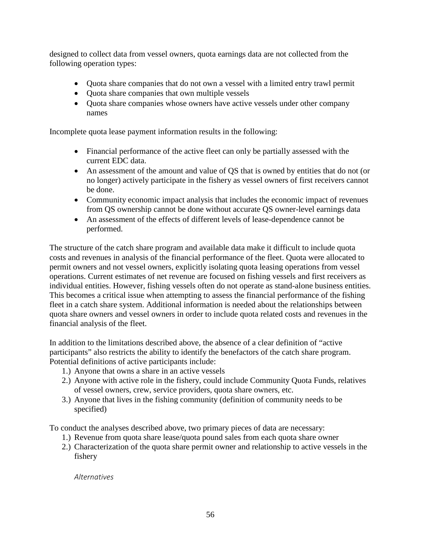designed to collect data from vessel owners, quota earnings data are not collected from the following operation types:

- Quota share companies that do not own a vessel with a limited entry trawl permit
- Quota share companies that own multiple vessels
- Quota share companies whose owners have active vessels under other company names

Incomplete quota lease payment information results in the following:

- Financial performance of the active fleet can only be partially assessed with the current EDC data.
- An assessment of the amount and value of QS that is owned by entities that do not (or no longer) actively participate in the fishery as vessel owners of first receivers cannot be done.
- Community economic impact analysis that includes the economic impact of revenues from QS ownership cannot be done without accurate QS owner-level earnings data
- An assessment of the effects of different levels of lease-dependence cannot be performed.

The structure of the catch share program and available data make it difficult to include quota costs and revenues in analysis of the financial performance of the fleet. Quota were allocated to permit owners and not vessel owners, explicitly isolating quota leasing operations from vessel operations. Current estimates of net revenue are focused on fishing vessels and first receivers as individual entities. However, fishing vessels often do not operate as stand-alone business entities. This becomes a critical issue when attempting to assess the financial performance of the fishing fleet in a catch share system. Additional information is needed about the relationships between quota share owners and vessel owners in order to include quota related costs and revenues in the financial analysis of the fleet.

In addition to the limitations described above, the absence of a clear definition of "active participants" also restricts the ability to identify the benefactors of the catch share program. Potential definitions of active participants include:

- 1.) Anyone that owns a share in an active vessels
- 2.) Anyone with active role in the fishery, could include Community Quota Funds, relatives of vessel owners, crew, service providers, quota share owners, etc.
- 3.) Anyone that lives in the fishing community (definition of community needs to be specified)

To conduct the analyses described above, two primary pieces of data are necessary:

- 1.) Revenue from quota share lease/quota pound sales from each quota share owner
- 2.) Characterization of the quota share permit owner and relationship to active vessels in the fishery

<span id="page-55-0"></span>*Alternatives*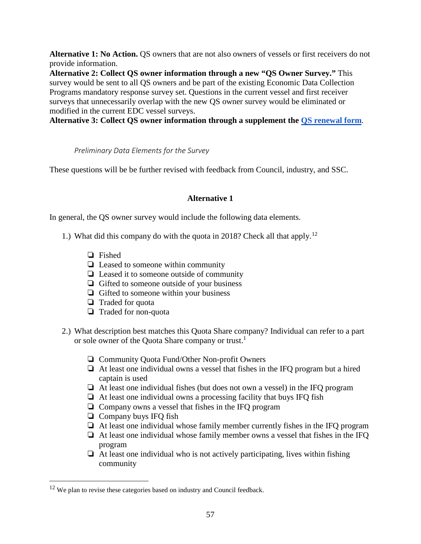**Alternative 1: No Action.** QS owners that are not also owners of vessels or first receivers do not provide information.

**Alternative 2: Collect QS owner information through a new "QS Owner Survey."** This survey would be sent to all QS owners and be part of the existing Economic Data Collection Programs mandatory response survey set. Questions in the current vessel and first receiver surveys that unnecessarily overlap with the new QS owner survey would be eliminated or modified in the current EDC vessel surveys.

**Alternative 3: Collect QS owner information through a supplement the [QS renewal form](http://www.westcoast.fisheries.noaa.gov/publications/fishery_management/groundfish/permits/form-qs-permit.pdf)**.

*Preliminary Data Elements for the Survey*

<span id="page-56-0"></span>These questions will be be further revised with feedback from Council, industry, and SSC.

## **Alternative 1**

In general, the QS owner survey would include the following data elements.

- 1.) What did this company do with the quota in 2018? Check all that apply.<sup>[12](#page-56-1)</sup>
	- ❏ Fished
	- ❏ Leased to someone within community
	- ❏ Leased it to someone outside of community
	- ❏ Gifted to someone outside of your business
	- ❏ Gifted to someone within your business
	- ❏ Traded for quota
	- ❏ Traded for non-quota
- 2.) What description best matches this Quota Share company? Individual can refer to a part or sole owner of the Quota Share company or trust.<sup>1</sup>
	- ❏ Community Quota Fund/Other Non-profit Owners
	- ❏ At least one individual owns a vessel that fishes in the IFQ program but a hired captain is used
	- ❏ At least one individual fishes (but does not own a vessel) in the IFQ program
	- ❏ At least one individual owns a processing facility that buys IFQ fish
	- ❏ Company owns a vessel that fishes in the IFQ program
	- ❏ Company buys IFQ fish
	- ❏ At least one individual whose family member currently fishes in the IFQ program
	- ❏ At least one individual whose family member owns a vessel that fishes in the IFQ program
	- $\Box$  At least one individual who is not actively participating, lives within fishing community

<span id="page-56-1"></span> $12$  We plan to revise these categories based on industry and Council feedback.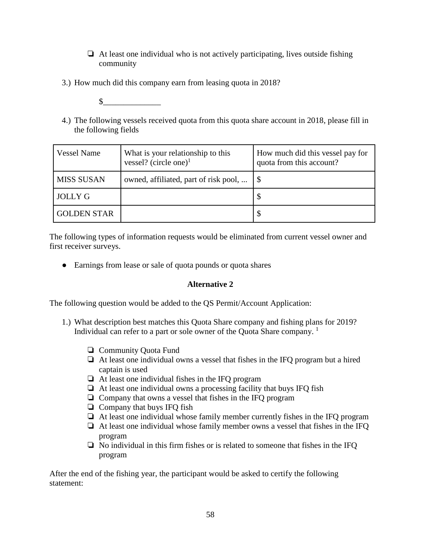- $\Box$  At least one individual who is not actively participating, lives outside fishing community
- 3.) How much did this company earn from leasing quota in 2018?
	- $\frac{1}{2}$
- 4.) The following vessels received quota from this quota share account in 2018, please fill in the following fields

| <b>Vessel Name</b> | What is your relationship to this<br>vessel? (circle one) $1$ | How much did this vessel pay for<br>quota from this account? |
|--------------------|---------------------------------------------------------------|--------------------------------------------------------------|
| MISS SUSAN         | owned, affiliated, part of risk pool,                         |                                                              |
| <b>JOLLY G</b>     |                                                               |                                                              |
| <b>GOLDEN STAR</b> |                                                               |                                                              |

The following types of information requests would be eliminated from current vessel owner and first receiver surveys.

• Earnings from lease or sale of quota pounds or quota shares

## **Alternative 2**

The following question would be added to the QS Permit/Account Application:

- 1.) What description best matches this Quota Share company and fishing plans for 2019? Individual can refer to a part or sole owner of the Quota Share company.  $<sup>1</sup>$ </sup>
	- ❏ Community Quota Fund
	- ❏ At least one individual owns a vessel that fishes in the IFQ program but a hired captain is used
	- ❏ At least one individual fishes in the IFQ program
	- ❏ At least one individual owns a processing facility that buys IFQ fish
	- ❏ Company that owns a vessel that fishes in the IFQ program
	- ❏ Company that buys IFQ fish
	- ❏ At least one individual whose family member currently fishes in the IFQ program
	- ❏ At least one individual whose family member owns a vessel that fishes in the IFQ program
	- ❏ No individual in this firm fishes or is related to someone that fishes in the IFQ program

After the end of the fishing year, the participant would be asked to certify the following statement: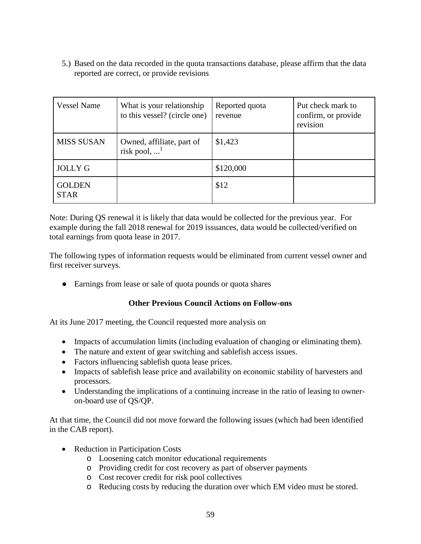5.) Based on the data recorded in the quota transactions database, please affirm that the data reported are correct, or provide revisions

| <b>Vessel Name</b>           | What is your relationship<br>to this vessel? (circle one) | Reported quota<br>revenue | Put check mark to<br>confirm, or provide<br>revision |
|------------------------------|-----------------------------------------------------------|---------------------------|------------------------------------------------------|
| <b>MISS SUSAN</b>            | Owned, affiliate, part of<br>risk pool, $$ <sup>1</sup>   | \$1,423                   |                                                      |
| <b>JOLLY G</b>               |                                                           | \$120,000                 |                                                      |
| <b>GOLDEN</b><br><b>STAR</b> |                                                           | \$12                      |                                                      |

Note: During QS renewal it is likely that data would be collected for the previous year. For example during the fall 2018 renewal for 2019 issuances, data would be collected/verified on total earnings from quota lease in 2017.

The following types of information requests would be eliminated from current vessel owner and first receiver surveys.

• Earnings from lease or sale of quota pounds or quota shares

## **Other Previous Council Actions on Follow-ons**

<span id="page-58-0"></span>At its June 2017 meeting, the Council requested more analysis on

- Impacts of accumulation limits (including evaluation of changing or eliminating them).
- The nature and extent of gear switching and sable fish access issues.
- Factors influencing sablefish quota lease prices.
- Impacts of sablefish lease price and availability on economic stability of harvesters and processors.
- Understanding the implications of a continuing increase in the ratio of leasing to owneron-board use of QS/QP.

At that time, the Council did not move forward the following issues (which had been identified in the CAB report).

- Reduction in Participation Costs
	- o Loosening catch monitor educational requirements
	- o Providing credit for cost recovery as part of observer payments
	- o Cost recover credit for risk pool collectives
	- o Reducing costs by reducing the duration over which EM video must be stored.